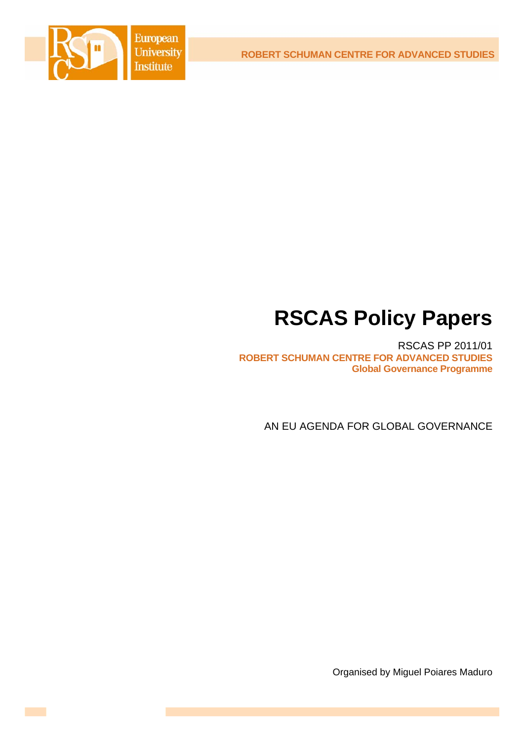**ROBERT SCHUMAN CENTRE FOR ADVANCED STUDIES**



# **RSCAS Policy Papers**

RSCAS PP 2011/01 **ROBERT SCHUMAN CENTRE FOR ADVANCED STUDIES Global Governance Programme**

AN EU AGENDA FOR GLOBAL GOVERNANCE

Organised by Miguel Poiares Maduro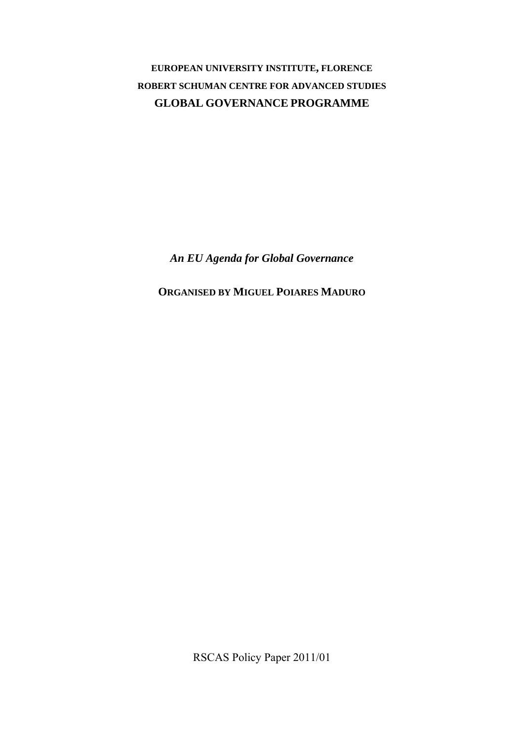# **EUROPEAN UNIVERSITY INSTITUTE, FLORENCE ROBERT SCHUMAN CENTRE FOR ADVANCED STUDIES GLOBAL GOVERNANCE PROGRAMME**

*An EU Agenda for Global Governance* 

**ORGANISED BY MIGUEL POIARES MADURO**

RSCAS Policy Paper 2011/01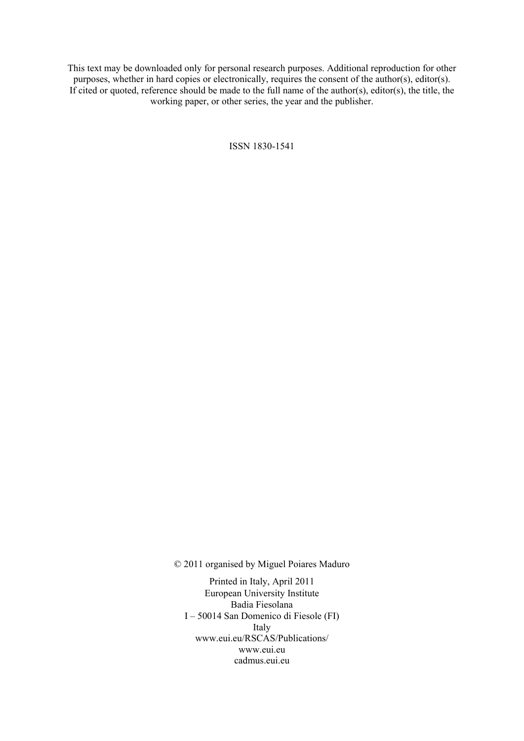This text may be downloaded only for personal research purposes. Additional reproduction for other purposes, whether in hard copies or electronically, requires the consent of the author(s), editor(s). If cited or quoted, reference should be made to the full name of the author(s), editor(s), the title, the working paper, or other series, the year and the publisher.

ISSN 1830-1541

© 2011 organised by Miguel Poiares Maduro

Printed in Italy, April 2011 European University Institute Badia Fiesolana I – 50014 San Domenico di Fiesole (FI) Italy [www.eui.eu/RSCAS/Publications/](http://www.eui.eu/RSCAS/Publications/)  [www.eui.eu](http://www.eui.eu)  cadmus.eui.eu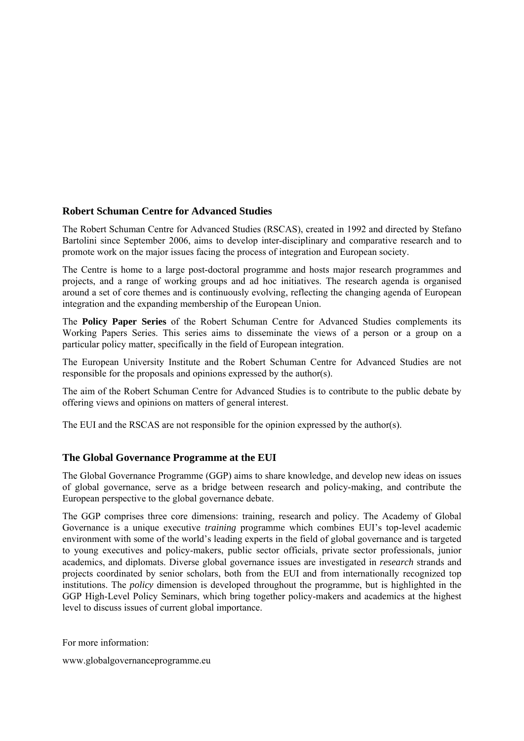# **Robert Schuman Centre for Advanced Studies**

The Robert Schuman Centre for Advanced Studies (RSCAS), created in 1992 and directed by Stefano Bartolini since September 2006, aims to develop inter-disciplinary and comparative research and to promote work on the major issues facing the process of integration and European society.

The Centre is home to a large post-doctoral programme and hosts major research programmes and projects, and a range of working groups and ad hoc initiatives. The research agenda is organised around a set of core themes and is continuously evolving, reflecting the changing agenda of European integration and the expanding membership of the European Union.

The **Policy Paper Series** of the Robert Schuman Centre for Advanced Studies complements its Working Papers Series. This series aims to disseminate the views of a person or a group on a particular policy matter, specifically in the field of European integration.

The European University Institute and the Robert Schuman Centre for Advanced Studies are not responsible for the proposals and opinions expressed by the author(s).

The aim of the Robert Schuman Centre for Advanced Studies is to contribute to the public debate by offering views and opinions on matters of general interest.

The EUI and the RSCAS are not responsible for the opinion expressed by the author(s).

# **The Global Governance Programme at the EUI**

The Global Governance Programme (GGP) aims to share knowledge, and develop new ideas on issues of global governance, serve as a bridge between research and policy-making, and contribute the European perspective to the global governance debate.

The GGP comprises three core dimensions: training, research and policy. The Academy of Global Governance is a unique executive *training* programme which combines EUI's top-level academic environment with some of the world's leading experts in the field of global governance and is targeted to young executives and policy-makers, public sector officials, private sector professionals, junior academics, and diplomats. Diverse global governance issues are investigated in *research* strands and projects coordinated by senior scholars, both from the EUI and from internationally recognized top institutions. The *policy* dimension is developed throughout the programme, but is highlighted in the GGP High-Level Policy Seminars, which bring together policy-makers and academics at the highest level to discuss issues of current global importance.

For more information:

[www.globalgovernanceprogramme.eu](http://www.globalgovernanceprogramme.eu)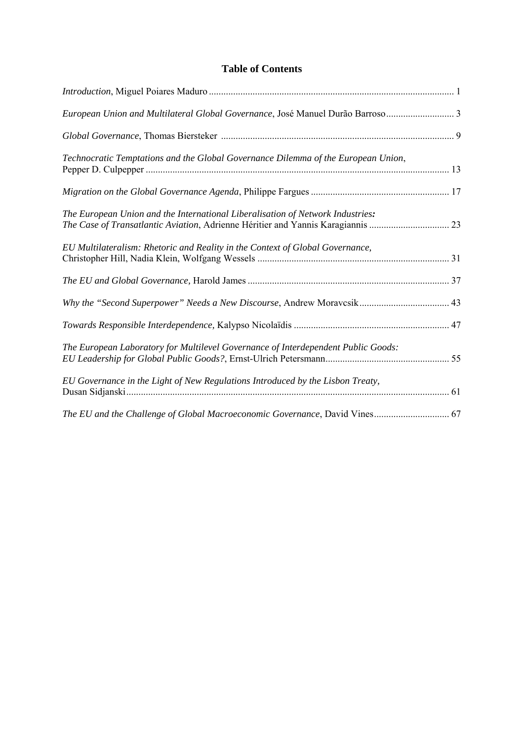# **Table of Contents**

| European Union and Multilateral Global Governance, José Manuel Durão Barroso 3                                                                                     |  |
|--------------------------------------------------------------------------------------------------------------------------------------------------------------------|--|
|                                                                                                                                                                    |  |
| Technocratic Temptations and the Global Governance Dilemma of the European Union,                                                                                  |  |
|                                                                                                                                                                    |  |
| The European Union and the International Liberalisation of Network Industries:<br>The Case of Transatlantic Aviation, Adrienne Héritier and Yannis Karagiannis  23 |  |
| EU Multilateralism: Rhetoric and Reality in the Context of Global Governance,                                                                                      |  |
|                                                                                                                                                                    |  |
|                                                                                                                                                                    |  |
|                                                                                                                                                                    |  |
| The European Laboratory for Multilevel Governance of Interdependent Public Goods:                                                                                  |  |
| EU Governance in the Light of New Regulations Introduced by the Lisbon Treaty,                                                                                     |  |
| The EU and the Challenge of Global Macroeconomic Governance, David Vines 67                                                                                        |  |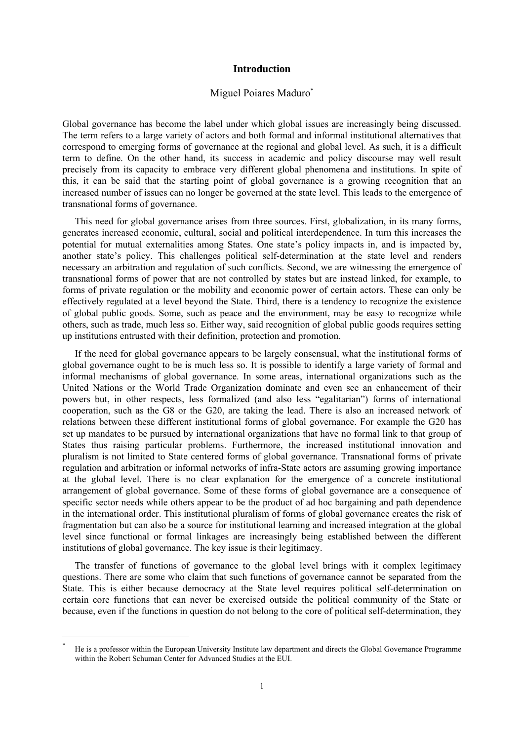# **Introduction**

### Miguel Poiares Maduro\*

Global governance has become the label under which global issues are increasingly being discussed. The term refers to a large variety of actors and both formal and informal institutional alternatives that correspond to emerging forms of governance at the regional and global level. As such, it is a difficult term to define. On the other hand, its success in academic and policy discourse may well result precisely from its capacity to embrace very different global phenomena and institutions. In spite of this, it can be said that the starting point of global governance is a growing recognition that an increased number of issues can no longer be governed at the state level. This leads to the emergence of transnational forms of governance.

This need for global governance arises from three sources. First, globalization, in its many forms, generates increased economic, cultural, social and political interdependence. In turn this increases the potential for mutual externalities among States. One state's policy impacts in, and is impacted by, another state's policy. This challenges political self-determination at the state level and renders necessary an arbitration and regulation of such conflicts. Second, we are witnessing the emergence of transnational forms of power that are not controlled by states but are instead linked, for example, to forms of private regulation or the mobility and economic power of certain actors. These can only be effectively regulated at a level beyond the State. Third, there is a tendency to recognize the existence of global public goods. Some, such as peace and the environment, may be easy to recognize while others, such as trade, much less so. Either way, said recognition of global public goods requires setting up institutions entrusted with their definition, protection and promotion.

If the need for global governance appears to be largely consensual, what the institutional forms of global governance ought to be is much less so. It is possible to identify a large variety of formal and informal mechanisms of global governance. In some areas, international organizations such as the United Nations or the World Trade Organization dominate and even see an enhancement of their powers but, in other respects, less formalized (and also less "egalitarian") forms of international cooperation, such as the G8 or the G20, are taking the lead. There is also an increased network of relations between these different institutional forms of global governance. For example the G20 has set up mandates to be pursued by international organizations that have no formal link to that group of States thus raising particular problems. Furthermore, the increased institutional innovation and pluralism is not limited to State centered forms of global governance. Transnational forms of private regulation and arbitration or informal networks of infra-State actors are assuming growing importance at the global level. There is no clear explanation for the emergence of a concrete institutional arrangement of global governance. Some of these forms of global governance are a consequence of specific sector needs while others appear to be the product of ad hoc bargaining and path dependence in the international order. This institutional pluralism of forms of global governance creates the risk of fragmentation but can also be a source for institutional learning and increased integration at the global level since functional or formal linkages are increasingly being established between the different institutions of global governance. The key issue is their legitimacy.

The transfer of functions of governance to the global level brings with it complex legitimacy questions. There are some who claim that such functions of governance cannot be separated from the State. This is either because democracy at the State level requires political self-determination on certain core functions that can never be exercised outside the political community of the State or because, even if the functions in question do not belong to the core of political self-determination, they

-

<sup>\*</sup> He is a professor within the European University Institute law department and directs the Global Governance Programme within the Robert Schuman Center for Advanced Studies at the EUI.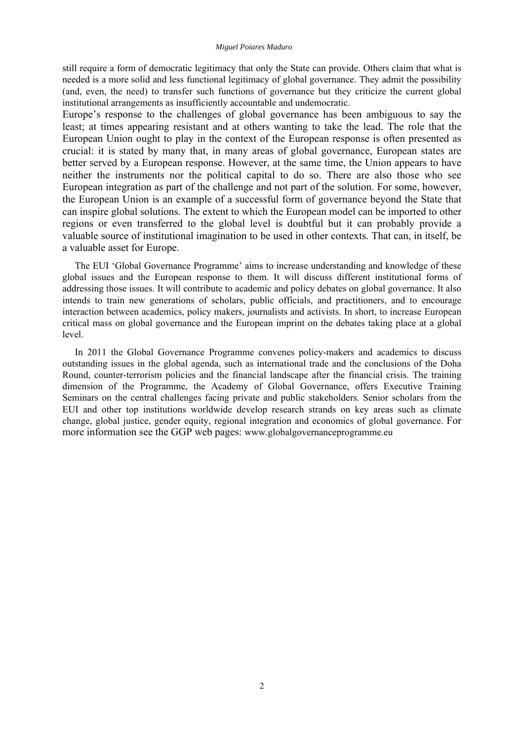still require a form of democratic legitimacy that only the State can provide. Others claim that what is needed is a more solid and less functional legitimacy of global governance. They admit the possibility (and, even, the need) to transfer such functions of governance but they criticize the current global institutional arrangements as insufficiently accountable and undemocratic.

Europe's response to the challenges of global governance has been ambiguous to say the least; at times appearing resistant and at others wanting to take the lead. The role that the European Union ought to play in the context of the European response is often presented as crucial: it is stated by many that, in many areas of global governance, European states are better served by a European response. However, at the same time, the Union appears to have neither the instruments nor the political capital to do so. There are also those who see European integration as part of the challenge and not part of the solution. For some, however, the European Union is an example of a successful form of governance beyond the State that can inspire global solutions. The extent to which the European model can be imported to other regions or even transferred to the global level is doubtful but it can probably provide a valuable source of institutional imagination to be used in other contexts. That can, in itself, be a valuable asset for Europe.

The EUI 'Global Governance Programme' aims to increase understanding and knowledge of these global issues and the European response to them. It will discuss different institutional forms of addressing those issues. It will contribute to academic and policy debates on global governance. It also intends to train new generations of scholars, public officials, and practitioners, and to encourage interaction between academics, policy makers, journalists and activists. In short, to increase European critical mass on global governance and the European imprint on the debates taking place at a global level.

In 2011 the Global Governance Programme convenes policy-makers and academics to discuss outstanding issues in the global agenda, such as international trade and the conclusions of the Doha Round, counter-terrorism policies and the financial landscape after the financial crisis. The training dimension of the Programme, the Academy of Global Governance, offers Executive Training Seminars on the central challenges facing private and public stakeholders. Senior scholars from the EUI and other top institutions worldwide develop research strands on key areas such as climate change, global justice, gender equity, regional integration and economics of global governance. For more information see the GGP web pages: [www.globalgovernanceprogramme.eu](http://www.globalgovernanceprogramme.eu)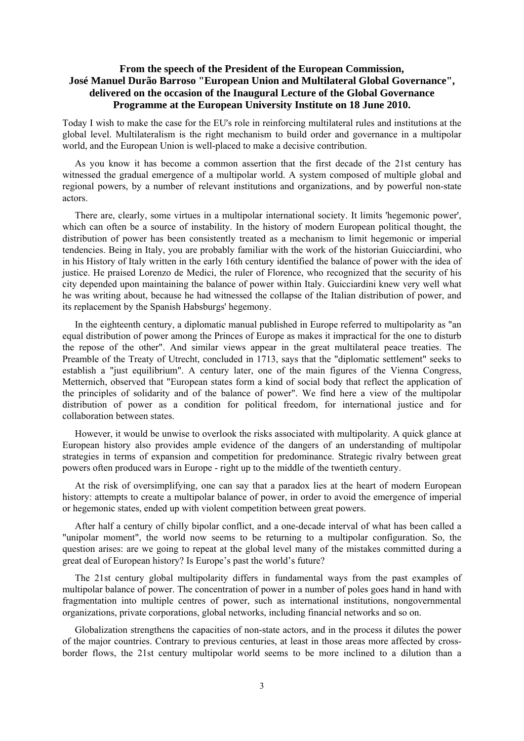# **From the speech of the President of the European Commission, José Manuel Durão Barroso "European Union and Multilateral Global Governance", delivered on the occasion of the Inaugural Lecture of the Global Governance Programme at the European University Institute on 18 June 2010.**

Today I wish to make the case for the EU's role in reinforcing multilateral rules and institutions at the global level. Multilateralism is the right mechanism to build order and governance in a multipolar world, and the European Union is well-placed to make a decisive contribution.

As you know it has become a common assertion that the first decade of the 21st century has witnessed the gradual emergence of a multipolar world. A system composed of multiple global and regional powers, by a number of relevant institutions and organizations, and by powerful non-state actors.

There are, clearly, some virtues in a multipolar international society. It limits 'hegemonic power', which can often be a source of instability. In the history of modern European political thought, the distribution of power has been consistently treated as a mechanism to limit hegemonic or imperial tendencies. Being in Italy, you are probably familiar with the work of the historian Guicciardini, who in his History of Italy written in the early 16th century identified the balance of power with the idea of justice. He praised Lorenzo de Medici, the ruler of Florence, who recognized that the security of his city depended upon maintaining the balance of power within Italy. Guicciardini knew very well what he was writing about, because he had witnessed the collapse of the Italian distribution of power, and its replacement by the Spanish Habsburgs' hegemony.

In the eighteenth century, a diplomatic manual published in Europe referred to multipolarity as "an equal distribution of power among the Princes of Europe as makes it impractical for the one to disturb the repose of the other". And similar views appear in the great multilateral peace treaties. The Preamble of the Treaty of Utrecht, concluded in 1713, says that the "diplomatic settlement" seeks to establish a "just equilibrium". A century later, one of the main figures of the Vienna Congress, Metternich, observed that "European states form a kind of social body that reflect the application of the principles of solidarity and of the balance of power". We find here a view of the multipolar distribution of power as a condition for political freedom, for international justice and for collaboration between states.

However, it would be unwise to overlook the risks associated with multipolarity. A quick glance at European history also provides ample evidence of the dangers of an understanding of multipolar strategies in terms of expansion and competition for predominance. Strategic rivalry between great powers often produced wars in Europe - right up to the middle of the twentieth century.

At the risk of oversimplifying, one can say that a paradox lies at the heart of modern European history: attempts to create a multipolar balance of power, in order to avoid the emergence of imperial or hegemonic states, ended up with violent competition between great powers.

After half a century of chilly bipolar conflict, and a one-decade interval of what has been called a "unipolar moment", the world now seems to be returning to a multipolar configuration. So, the question arises: are we going to repeat at the global level many of the mistakes committed during a great deal of European history? Is Europe's past the world's future?

The 21st century global multipolarity differs in fundamental ways from the past examples of multipolar balance of power. The concentration of power in a number of poles goes hand in hand with fragmentation into multiple centres of power, such as international institutions, nongovernmental organizations, private corporations, global networks, including financial networks and so on.

Globalization strengthens the capacities of non-state actors, and in the process it dilutes the power of the major countries. Contrary to previous centuries, at least in those areas more affected by crossborder flows, the 21st century multipolar world seems to be more inclined to a dilution than a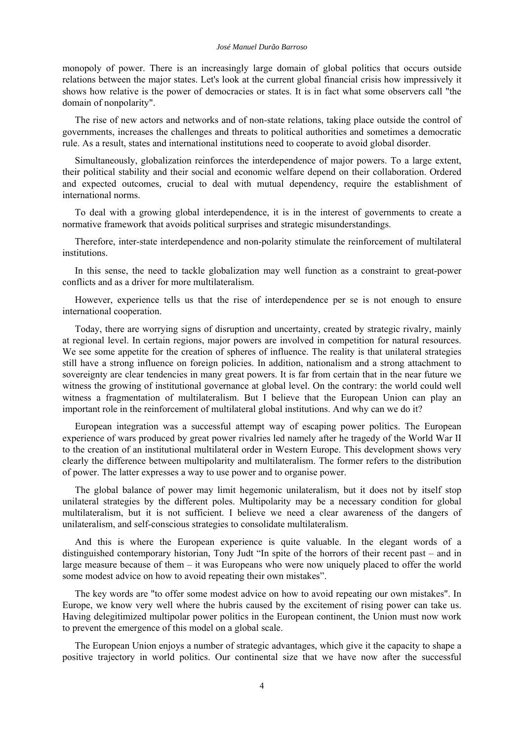monopoly of power. There is an increasingly large domain of global politics that occurs outside relations between the major states. Let's look at the current global financial crisis how impressively it shows how relative is the power of democracies or states. It is in fact what some observers call "the domain of nonpolarity".

The rise of new actors and networks and of non-state relations, taking place outside the control of governments, increases the challenges and threats to political authorities and sometimes a democratic rule. As a result, states and international institutions need to cooperate to avoid global disorder.

Simultaneously, globalization reinforces the interdependence of major powers. To a large extent, their political stability and their social and economic welfare depend on their collaboration. Ordered and expected outcomes, crucial to deal with mutual dependency, require the establishment of international norms.

To deal with a growing global interdependence, it is in the interest of governments to create a normative framework that avoids political surprises and strategic misunderstandings.

Therefore, inter-state interdependence and non-polarity stimulate the reinforcement of multilateral institutions.

In this sense, the need to tackle globalization may well function as a constraint to great-power conflicts and as a driver for more multilateralism.

However, experience tells us that the rise of interdependence per se is not enough to ensure international cooperation.

Today, there are worrying signs of disruption and uncertainty, created by strategic rivalry, mainly at regional level. In certain regions, major powers are involved in competition for natural resources. We see some appetite for the creation of spheres of influence. The reality is that unilateral strategies still have a strong influence on foreign policies. In addition, nationalism and a strong attachment to sovereignty are clear tendencies in many great powers. It is far from certain that in the near future we witness the growing of institutional governance at global level. On the contrary: the world could well witness a fragmentation of multilateralism. But I believe that the European Union can play an important role in the reinforcement of multilateral global institutions. And why can we do it?

European integration was a successful attempt way of escaping power politics. The European experience of wars produced by great power rivalries led namely after he tragedy of the World War II to the creation of an institutional multilateral order in Western Europe. This development shows very clearly the difference between multipolarity and multilateralism. The former refers to the distribution of power. The latter expresses a way to use power and to organise power.

The global balance of power may limit hegemonic unilateralism, but it does not by itself stop unilateral strategies by the different poles. Multipolarity may be a necessary condition for global multilateralism, but it is not sufficient. I believe we need a clear awareness of the dangers of unilateralism, and self-conscious strategies to consolidate multilateralism.

And this is where the European experience is quite valuable. In the elegant words of a distinguished contemporary historian, Tony Judt "In spite of the horrors of their recent past – and in large measure because of them – it was Europeans who were now uniquely placed to offer the world some modest advice on how to avoid repeating their own mistakes".

The key words are "to offer some modest advice on how to avoid repeating our own mistakes". In Europe, we know very well where the hubris caused by the excitement of rising power can take us. Having delegitimized multipolar power politics in the European continent, the Union must now work to prevent the emergence of this model on a global scale.

The European Union enjoys a number of strategic advantages, which give it the capacity to shape a positive trajectory in world politics. Our continental size that we have now after the successful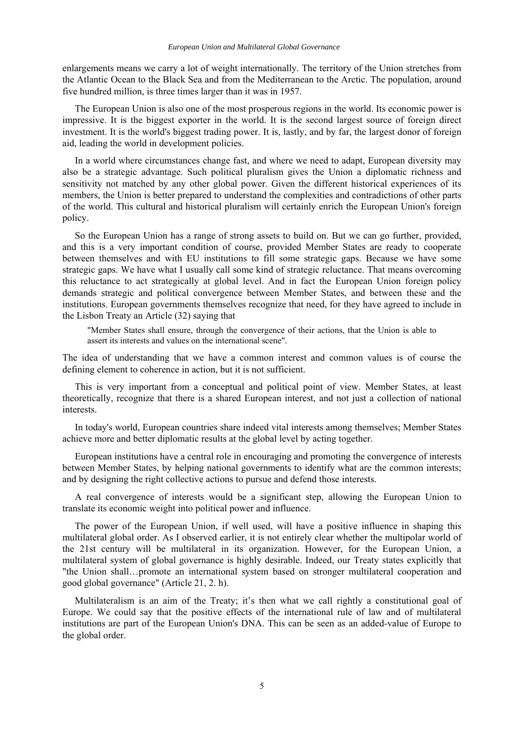enlargements means we carry a lot of weight internationally. The territory of the Union stretches from the Atlantic Ocean to the Black Sea and from the Mediterranean to the Arctic. The population, around five hundred million, is three times larger than it was in 1957.

The European Union is also one of the most prosperous regions in the world. Its economic power is impressive. It is the biggest exporter in the world. It is the second largest source of foreign direct investment. It is the world's biggest trading power. It is, lastly, and by far, the largest donor of foreign aid, leading the world in development policies.

In a world where circumstances change fast, and where we need to adapt, European diversity may also be a strategic advantage. Such political pluralism gives the Union a diplomatic richness and sensitivity not matched by any other global power. Given the different historical experiences of its members, the Union is better prepared to understand the complexities and contradictions of other parts of the world. This cultural and historical pluralism will certainly enrich the European Union's foreign policy.

So the European Union has a range of strong assets to build on. But we can go further, provided, and this is a very important condition of course, provided Member States are ready to cooperate between themselves and with EU institutions to fill some strategic gaps. Because we have some strategic gaps. We have what I usually call some kind of strategic reluctance. That means overcoming this reluctance to act strategically at global level. And in fact the European Union foreign policy demands strategic and political convergence between Member States, and between these and the institutions. European governments themselves recognize that need, for they have agreed to include in the Lisbon Treaty an Article (32) saying that

"Member States shall ensure, through the convergence of their actions, that the Union is able to assert its interests and values on the international scene".

The idea of understanding that we have a common interest and common values is of course the defining element to coherence in action, but it is not sufficient.

This is very important from a conceptual and political point of view. Member States, at least theoretically, recognize that there is a shared European interest, and not just a collection of national interests.

In today's world, European countries share indeed vital interests among themselves; Member States achieve more and better diplomatic results at the global level by acting together.

European institutions have a central role in encouraging and promoting the convergence of interests between Member States, by helping national governments to identify what are the common interests; and by designing the right collective actions to pursue and defend those interests.

A real convergence of interests would be a significant step, allowing the European Union to translate its economic weight into political power and influence.

The power of the European Union, if well used, will have a positive influence in shaping this multilateral global order. As I observed earlier, it is not entirely clear whether the multipolar world of the 21st century will be multilateral in its organization. However, for the European Union, a multilateral system of global governance is highly desirable. Indeed, our Treaty states explicitly that "the Union shall…promote an international system based on stronger multilateral cooperation and good global governance" (Article 21, 2. h).

Multilateralism is an aim of the Treaty; it's then what we call rightly a constitutional goal of Europe. We could say that the positive effects of the international rule of law and of multilateral institutions are part of the European Union's DNA. This can be seen as an added-value of Europe to the global order.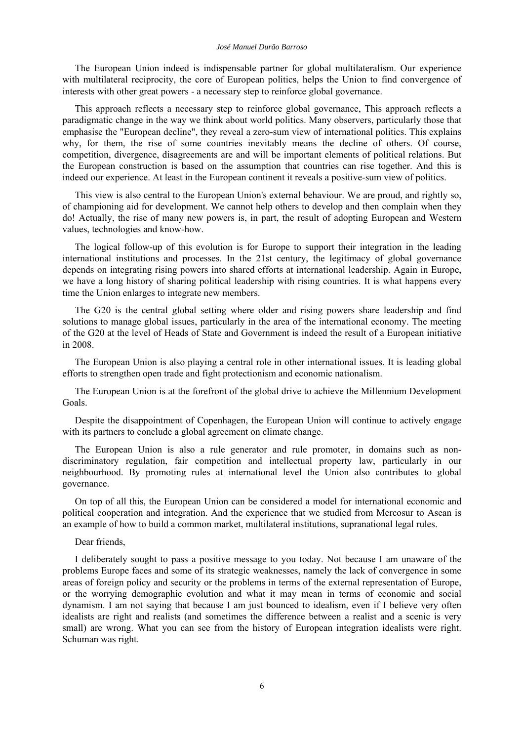The European Union indeed is indispensable partner for global multilateralism. Our experience with multilateral reciprocity, the core of European politics, helps the Union to find convergence of interests with other great powers - a necessary step to reinforce global governance.

This approach reflects a necessary step to reinforce global governance, This approach reflects a paradigmatic change in the way we think about world politics. Many observers, particularly those that emphasise the "European decline", they reveal a zero-sum view of international politics. This explains why, for them, the rise of some countries inevitably means the decline of others. Of course, competition, divergence, disagreements are and will be important elements of political relations. But the European construction is based on the assumption that countries can rise together. And this is indeed our experience. At least in the European continent it reveals a positive-sum view of politics.

This view is also central to the European Union's external behaviour. We are proud, and rightly so, of championing aid for development. We cannot help others to develop and then complain when they do! Actually, the rise of many new powers is, in part, the result of adopting European and Western values, technologies and know-how.

The logical follow-up of this evolution is for Europe to support their integration in the leading international institutions and processes. In the 21st century, the legitimacy of global governance depends on integrating rising powers into shared efforts at international leadership. Again in Europe, we have a long history of sharing political leadership with rising countries. It is what happens every time the Union enlarges to integrate new members.

The G20 is the central global setting where older and rising powers share leadership and find solutions to manage global issues, particularly in the area of the international economy. The meeting of the G20 at the level of Heads of State and Government is indeed the result of a European initiative in 2008.

The European Union is also playing a central role in other international issues. It is leading global efforts to strengthen open trade and fight protectionism and economic nationalism.

The European Union is at the forefront of the global drive to achieve the Millennium Development Goals.

Despite the disappointment of Copenhagen, the European Union will continue to actively engage with its partners to conclude a global agreement on climate change.

The European Union is also a rule generator and rule promoter, in domains such as nondiscriminatory regulation, fair competition and intellectual property law, particularly in our neighbourhood. By promoting rules at international level the Union also contributes to global governance.

On top of all this, the European Union can be considered a model for international economic and political cooperation and integration. And the experience that we studied from Mercosur to Asean is an example of how to build a common market, multilateral institutions, supranational legal rules.

#### Dear friends,

I deliberately sought to pass a positive message to you today. Not because I am unaware of the problems Europe faces and some of its strategic weaknesses, namely the lack of convergence in some areas of foreign policy and security or the problems in terms of the external representation of Europe, or the worrying demographic evolution and what it may mean in terms of economic and social dynamism. I am not saying that because I am just bounced to idealism, even if I believe very often idealists are right and realists (and sometimes the difference between a realist and a scenic is very small) are wrong. What you can see from the history of European integration idealists were right. Schuman was right.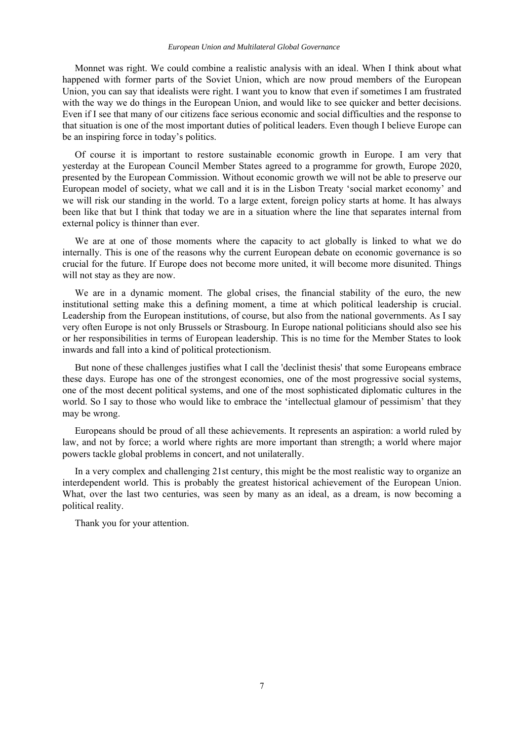Monnet was right. We could combine a realistic analysis with an ideal. When I think about what happened with former parts of the Soviet Union, which are now proud members of the European Union, you can say that idealists were right. I want you to know that even if sometimes I am frustrated with the way we do things in the European Union, and would like to see quicker and better decisions. Even if I see that many of our citizens face serious economic and social difficulties and the response to that situation is one of the most important duties of political leaders. Even though I believe Europe can be an inspiring force in today's politics.

Of course it is important to restore sustainable economic growth in Europe. I am very that yesterday at the European Council Member States agreed to a programme for growth, Europe 2020, presented by the European Commission. Without economic growth we will not be able to preserve our European model of society, what we call and it is in the Lisbon Treaty 'social market economy' and we will risk our standing in the world. To a large extent, foreign policy starts at home. It has always been like that but I think that today we are in a situation where the line that separates internal from external policy is thinner than ever.

We are at one of those moments where the capacity to act globally is linked to what we do internally. This is one of the reasons why the current European debate on economic governance is so crucial for the future. If Europe does not become more united, it will become more disunited. Things will not stay as they are now.

We are in a dynamic moment. The global crises, the financial stability of the euro, the new institutional setting make this a defining moment, a time at which political leadership is crucial. Leadership from the European institutions, of course, but also from the national governments. As I say very often Europe is not only Brussels or Strasbourg. In Europe national politicians should also see his or her responsibilities in terms of European leadership. This is no time for the Member States to look inwards and fall into a kind of political protectionism.

But none of these challenges justifies what I call the 'declinist thesis' that some Europeans embrace these days. Europe has one of the strongest economies, one of the most progressive social systems, one of the most decent political systems, and one of the most sophisticated diplomatic cultures in the world. So I say to those who would like to embrace the 'intellectual glamour of pessimism' that they may be wrong.

Europeans should be proud of all these achievements. It represents an aspiration: a world ruled by law, and not by force; a world where rights are more important than strength; a world where major powers tackle global problems in concert, and not unilaterally.

In a very complex and challenging 21st century, this might be the most realistic way to organize an interdependent world. This is probably the greatest historical achievement of the European Union. What, over the last two centuries, was seen by many as an ideal, as a dream, is now becoming a political reality.

Thank you for your attention.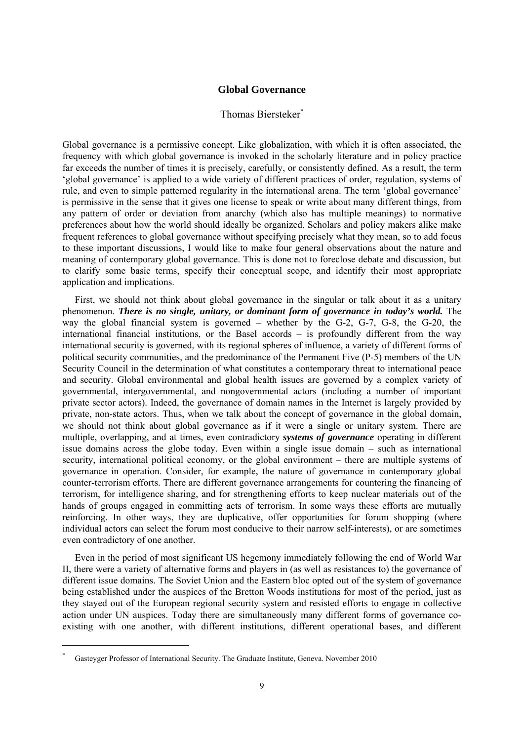# **Global Governance**

# Thomas Biersteker\*

Global governance is a permissive concept. Like globalization, with which it is often associated, the frequency with which global governance is invoked in the scholarly literature and in policy practice far exceeds the number of times it is precisely, carefully, or consistently defined. As a result, the term 'global governance' is applied to a wide variety of different practices of order, regulation, systems of rule, and even to simple patterned regularity in the international arena. The term 'global governance' is permissive in the sense that it gives one license to speak or write about many different things, from any pattern of order or deviation from anarchy (which also has multiple meanings) to normative preferences about how the world should ideally be organized. Scholars and policy makers alike make frequent references to global governance without specifying precisely what they mean, so to add focus to these important discussions, I would like to make four general observations about the nature and meaning of contemporary global governance. This is done not to foreclose debate and discussion, but to clarify some basic terms, specify their conceptual scope, and identify their most appropriate application and implications.

First, we should not think about global governance in the singular or talk about it as a unitary phenomenon. *There is no single, unitary, or dominant form of governance in today's world.* The way the global financial system is governed – whether by the G-2, G-7, G-8, the G-20, the international financial institutions, or the Basel accords – is profoundly different from the way international security is governed, with its regional spheres of influence, a variety of different forms of political security communities, and the predominance of the Permanent Five (P-5) members of the UN Security Council in the determination of what constitutes a contemporary threat to international peace and security. Global environmental and global health issues are governed by a complex variety of governmental, intergovernmental, and nongovernmental actors (including a number of important private sector actors). Indeed, the governance of domain names in the Internet is largely provided by private, non-state actors. Thus, when we talk about the concept of governance in the global domain, we should not think about global governance as if it were a single or unitary system. There are multiple, overlapping, and at times, even contradictory *systems of governance* operating in different issue domains across the globe today. Even within a single issue domain – such as international security, international political economy, or the global environment – there are multiple systems of governance in operation. Consider, for example, the nature of governance in contemporary global counter-terrorism efforts. There are different governance arrangements for countering the financing of terrorism, for intelligence sharing, and for strengthening efforts to keep nuclear materials out of the hands of groups engaged in committing acts of terrorism. In some ways these efforts are mutually reinforcing. In other ways, they are duplicative, offer opportunities for forum shopping (where individual actors can select the forum most conducive to their narrow self-interests), or are sometimes even contradictory of one another.

Even in the period of most significant US hegemony immediately following the end of World War II, there were a variety of alternative forms and players in (as well as resistances to) the governance of different issue domains. The Soviet Union and the Eastern bloc opted out of the system of governance being established under the auspices of the Bretton Woods institutions for most of the period, just as they stayed out of the European regional security system and resisted efforts to engage in collective action under UN auspices. Today there are simultaneously many different forms of governance coexisting with one another, with different institutions, different operational bases, and different

1

<sup>\*</sup> Gasteyger Professor of International Security. The Graduate Institute, Geneva. November 2010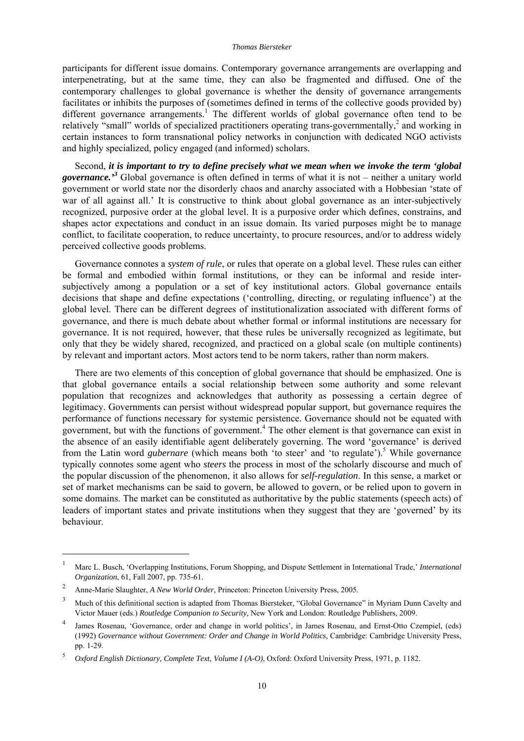participants for different issue domains. Contemporary governance arrangements are overlapping and interpenetrating, but at the same time, they can also be fragmented and diffused. One of the contemporary challenges to global governance is whether the density of governance arrangements facilitates or inhibits the purposes of (sometimes defined in terms of the collective goods provided by) different governance arrangements.<sup>1</sup> The different worlds of global governance often tend to be relatively "small" worlds of specialized practitioners operating trans-governmentally,<sup>2</sup> and working in certain instances to form transnational policy networks in conjunction with dedicated NGO activists and highly specialized, policy engaged (and informed) scholars.

Second, *it is important to try to define precisely what we mean when we invoke the term 'global governance.'<sup>3</sup>* Global governance is often defined in terms of what it is not – neither a unitary world government or world state nor the disorderly chaos and anarchy associated with a Hobbesian 'state of war of all against all.' It is constructive to think about global governance as an inter-subjectively recognized, purposive order at the global level. It is a purposive order which defines, constrains, and shapes actor expectations and conduct in an issue domain. Its varied purposes might be to manage conflict, to facilitate cooperation, to reduce uncertainty, to procure resources, and/or to address widely perceived collective goods problems.

Governance connotes a *system of rule*, or rules that operate on a global level. These rules can either be formal and embodied within formal institutions, or they can be informal and reside intersubjectively among a population or a set of key institutional actors. Global governance entails decisions that shape and define expectations ('controlling, directing, or regulating influence') at the global level. There can be different degrees of institutionalization associated with different forms of governance, and there is much debate about whether formal or informal institutions are necessary for governance. It is not required, however, that these rules be universally recognized as legitimate, but only that they be widely shared, recognized, and practiced on a global scale (on multiple continents) by relevant and important actors. Most actors tend to be norm takers, rather than norm makers.

There are two elements of this conception of global governance that should be emphasized. One is that global governance entails a social relationship between some authority and some relevant population that recognizes and acknowledges that authority as possessing a certain degree of legitimacy. Governments can persist without widespread popular support, but governance requires the performance of functions necessary for systemic persistence. Governance should not be equated with government, but with the functions of government.<sup>4</sup> The other element is that governance can exist in the absence of an easily identifiable agent deliberately governing. The word 'governance' is derived from the Latin word *gubernare* (which means both 'to steer' and 'to regulate').<sup>5</sup> While governance typically connotes some agent who *steers* the process in most of the scholarly discourse and much of the popular discussion of the phenomenon, it also allows for *self-regulation*. In this sense, a market or set of market mechanisms can be said to govern, be allowed to govern, or be relied upon to govern in some domains. The market can be constituted as authoritative by the public statements (speech acts) of leaders of important states and private institutions when they suggest that they are 'governed' by its behaviour.

-

<sup>1</sup> Marc L. Busch, 'Overlapping Institutions, Forum Shopping, and Dispute Settlement in International Trade,' *International Organization*, 61, Fall 2007, pp. 735-61.

<sup>2</sup> Anne-Marie Slaughter, *A New World Order*, Princeton: Princeton University Press, 2005.

<sup>3</sup> Much of this definitional section is adapted from Thomas Biersteker, "Global Governance" in Myriam Dunn Cavelty and Victor Mauer (eds.) *Routledge Companion to Security,* New York and London: Routledge Publishers, 2009.

<sup>4</sup> James Rosenau, 'Governance, order and change in world politics', in James Rosenau, and Ernst-Otto Czempiel, (eds) (1992) *Governance without Government: Order and Change in World Politics*, Cambridge: Cambridge University Press, pp. 1-29.

<sup>5</sup> *Oxford English Dictionary, Complete Text, Volume I (A-O)*, Oxford: Oxford University Press, 1971, p. 1182.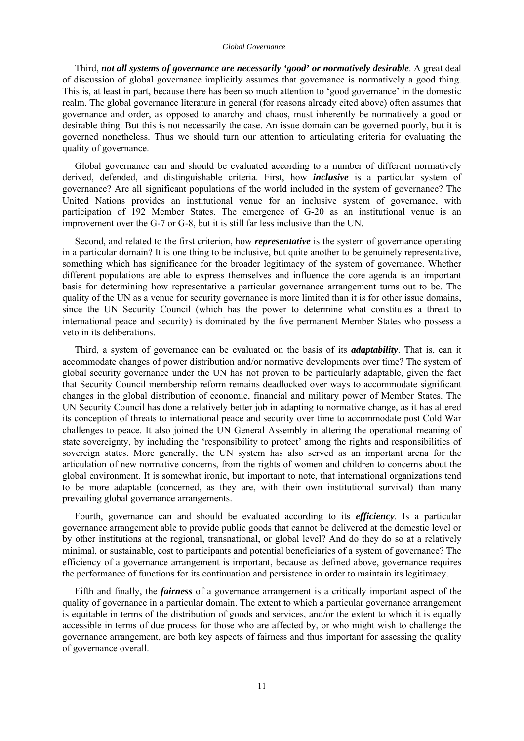Third, *not all systems of governance are necessarily 'good' or normatively desirable*. A great deal of discussion of global governance implicitly assumes that governance is normatively a good thing. This is, at least in part, because there has been so much attention to 'good governance' in the domestic realm. The global governance literature in general (for reasons already cited above) often assumes that governance and order, as opposed to anarchy and chaos, must inherently be normatively a good or desirable thing. But this is not necessarily the case. An issue domain can be governed poorly, but it is governed nonetheless. Thus we should turn our attention to articulating criteria for evaluating the quality of governance.

Global governance can and should be evaluated according to a number of different normatively derived, defended, and distinguishable criteria. First, how *inclusive* is a particular system of governance? Are all significant populations of the world included in the system of governance? The United Nations provides an institutional venue for an inclusive system of governance, with participation of 192 Member States. The emergence of G-20 as an institutional venue is an improvement over the G-7 or G-8, but it is still far less inclusive than the UN.

Second, and related to the first criterion, how *representative* is the system of governance operating in a particular domain? It is one thing to be inclusive, but quite another to be genuinely representative, something which has significance for the broader legitimacy of the system of governance. Whether different populations are able to express themselves and influence the core agenda is an important basis for determining how representative a particular governance arrangement turns out to be. The quality of the UN as a venue for security governance is more limited than it is for other issue domains, since the UN Security Council (which has the power to determine what constitutes a threat to international peace and security) is dominated by the five permanent Member States who possess a veto in its deliberations.

Third, a system of governance can be evaluated on the basis of its *adaptability*. That is, can it accommodate changes of power distribution and/or normative developments over time? The system of global security governance under the UN has not proven to be particularly adaptable, given the fact that Security Council membership reform remains deadlocked over ways to accommodate significant changes in the global distribution of economic, financial and military power of Member States. The UN Security Council has done a relatively better job in adapting to normative change, as it has altered its conception of threats to international peace and security over time to accommodate post Cold War challenges to peace. It also joined the UN General Assembly in altering the operational meaning of state sovereignty, by including the 'responsibility to protect' among the rights and responsibilities of sovereign states. More generally, the UN system has also served as an important arena for the articulation of new normative concerns, from the rights of women and children to concerns about the global environment. It is somewhat ironic, but important to note, that international organizations tend to be more adaptable (concerned, as they are, with their own institutional survival) than many prevailing global governance arrangements.

Fourth, governance can and should be evaluated according to its *efficiency*. Is a particular governance arrangement able to provide public goods that cannot be delivered at the domestic level or by other institutions at the regional, transnational, or global level? And do they do so at a relatively minimal, or sustainable, cost to participants and potential beneficiaries of a system of governance? The efficiency of a governance arrangement is important, because as defined above, governance requires the performance of functions for its continuation and persistence in order to maintain its legitimacy.

Fifth and finally, the *fairness* of a governance arrangement is a critically important aspect of the quality of governance in a particular domain. The extent to which a particular governance arrangement is equitable in terms of the distribution of goods and services, and/or the extent to which it is equally accessible in terms of due process for those who are affected by, or who might wish to challenge the governance arrangement, are both key aspects of fairness and thus important for assessing the quality of governance overall.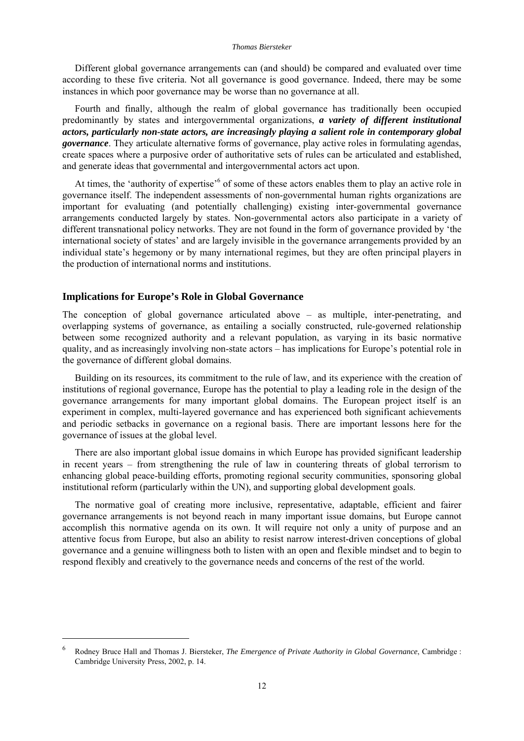#### *Thomas Biersteker*

Different global governance arrangements can (and should) be compared and evaluated over time according to these five criteria. Not all governance is good governance. Indeed, there may be some instances in which poor governance may be worse than no governance at all.

Fourth and finally, although the realm of global governance has traditionally been occupied predominantly by states and intergovernmental organizations, *a variety of different institutional actors, particularly non-state actors, are increasingly playing a salient role in contemporary global governance*. They articulate alternative forms of governance, play active roles in formulating agendas, create spaces where a purposive order of authoritative sets of rules can be articulated and established, and generate ideas that governmental and intergovernmental actors act upon.

At times, the 'authority of expertise'<sup>6</sup> of some of these actors enables them to play an active role in governance itself. The independent assessments of non-governmental human rights organizations are important for evaluating (and potentially challenging) existing inter-governmental governance arrangements conducted largely by states. Non-governmental actors also participate in a variety of different transnational policy networks. They are not found in the form of governance provided by 'the international society of states' and are largely invisible in the governance arrangements provided by an individual state's hegemony or by many international regimes, but they are often principal players in the production of international norms and institutions.

## **Implications for Europe's Role in Global Governance**

1

The conception of global governance articulated above – as multiple, inter-penetrating, and overlapping systems of governance, as entailing a socially constructed, rule-governed relationship between some recognized authority and a relevant population, as varying in its basic normative quality, and as increasingly involving non-state actors – has implications for Europe's potential role in the governance of different global domains.

Building on its resources, its commitment to the rule of law, and its experience with the creation of institutions of regional governance, Europe has the potential to play a leading role in the design of the governance arrangements for many important global domains. The European project itself is an experiment in complex, multi-layered governance and has experienced both significant achievements and periodic setbacks in governance on a regional basis. There are important lessons here for the governance of issues at the global level.

There are also important global issue domains in which Europe has provided significant leadership in recent years – from strengthening the rule of law in countering threats of global terrorism to enhancing global peace-building efforts, promoting regional security communities, sponsoring global institutional reform (particularly within the UN), and supporting global development goals.

The normative goal of creating more inclusive, representative, adaptable, efficient and fairer governance arrangements is not beyond reach in many important issue domains, but Europe cannot accomplish this normative agenda on its own. It will require not only a unity of purpose and an attentive focus from Europe, but also an ability to resist narrow interest-driven conceptions of global governance and a genuine willingness both to listen with an open and flexible mindset and to begin to respond flexibly and creatively to the governance needs and concerns of the rest of the world.

<sup>6</sup> Rodney Bruce Hall and Thomas J. Biersteker, *The Emergence of Private Authority in Global Governance*, Cambridge : Cambridge University Press, 2002, p. 14.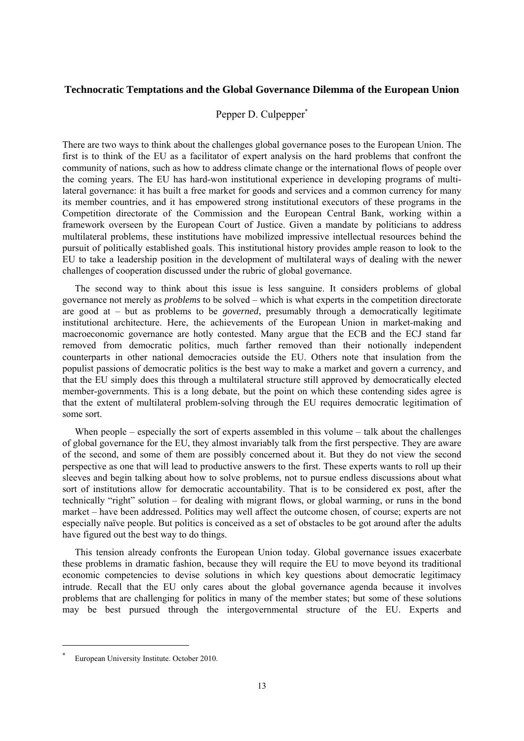# **Technocratic Temptations and the Global Governance Dilemma of the European Union**

# Pepper D. Culpepper<sup>\*</sup>

There are two ways to think about the challenges global governance poses to the European Union. The first is to think of the EU as a facilitator of expert analysis on the hard problems that confront the community of nations, such as how to address climate change or the international flows of people over the coming years. The EU has hard-won institutional experience in developing programs of multilateral governance: it has built a free market for goods and services and a common currency for many its member countries, and it has empowered strong institutional executors of these programs in the Competition directorate of the Commission and the European Central Bank, working within a framework overseen by the European Court of Justice. Given a mandate by politicians to address multilateral problems, these institutions have mobilized impressive intellectual resources behind the pursuit of politically established goals. This institutional history provides ample reason to look to the EU to take a leadership position in the development of multilateral ways of dealing with the newer challenges of cooperation discussed under the rubric of global governance.

The second way to think about this issue is less sanguine. It considers problems of global governance not merely as *problems* to be solved – which is what experts in the competition directorate are good at – but as problems to be *governed*, presumably through a democratically legitimate institutional architecture. Here, the achievements of the European Union in market-making and macroeconomic governance are hotly contested. Many argue that the ECB and the ECJ stand far removed from democratic politics, much farther removed than their notionally independent counterparts in other national democracies outside the EU. Others note that insulation from the populist passions of democratic politics is the best way to make a market and govern a currency, and that the EU simply does this through a multilateral structure still approved by democratically elected member-governments. This is a long debate, but the point on which these contending sides agree is that the extent of multilateral problem-solving through the EU requires democratic legitimation of some sort.

When people – especially the sort of experts assembled in this volume – talk about the challenges of global governance for the EU, they almost invariably talk from the first perspective. They are aware of the second, and some of them are possibly concerned about it. But they do not view the second perspective as one that will lead to productive answers to the first. These experts wants to roll up their sleeves and begin talking about how to solve problems, not to pursue endless discussions about what sort of institutions allow for democratic accountability. That is to be considered ex post, after the technically "right" solution – for dealing with migrant flows, or global warming, or runs in the bond market – have been addressed. Politics may well affect the outcome chosen, of course; experts are not especially naïve people. But politics is conceived as a set of obstacles to be got around after the adults have figured out the best way to do things.

This tension already confronts the European Union today. Global governance issues exacerbate these problems in dramatic fashion, because they will require the EU to move beyond its traditional economic competencies to devise solutions in which key questions about democratic legitimacy intrude. Recall that the EU only cares about the global governance agenda because it involves problems that are challenging for politics in many of the member states; but some of these solutions may be best pursued through the intergovernmental structure of the EU. Experts and

1

<sup>\*</sup> European University Institute. October 2010.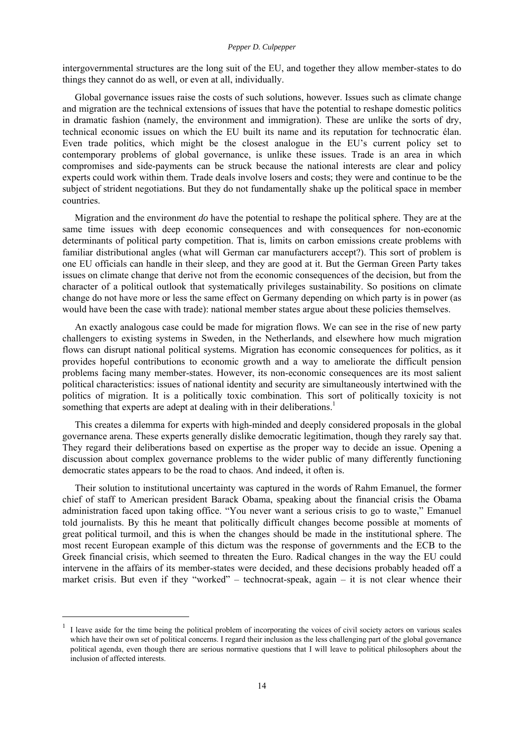#### *Pepper D. Culpepper*

intergovernmental structures are the long suit of the EU, and together they allow member-states to do things they cannot do as well, or even at all, individually.

Global governance issues raise the costs of such solutions, however. Issues such as climate change and migration are the technical extensions of issues that have the potential to reshape domestic politics in dramatic fashion (namely, the environment and immigration). These are unlike the sorts of dry, technical economic issues on which the EU built its name and its reputation for technocratic élan. Even trade politics, which might be the closest analogue in the EU's current policy set to contemporary problems of global governance, is unlike these issues. Trade is an area in which compromises and side-payments can be struck because the national interests are clear and policy experts could work within them. Trade deals involve losers and costs; they were and continue to be the subject of strident negotiations. But they do not fundamentally shake up the political space in member countries.

Migration and the environment *do* have the potential to reshape the political sphere. They are at the same time issues with deep economic consequences and with consequences for non-economic determinants of political party competition. That is, limits on carbon emissions create problems with familiar distributional angles (what will German car manufacturers accept?). This sort of problem is one EU officials can handle in their sleep, and they are good at it. But the German Green Party takes issues on climate change that derive not from the economic consequences of the decision, but from the character of a political outlook that systematically privileges sustainability. So positions on climate change do not have more or less the same effect on Germany depending on which party is in power (as would have been the case with trade): national member states argue about these policies themselves.

An exactly analogous case could be made for migration flows. We can see in the rise of new party challengers to existing systems in Sweden, in the Netherlands, and elsewhere how much migration flows can disrupt national political systems. Migration has economic consequences for politics, as it provides hopeful contributions to economic growth and a way to ameliorate the difficult pension problems facing many member-states. However, its non-economic consequences are its most salient political characteristics: issues of national identity and security are simultaneously intertwined with the politics of migration. It is a politically toxic combination. This sort of politically toxicity is not something that experts are adept at dealing with in their deliberations.<sup>1</sup>

This creates a dilemma for experts with high-minded and deeply considered proposals in the global governance arena. These experts generally dislike democratic legitimation, though they rarely say that. They regard their deliberations based on expertise as the proper way to decide an issue. Opening a discussion about complex governance problems to the wider public of many differently functioning democratic states appears to be the road to chaos. And indeed, it often is.

Their solution to institutional uncertainty was captured in the words of Rahm Emanuel, the former chief of staff to American president Barack Obama, speaking about the financial crisis the Obama administration faced upon taking office. "You never want a serious crisis to go to waste," Emanuel told journalists. By this he meant that politically difficult changes become possible at moments of great political turmoil, and this is when the changes should be made in the institutional sphere. The most recent European example of this dictum was the response of governments and the ECB to the Greek financial crisis, which seemed to threaten the Euro. Radical changes in the way the EU could intervene in the affairs of its member-states were decided, and these decisions probably headed off a market crisis. But even if they "worked" – technocrat-speak, again – it is not clear whence their

1

<sup>1</sup> I leave aside for the time being the political problem of incorporating the voices of civil society actors on various scales which have their own set of political concerns. I regard their inclusion as the less challenging part of the global governance political agenda, even though there are serious normative questions that I will leave to political philosophers about the inclusion of affected interests.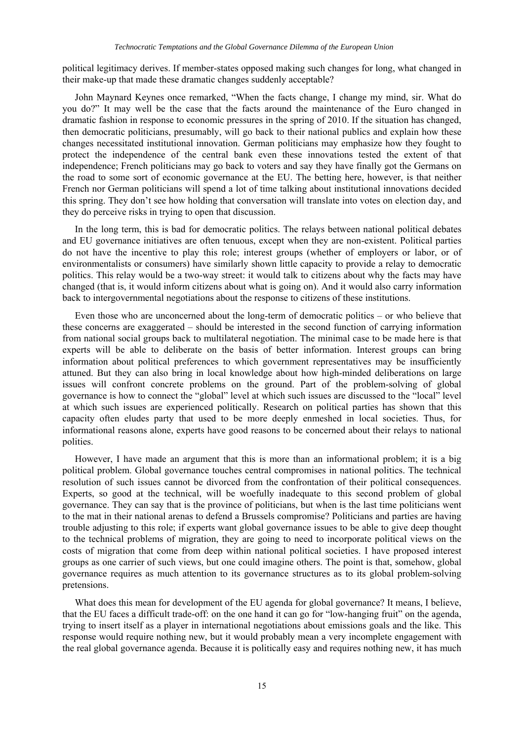political legitimacy derives. If member-states opposed making such changes for long, what changed in their make-up that made these dramatic changes suddenly acceptable?

John Maynard Keynes once remarked, "When the facts change, I change my mind, sir. What do you do?" It may well be the case that the facts around the maintenance of the Euro changed in dramatic fashion in response to economic pressures in the spring of 2010. If the situation has changed, then democratic politicians, presumably, will go back to their national publics and explain how these changes necessitated institutional innovation. German politicians may emphasize how they fought to protect the independence of the central bank even these innovations tested the extent of that independence; French politicians may go back to voters and say they have finally got the Germans on the road to some sort of economic governance at the EU. The betting here, however, is that neither French nor German politicians will spend a lot of time talking about institutional innovations decided this spring. They don't see how holding that conversation will translate into votes on election day, and they do perceive risks in trying to open that discussion.

In the long term, this is bad for democratic politics. The relays between national political debates and EU governance initiatives are often tenuous, except when they are non-existent. Political parties do not have the incentive to play this role; interest groups (whether of employers or labor, or of environmentalists or consumers) have similarly shown little capacity to provide a relay to democratic politics. This relay would be a two-way street: it would talk to citizens about why the facts may have changed (that is, it would inform citizens about what is going on). And it would also carry information back to intergovernmental negotiations about the response to citizens of these institutions.

Even those who are unconcerned about the long-term of democratic politics – or who believe that these concerns are exaggerated – should be interested in the second function of carrying information from national social groups back to multilateral negotiation. The minimal case to be made here is that experts will be able to deliberate on the basis of better information. Interest groups can bring information about political preferences to which government representatives may be insufficiently attuned. But they can also bring in local knowledge about how high-minded deliberations on large issues will confront concrete problems on the ground. Part of the problem-solving of global governance is how to connect the "global" level at which such issues are discussed to the "local" level at which such issues are experienced politically. Research on political parties has shown that this capacity often eludes party that used to be more deeply enmeshed in local societies. Thus, for informational reasons alone, experts have good reasons to be concerned about their relays to national polities.

However, I have made an argument that this is more than an informational problem; it is a big political problem. Global governance touches central compromises in national politics. The technical resolution of such issues cannot be divorced from the confrontation of their political consequences. Experts, so good at the technical, will be woefully inadequate to this second problem of global governance. They can say that is the province of politicians, but when is the last time politicians went to the mat in their national arenas to defend a Brussels compromise? Politicians and parties are having trouble adjusting to this role; if experts want global governance issues to be able to give deep thought to the technical problems of migration, they are going to need to incorporate political views on the costs of migration that come from deep within national political societies. I have proposed interest groups as one carrier of such views, but one could imagine others. The point is that, somehow, global governance requires as much attention to its governance structures as to its global problem-solving pretensions.

What does this mean for development of the EU agenda for global governance? It means, I believe, that the EU faces a difficult trade-off: on the one hand it can go for "low-hanging fruit" on the agenda, trying to insert itself as a player in international negotiations about emissions goals and the like. This response would require nothing new, but it would probably mean a very incomplete engagement with the real global governance agenda. Because it is politically easy and requires nothing new, it has much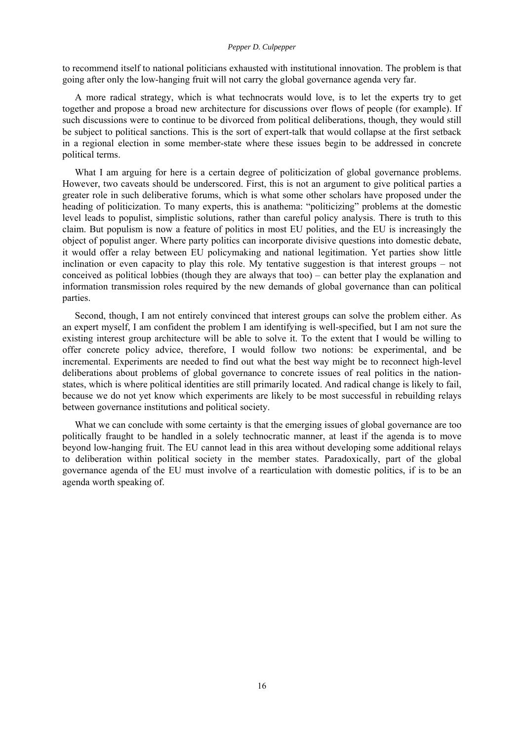#### *Pepper D. Culpepper*

to recommend itself to national politicians exhausted with institutional innovation. The problem is that going after only the low-hanging fruit will not carry the global governance agenda very far.

A more radical strategy, which is what technocrats would love, is to let the experts try to get together and propose a broad new architecture for discussions over flows of people (for example). If such discussions were to continue to be divorced from political deliberations, though, they would still be subject to political sanctions. This is the sort of expert-talk that would collapse at the first setback in a regional election in some member-state where these issues begin to be addressed in concrete political terms.

What I am arguing for here is a certain degree of politicization of global governance problems. However, two caveats should be underscored. First, this is not an argument to give political parties a greater role in such deliberative forums, which is what some other scholars have proposed under the heading of politicization. To many experts, this is anathema: "politicizing" problems at the domestic level leads to populist, simplistic solutions, rather than careful policy analysis. There is truth to this claim. But populism is now a feature of politics in most EU polities, and the EU is increasingly the object of populist anger. Where party politics can incorporate divisive questions into domestic debate, it would offer a relay between EU policymaking and national legitimation. Yet parties show little inclination or even capacity to play this role. My tentative suggestion is that interest groups – not conceived as political lobbies (though they are always that too) – can better play the explanation and information transmission roles required by the new demands of global governance than can political parties.

Second, though, I am not entirely convinced that interest groups can solve the problem either. As an expert myself, I am confident the problem I am identifying is well-specified, but I am not sure the existing interest group architecture will be able to solve it. To the extent that I would be willing to offer concrete policy advice, therefore, I would follow two notions: be experimental, and be incremental. Experiments are needed to find out what the best way might be to reconnect high-level deliberations about problems of global governance to concrete issues of real politics in the nationstates, which is where political identities are still primarily located. And radical change is likely to fail, because we do not yet know which experiments are likely to be most successful in rebuilding relays between governance institutions and political society.

What we can conclude with some certainty is that the emerging issues of global governance are too politically fraught to be handled in a solely technocratic manner, at least if the agenda is to move beyond low-hanging fruit. The EU cannot lead in this area without developing some additional relays to deliberation within political society in the member states. Paradoxically, part of the global governance agenda of the EU must involve of a rearticulation with domestic politics, if is to be an agenda worth speaking of.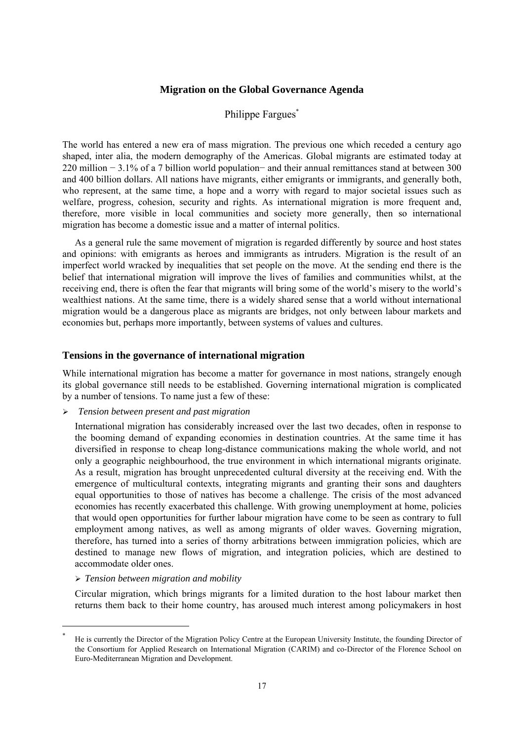# **Migration on the Global Governance Agenda**

# Philippe Fargues<sup>\*</sup>

The world has entered a new era of mass migration. The previous one which receded a century ago shaped, inter alia, the modern demography of the Americas. Global migrants are estimated today at 220 million − 3.1% of a 7 billion world population− and their annual remittances stand at between 300 and 400 billion dollars. All nations have migrants, either emigrants or immigrants, and generally both, who represent, at the same time, a hope and a worry with regard to major societal issues such as welfare, progress, cohesion, security and rights. As international migration is more frequent and, therefore, more visible in local communities and society more generally, then so international migration has become a domestic issue and a matter of internal politics.

As a general rule the same movement of migration is regarded differently by source and host states and opinions: with emigrants as heroes and immigrants as intruders. Migration is the result of an imperfect world wracked by inequalities that set people on the move. At the sending end there is the belief that international migration will improve the lives of families and communities whilst, at the receiving end, there is often the fear that migrants will bring some of the world's misery to the world's wealthiest nations. At the same time, there is a widely shared sense that a world without international migration would be a dangerous place as migrants are bridges, not only between labour markets and economies but, perhaps more importantly, between systems of values and cultures.

#### **Tensions in the governance of international migration**

While international migration has become a matter for governance in most nations, strangely enough its global governance still needs to be established. Governing international migration is complicated by a number of tensions. To name just a few of these:

¾ *Tension between present and past migration* 

International migration has considerably increased over the last two decades, often in response to the booming demand of expanding economies in destination countries. At the same time it has diversified in response to cheap long-distance communications making the whole world, and not only a geographic neighbourhood, the true environment in which international migrants originate. As a result, migration has brought unprecedented cultural diversity at the receiving end. With the emergence of multicultural contexts, integrating migrants and granting their sons and daughters equal opportunities to those of natives has become a challenge. The crisis of the most advanced economies has recently exacerbated this challenge. With growing unemployment at home, policies that would open opportunities for further labour migration have come to be seen as contrary to full employment among natives, as well as among migrants of older waves. Governing migration, therefore, has turned into a series of thorny arbitrations between immigration policies, which are destined to manage new flows of migration, and integration policies, which are destined to accommodate older ones.

#### ¾ *Tension between migration and mobility*

1

Circular migration, which brings migrants for a limited duration to the host labour market then returns them back to their home country, has aroused much interest among policymakers in host

<sup>\*</sup> He is currently the Director of the Migration Policy Centre at the European University Institute, the founding Director of the Consortium for Applied Research on International Migration (CARIM) and co-Director of the Florence School on Euro-Mediterranean Migration and Development.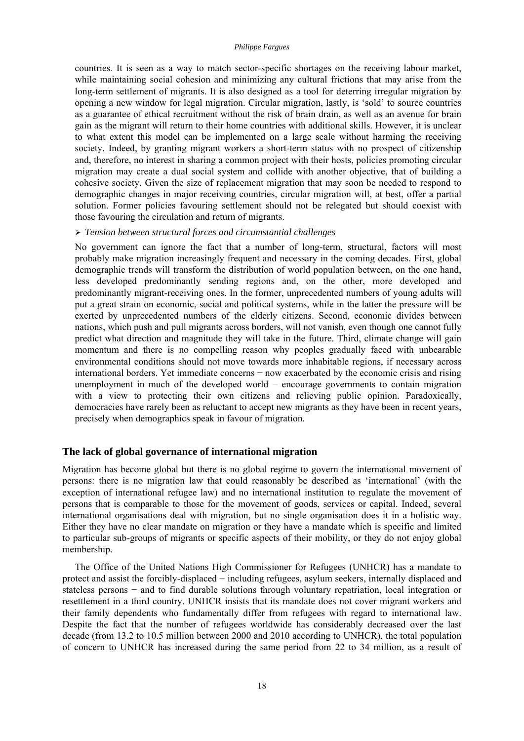countries. It is seen as a way to match sector-specific shortages on the receiving labour market, while maintaining social cohesion and minimizing any cultural frictions that may arise from the long-term settlement of migrants. It is also designed as a tool for deterring irregular migration by opening a new window for legal migration. Circular migration, lastly, is 'sold' to source countries as a guarantee of ethical recruitment without the risk of brain drain, as well as an avenue for brain gain as the migrant will return to their home countries with additional skills. However, it is unclear to what extent this model can be implemented on a large scale without harming the receiving society. Indeed, by granting migrant workers a short-term status with no prospect of citizenship and, therefore, no interest in sharing a common project with their hosts, policies promoting circular migration may create a dual social system and collide with another objective, that of building a cohesive society. Given the size of replacement migration that may soon be needed to respond to demographic changes in major receiving countries, circular migration will, at best, offer a partial solution. Former policies favouring settlement should not be relegated but should coexist with those favouring the circulation and return of migrants.

#### ¾ *Tension between structural forces and circumstantial challenges*

No government can ignore the fact that a number of long-term, structural, factors will most probably make migration increasingly frequent and necessary in the coming decades. First, global demographic trends will transform the distribution of world population between, on the one hand, less developed predominantly sending regions and, on the other, more developed and predominantly migrant-receiving ones. In the former, unprecedented numbers of young adults will put a great strain on economic, social and political systems, while in the latter the pressure will be exerted by unprecedented numbers of the elderly citizens. Second, economic divides between nations, which push and pull migrants across borders, will not vanish, even though one cannot fully predict what direction and magnitude they will take in the future. Third, climate change will gain momentum and there is no compelling reason why peoples gradually faced with unbearable environmental conditions should not move towards more inhabitable regions, if necessary across international borders. Yet immediate concerns − now exacerbated by the economic crisis and rising unemployment in much of the developed world − encourage governments to contain migration with a view to protecting their own citizens and relieving public opinion. Paradoxically, democracies have rarely been as reluctant to accept new migrants as they have been in recent years, precisely when demographics speak in favour of migration.

# **The lack of global governance of international migration**

Migration has become global but there is no global regime to govern the international movement of persons: there is no migration law that could reasonably be described as 'international' (with the exception of international refugee law) and no international institution to regulate the movement of persons that is comparable to those for the movement of goods, services or capital. Indeed, several international organisations deal with migration, but no single organisation does it in a holistic way. Either they have no clear mandate on migration or they have a mandate which is specific and limited to particular sub-groups of migrants or specific aspects of their mobility, or they do not enjoy global membership.

The Office of the United Nations High Commissioner for Refugees (UNHCR) has a mandate to protect and assist the forcibly-displaced − including refugees, asylum seekers, internally displaced and stateless persons – and to find durable solutions through voluntary repatriation, local integration or resettlement in a third country. UNHCR insists that its mandate does not cover migrant workers and their family dependents who fundamentally differ from refugees with regard to international law. Despite the fact that the number of refugees worldwide has considerably decreased over the last decade (from 13.2 to 10.5 million between 2000 and 2010 according to UNHCR), the total population of concern to UNHCR has increased during the same period from 22 to 34 million, as a result of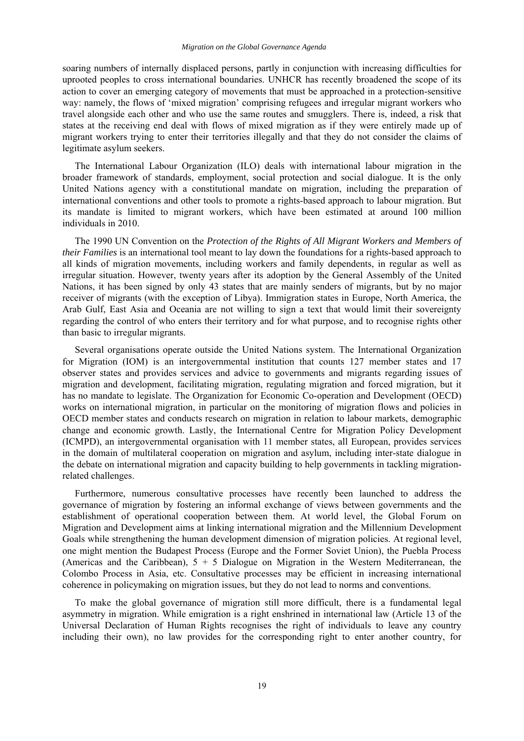soaring numbers of internally displaced persons, partly in conjunction with increasing difficulties for uprooted peoples to cross international boundaries. UNHCR has recently broadened the scope of its action to cover an emerging category of movements that must be approached in a protection-sensitive way: namely, the flows of 'mixed migration' comprising refugees and irregular migrant workers who travel alongside each other and who use the same routes and smugglers. There is, indeed, a risk that states at the receiving end deal with flows of mixed migration as if they were entirely made up of migrant workers trying to enter their territories illegally and that they do not consider the claims of legitimate asylum seekers.

The International Labour Organization (ILO) deals with international labour migration in the broader framework of standards, employment, social protection and social dialogue. It is the only United Nations agency with a constitutional mandate on migration, including the preparation of international conventions and other tools to promote a rights-based approach to labour migration. But its mandate is limited to migrant workers, which have been estimated at around 100 million individuals in 2010.

The 1990 UN Convention on the *Protection of the Rights of All Migrant Workers and Members of their Families* is an international tool meant to lay down the foundations for a rights-based approach to all kinds of migration movements, including workers and family dependents, in regular as well as irregular situation. However, twenty years after its adoption by the General Assembly of the United Nations, it has been signed by only 43 states that are mainly senders of migrants, but by no major receiver of migrants (with the exception of Libya). Immigration states in Europe, North America, the Arab Gulf, East Asia and Oceania are not willing to sign a text that would limit their sovereignty regarding the control of who enters their territory and for what purpose, and to recognise rights other than basic to irregular migrants.

Several organisations operate outside the United Nations system. The International Organization for Migration (IOM) is an intergovernmental institution that counts 127 member states and 17 observer states and provides services and advice to governments and migrants regarding issues of migration and development, facilitating migration, regulating migration and forced migration, but it has no mandate to legislate. The Organization for Economic Co-operation and Development (OECD) works on international migration, in particular on the monitoring of migration flows and policies in OECD member states and conducts research on migration in relation to labour markets, demographic change and economic growth. Lastly, the International Centre for Migration Policy Development (ICMPD), an intergovernmental organisation with 11 member states, all European, provides services in the domain of multilateral cooperation on migration and asylum, including inter-state dialogue in the debate on international migration and capacity building to help governments in tackling migrationrelated challenges.

Furthermore, numerous consultative processes have recently been launched to address the governance of migration by fostering an informal exchange of views between governments and the establishment of operational cooperation between them. At world level, the Global Forum on Migration and Development aims at linking international migration and the Millennium Development Goals while strengthening the human development dimension of migration policies. At regional level, one might mention the Budapest Process (Europe and the Former Soviet Union), the Puebla Process (Americas and the Caribbean),  $5 + 5$  Dialogue on Migration in the Western Mediterranean, the Colombo Process in Asia, etc. Consultative processes may be efficient in increasing international coherence in policymaking on migration issues, but they do not lead to norms and conventions.

To make the global governance of migration still more difficult, there is a fundamental legal asymmetry in migration. While emigration is a right enshrined in international law (Article 13 of the Universal Declaration of Human Rights recognises the right of individuals to leave any country including their own), no law provides for the corresponding right to enter another country, for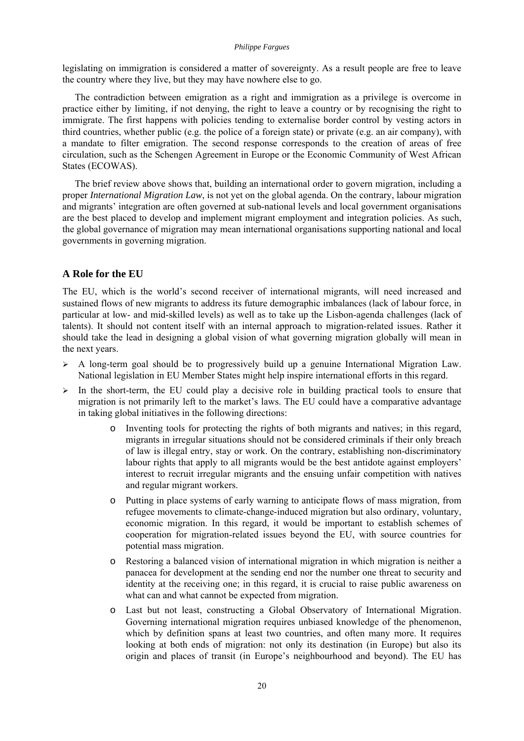#### *Philippe Fargues*

legislating on immigration is considered a matter of sovereignty. As a result people are free to leave the country where they live, but they may have nowhere else to go.

The contradiction between emigration as a right and immigration as a privilege is overcome in practice either by limiting, if not denying, the right to leave a country or by recognising the right to immigrate. The first happens with policies tending to externalise border control by vesting actors in third countries, whether public (e.g. the police of a foreign state) or private (e.g. an air company), with a mandate to filter emigration. The second response corresponds to the creation of areas of free circulation, such as the Schengen Agreement in Europe or the Economic Community of West African States (ECOWAS).

The brief review above shows that, building an international order to govern migration, including a proper *International Migration Law*, is not yet on the global agenda. On the contrary, labour migration and migrants' integration are often governed at sub-national levels and local government organisations are the best placed to develop and implement migrant employment and integration policies. As such, the global governance of migration may mean international organisations supporting national and local governments in governing migration.

# **A Role for the EU**

The EU, which is the world's second receiver of international migrants, will need increased and sustained flows of new migrants to address its future demographic imbalances (lack of labour force, in particular at low- and mid-skilled levels) as well as to take up the Lisbon-agenda challenges (lack of talents). It should not content itself with an internal approach to migration-related issues. Rather it should take the lead in designing a global vision of what governing migration globally will mean in the next years.

- $\triangleright$  A long-term goal should be to progressively build up a genuine International Migration Law. National legislation in EU Member States might help inspire international efforts in this regard.
- $\geq$  In the short-term, the EU could play a decisive role in building practical tools to ensure that migration is not primarily left to the market's laws. The EU could have a comparative advantage in taking global initiatives in the following directions:
	- o Inventing tools for protecting the rights of both migrants and natives; in this regard, migrants in irregular situations should not be considered criminals if their only breach of law is illegal entry, stay or work. On the contrary, establishing non-discriminatory labour rights that apply to all migrants would be the best antidote against employers' interest to recruit irregular migrants and the ensuing unfair competition with natives and regular migrant workers.
	- o Putting in place systems of early warning to anticipate flows of mass migration, from refugee movements to climate-change-induced migration but also ordinary, voluntary, economic migration. In this regard, it would be important to establish schemes of cooperation for migration-related issues beyond the EU, with source countries for potential mass migration.
	- o Restoring a balanced vision of international migration in which migration is neither a panacea for development at the sending end nor the number one threat to security and identity at the receiving one; in this regard, it is crucial to raise public awareness on what can and what cannot be expected from migration.
	- o Last but not least, constructing a Global Observatory of International Migration. Governing international migration requires unbiased knowledge of the phenomenon, which by definition spans at least two countries, and often many more. It requires looking at both ends of migration: not only its destination (in Europe) but also its origin and places of transit (in Europe's neighbourhood and beyond). The EU has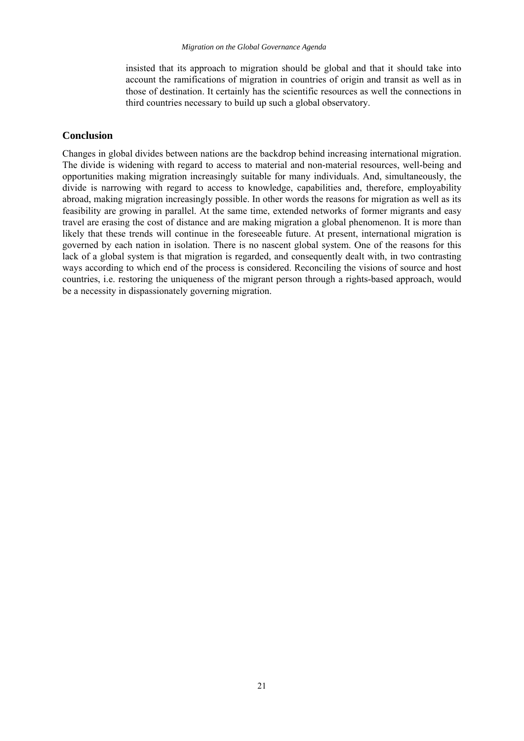insisted that its approach to migration should be global and that it should take into account the ramifications of migration in countries of origin and transit as well as in those of destination. It certainly has the scientific resources as well the connections in third countries necessary to build up such a global observatory.

# **Conclusion**

Changes in global divides between nations are the backdrop behind increasing international migration. The divide is widening with regard to access to material and non-material resources, well-being and opportunities making migration increasingly suitable for many individuals. And, simultaneously, the divide is narrowing with regard to access to knowledge, capabilities and, therefore, employability abroad, making migration increasingly possible. In other words the reasons for migration as well as its feasibility are growing in parallel. At the same time, extended networks of former migrants and easy travel are erasing the cost of distance and are making migration a global phenomenon. It is more than likely that these trends will continue in the foreseeable future. At present, international migration is governed by each nation in isolation. There is no nascent global system. One of the reasons for this lack of a global system is that migration is regarded, and consequently dealt with, in two contrasting ways according to which end of the process is considered. Reconciling the visions of source and host countries, i.e. restoring the uniqueness of the migrant person through a rights-based approach, would be a necessity in dispassionately governing migration.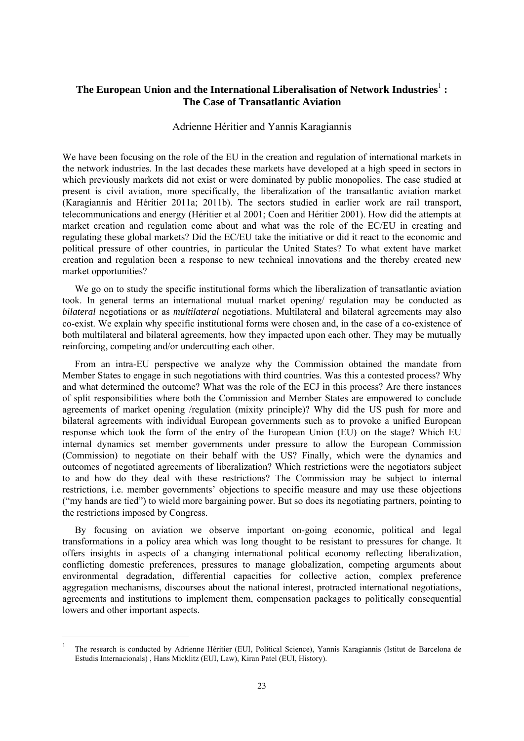# The European Union and the International Liberalisation of Network Industries<sup>1</sup>: **The Case of Transatlantic Aviation**

# Adrienne Héritier and Yannis Karagiannis

We have been focusing on the role of the EU in the creation and regulation of international markets in the network industries. In the last decades these markets have developed at a high speed in sectors in which previously markets did not exist or were dominated by public monopolies. The case studied at present is civil aviation, more specifically, the liberalization of the transatlantic aviation market (Karagiannis and Héritier 2011a; 2011b). The sectors studied in earlier work are rail transport, telecommunications and energy (Héritier et al 2001; Coen and Héritier 2001). How did the attempts at market creation and regulation come about and what was the role of the EC/EU in creating and regulating these global markets? Did the EC/EU take the initiative or did it react to the economic and political pressure of other countries, in particular the United States? To what extent have market creation and regulation been a response to new technical innovations and the thereby created new market opportunities?

We go on to study the specific institutional forms which the liberalization of transatlantic aviation took. In general terms an international mutual market opening/ regulation may be conducted as *bilateral* negotiations or as *multilateral* negotiations. Multilateral and bilateral agreements may also co-exist. We explain why specific institutional forms were chosen and, in the case of a co-existence of both multilateral and bilateral agreements, how they impacted upon each other. They may be mutually reinforcing, competing and/or undercutting each other.

From an intra-EU perspective we analyze why the Commission obtained the mandate from Member States to engage in such negotiations with third countries. Was this a contested process? Why and what determined the outcome? What was the role of the ECJ in this process? Are there instances of split responsibilities where both the Commission and Member States are empowered to conclude agreements of market opening /regulation (mixity principle)? Why did the US push for more and bilateral agreements with individual European governments such as to provoke a unified European response which took the form of the entry of the European Union (EU) on the stage? Which EU internal dynamics set member governments under pressure to allow the European Commission (Commission) to negotiate on their behalf with the US? Finally, which were the dynamics and outcomes of negotiated agreements of liberalization? Which restrictions were the negotiators subject to and how do they deal with these restrictions? The Commission may be subject to internal restrictions, i.e. member governments' objections to specific measure and may use these objections ("my hands are tied") to wield more bargaining power. But so does its negotiating partners, pointing to the restrictions imposed by Congress.

By focusing on aviation we observe important on-going economic, political and legal transformations in a policy area which was long thought to be resistant to pressures for change. It offers insights in aspects of a changing international political economy reflecting liberalization, conflicting domestic preferences, pressures to manage globalization, competing arguments about environmental degradation, differential capacities for collective action, complex preference aggregation mechanisms, discourses about the national interest, protracted international negotiations, agreements and institutions to implement them, compensation packages to politically consequential lowers and other important aspects.

-

<sup>1</sup> The research is conducted by Adrienne Héritier (EUI, Political Science), Yannis Karagiannis (Istitut de Barcelona de Estudis Internacionals) , Hans Micklitz (EUI, Law), Kiran Patel (EUI, History).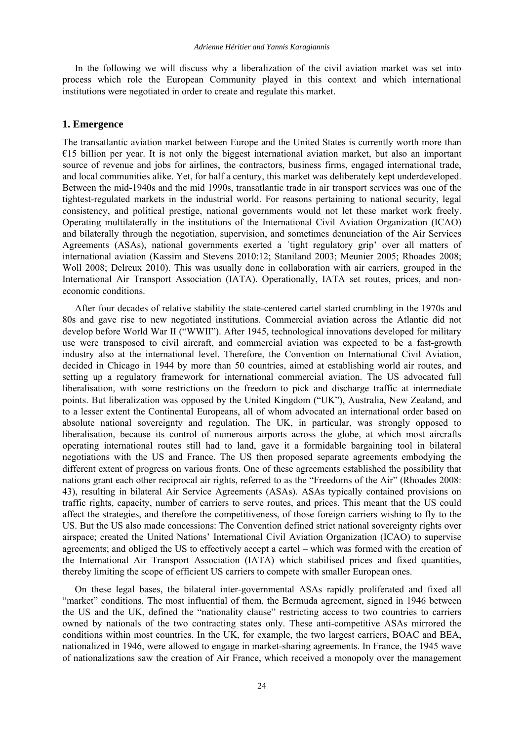In the following we will discuss why a liberalization of the civil aviation market was set into process which role the European Community played in this context and which international institutions were negotiated in order to create and regulate this market.

# **1. Emergence**

The transatlantic aviation market between Europe and the United States is currently worth more than  $€15$  billion per year. It is not only the biggest international aviation market, but also an important source of revenue and jobs for airlines, the contractors, business firms, engaged international trade, and local communities alike. Yet, for half a century, this market was deliberately kept underdeveloped. Between the mid-1940s and the mid 1990s, transatlantic trade in air transport services was one of the tightest-regulated markets in the industrial world. For reasons pertaining to national security, legal consistency, and political prestige, national governments would not let these market work freely. Operating multilaterally in the institutions of the International Civil Aviation Organization (ICAO) and bilaterally through the negotiation, supervision, and sometimes denunciation of the Air Services Agreements (ASAs), national governments exerted a ´tight regulatory grip' over all matters of international aviation (Kassim and Stevens 2010:12; Staniland 2003; Meunier 2005; Rhoades 2008; Woll 2008; Delreux 2010). This was usually done in collaboration with air carriers, grouped in the International Air Transport Association (IATA). Operationally, IATA set routes, prices, and noneconomic conditions.

After four decades of relative stability the state-centered cartel started crumbling in the 1970s and 80s and gave rise to new negotiated institutions. Commercial aviation across the Atlantic did not develop before World War II ("WWII"). After 1945, technological innovations developed for military use were transposed to civil aircraft, and commercial aviation was expected to be a fast-growth industry also at the international level. Therefore, the Convention on International Civil Aviation, decided in Chicago in 1944 by more than 50 countries, aimed at establishing world air routes, and setting up a regulatory framework for international commercial aviation. The US advocated full liberalisation, with some restrictions on the freedom to pick and discharge traffic at intermediate points. But liberalization was opposed by the United Kingdom ("UK"), Australia, New Zealand, and to a lesser extent the Continental Europeans, all of whom advocated an international order based on absolute national sovereignty and regulation. The UK, in particular, was strongly opposed to liberalisation, because its control of numerous airports across the globe, at which most aircrafts operating international routes still had to land, gave it a formidable bargaining tool in bilateral negotiations with the US and France. The US then proposed separate agreements embodying the different extent of progress on various fronts. One of these agreements established the possibility that nations grant each other reciprocal air rights, referred to as the "Freedoms of the Air" (Rhoades 2008: 43), resulting in bilateral Air Service Agreements (ASAs). ASAs typically contained provisions on traffic rights, capacity, number of carriers to serve routes, and prices. This meant that the US could affect the strategies, and therefore the competitiveness, of those foreign carriers wishing to fly to the US. But the US also made concessions: The Convention defined strict national sovereignty rights over airspace; created the United Nations' International Civil Aviation Organization (ICAO) to supervise agreements; and obliged the US to effectively accept a cartel – which was formed with the creation of the International Air Transport Association (IATA) which stabilised prices and fixed quantities, thereby limiting the scope of efficient US carriers to compete with smaller European ones.

On these legal bases, the bilateral inter-governmental ASAs rapidly proliferated and fixed all "market" conditions. The most influential of them, the Bermuda agreement, signed in 1946 between the US and the UK, defined the "nationality clause" restricting access to two countries to carriers owned by nationals of the two contracting states only. These anti-competitive ASAs mirrored the conditions within most countries. In the UK, for example, the two largest carriers, BOAC and BEA, nationalized in 1946, were allowed to engage in market-sharing agreements. In France, the 1945 wave of nationalizations saw the creation of Air France, which received a monopoly over the management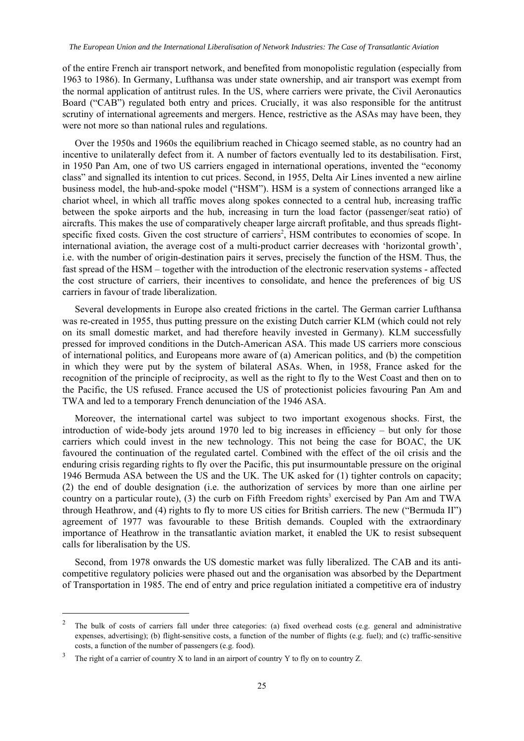of the entire French air transport network, and benefited from monopolistic regulation (especially from 1963 to 1986). In Germany, Lufthansa was under state ownership, and air transport was exempt from the normal application of antitrust rules. In the US, where carriers were private, the Civil Aeronautics Board ("CAB") regulated both entry and prices. Crucially, it was also responsible for the antitrust scrutiny of international agreements and mergers. Hence, restrictive as the ASAs may have been, they were not more so than national rules and regulations.

Over the 1950s and 1960s the equilibrium reached in Chicago seemed stable, as no country had an incentive to unilaterally defect from it. A number of factors eventually led to its destabilisation. First, in 1950 Pan Am, one of two US carriers engaged in international operations, invented the "economy class" and signalled its intention to cut prices. Second, in 1955, Delta Air Lines invented a new airline business model, the hub-and-spoke model ("HSM"). HSM is a system of connections arranged like a chariot wheel, in which all traffic moves along spokes connected to a central hub, increasing traffic between the spoke airports and the hub, increasing in turn the load factor (passenger/seat ratio) of aircrafts. This makes the use of comparatively cheaper large aircraft profitable, and thus spreads flightspecific fixed costs. Given the cost structure of carriers<sup>2</sup>, HSM contributes to economies of scope. In international aviation, the average cost of a multi-product carrier decreases with 'horizontal growth', i.e. with the number of origin-destination pairs it serves, precisely the function of the HSM. Thus, the fast spread of the HSM – together with the introduction of the electronic reservation systems - affected the cost structure of carriers, their incentives to consolidate, and hence the preferences of big US carriers in favour of trade liberalization.

Several developments in Europe also created frictions in the cartel. The German carrier Lufthansa was re-created in 1955, thus putting pressure on the existing Dutch carrier KLM (which could not rely on its small domestic market, and had therefore heavily invested in Germany). KLM successfully pressed for improved conditions in the Dutch-American ASA. This made US carriers more conscious of international politics, and Europeans more aware of (a) American politics, and (b) the competition in which they were put by the system of bilateral ASAs. When, in 1958, France asked for the recognition of the principle of reciprocity, as well as the right to fly to the West Coast and then on to the Pacific, the US refused. France accused the US of protectionist policies favouring Pan Am and TWA and led to a temporary French denunciation of the 1946 ASA.

Moreover, the international cartel was subject to two important exogenous shocks. First, the introduction of wide-body jets around 1970 led to big increases in efficiency – but only for those carriers which could invest in the new technology. This not being the case for BOAC, the UK favoured the continuation of the regulated cartel. Combined with the effect of the oil crisis and the enduring crisis regarding rights to fly over the Pacific, this put insurmountable pressure on the original 1946 Bermuda ASA between the US and the UK. The UK asked for (1) tighter controls on capacity; (2) the end of double designation (i.e. the authorization of services by more than one airline per country on a particular route), (3) the curb on Fifth Freedom rights<sup>3</sup> exercised by Pan Am and TWA through Heathrow, and (4) rights to fly to more US cities for British carriers. The new ("Bermuda II") agreement of 1977 was favourable to these British demands. Coupled with the extraordinary importance of Heathrow in the transatlantic aviation market, it enabled the UK to resist subsequent calls for liberalisation by the US.

Second, from 1978 onwards the US domestic market was fully liberalized. The CAB and its anticompetitive regulatory policies were phased out and the organisation was absorbed by the Department of Transportation in 1985. The end of entry and price regulation initiated a competitive era of industry

1

<sup>2</sup> The bulk of costs of carriers fall under three categories: (a) fixed overhead costs (e.g. general and administrative expenses, advertising); (b) flight-sensitive costs, a function of the number of flights (e.g. fuel); and (c) traffic-sensitive costs, a function of the number of passengers (e.g. food).

<sup>3</sup> The right of a carrier of country X to land in an airport of country Y to fly on to country Z.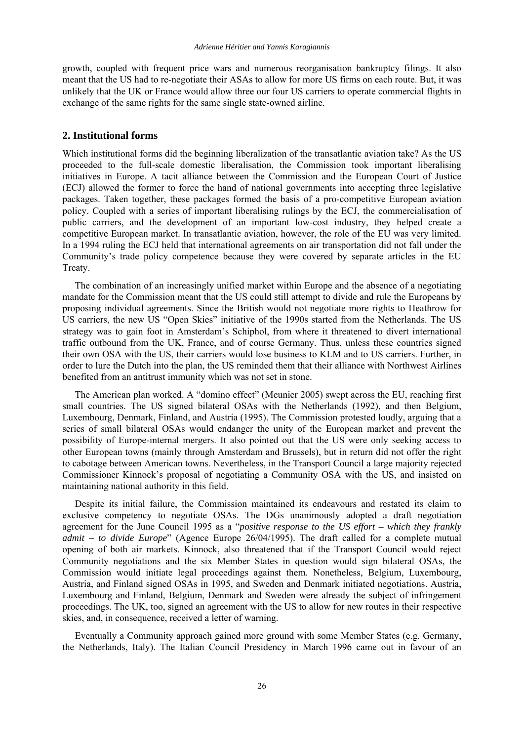growth, coupled with frequent price wars and numerous reorganisation bankruptcy filings. It also meant that the US had to re-negotiate their ASAs to allow for more US firms on each route. But, it was unlikely that the UK or France would allow three our four US carriers to operate commercial flights in exchange of the same rights for the same single state-owned airline.

#### **2. Institutional forms**

Which institutional forms did the beginning liberalization of the transatlantic aviation take? As the US proceeded to the full-scale domestic liberalisation, the Commission took important liberalising initiatives in Europe. A tacit alliance between the Commission and the European Court of Justice (ECJ) allowed the former to force the hand of national governments into accepting three legislative packages. Taken together, these packages formed the basis of a pro-competitive European aviation policy. Coupled with a series of important liberalising rulings by the ECJ, the commercialisation of public carriers, and the development of an important low-cost industry, they helped create a competitive European market. In transatlantic aviation, however, the role of the EU was very limited. In a 1994 ruling the ECJ held that international agreements on air transportation did not fall under the Community's trade policy competence because they were covered by separate articles in the EU Treaty.

The combination of an increasingly unified market within Europe and the absence of a negotiating mandate for the Commission meant that the US could still attempt to divide and rule the Europeans by proposing individual agreements. Since the British would not negotiate more rights to Heathrow for US carriers, the new US "Open Skies" initiative of the 1990s started from the Netherlands. The US strategy was to gain foot in Amsterdam's Schiphol, from where it threatened to divert international traffic outbound from the UK, France, and of course Germany. Thus, unless these countries signed their own OSA with the US, their carriers would lose business to KLM and to US carriers. Further, in order to lure the Dutch into the plan, the US reminded them that their alliance with Northwest Airlines benefited from an antitrust immunity which was not set in stone.

The American plan worked. A "domino effect" (Meunier 2005) swept across the EU, reaching first small countries. The US signed bilateral OSAs with the Netherlands (1992), and then Belgium, Luxembourg, Denmark, Finland, and Austria (1995). The Commission protested loudly, arguing that a series of small bilateral OSAs would endanger the unity of the European market and prevent the possibility of Europe-internal mergers. It also pointed out that the US were only seeking access to other European towns (mainly through Amsterdam and Brussels), but in return did not offer the right to cabotage between American towns. Nevertheless, in the Transport Council a large majority rejected Commissioner Kinnock's proposal of negotiating a Community OSA with the US, and insisted on maintaining national authority in this field.

Despite its initial failure, the Commission maintained its endeavours and restated its claim to exclusive competency to negotiate OSAs. The DGs unanimously adopted a draft negotiation agreement for the June Council 1995 as a "*positive response to the US effort – which they frankly admit – to divide Europe*" (Agence Europe 26/04/1995). The draft called for a complete mutual opening of both air markets. Kinnock, also threatened that if the Transport Council would reject Community negotiations and the six Member States in question would sign bilateral OSAs, the Commission would initiate legal proceedings against them. Nonetheless, Belgium, Luxembourg, Austria, and Finland signed OSAs in 1995, and Sweden and Denmark initiated negotiations. Austria, Luxembourg and Finland, Belgium, Denmark and Sweden were already the subject of infringement proceedings. The UK, too, signed an agreement with the US to allow for new routes in their respective skies, and, in consequence, received a letter of warning.

Eventually a Community approach gained more ground with some Member States (e.g. Germany, the Netherlands, Italy). The Italian Council Presidency in March 1996 came out in favour of an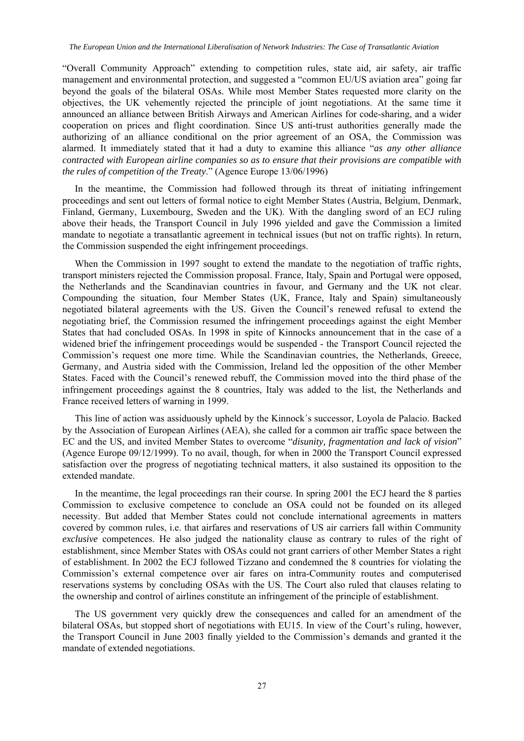"Overall Community Approach" extending to competition rules, state aid, air safety, air traffic management and environmental protection, and suggested a "common EU/US aviation area" going far beyond the goals of the bilateral OSAs. While most Member States requested more clarity on the objectives, the UK vehemently rejected the principle of joint negotiations. At the same time it announced an alliance between British Airways and American Airlines for code-sharing, and a wider cooperation on prices and flight coordination. Since US anti-trust authorities generally made the authorizing of an alliance conditional on the prior agreement of an OSA, the Commission was alarmed. It immediately stated that it had a duty to examine this alliance "*as any other alliance contracted with European airline companies so as to ensure that their provisions are compatible with the rules of competition of the Treaty*." (Agence Europe 13/06/1996)

In the meantime, the Commission had followed through its threat of initiating infringement proceedings and sent out letters of formal notice to eight Member States (Austria, Belgium, Denmark, Finland, Germany, Luxembourg, Sweden and the UK). With the dangling sword of an ECJ ruling above their heads, the Transport Council in July 1996 yielded and gave the Commission a limited mandate to negotiate a transatlantic agreement in technical issues (but not on traffic rights). In return, the Commission suspended the eight infringement proceedings.

When the Commission in 1997 sought to extend the mandate to the negotiation of traffic rights, transport ministers rejected the Commission proposal. France, Italy, Spain and Portugal were opposed, the Netherlands and the Scandinavian countries in favour, and Germany and the UK not clear. Compounding the situation, four Member States (UK, France, Italy and Spain) simultaneously negotiated bilateral agreements with the US. Given the Council's renewed refusal to extend the negotiating brief, the Commission resumed the infringement proceedings against the eight Member States that had concluded OSAs. In 1998 in spite of Kinnocks announcement that in the case of a widened brief the infringement proceedings would be suspended - the Transport Council rejected the Commission's request one more time. While the Scandinavian countries, the Netherlands, Greece, Germany, and Austria sided with the Commission, Ireland led the opposition of the other Member States. Faced with the Council's renewed rebuff, the Commission moved into the third phase of the infringement proceedings against the 8 countries, Italy was added to the list, the Netherlands and France received letters of warning in 1999.

This line of action was assiduously upheld by the Kinnock´s successor, Loyola de Palacio. Backed by the Association of European Airlines (AEA), she called for a common air traffic space between the EC and the US, and invited Member States to overcome "*disunity, fragmentation and lack of vision*" (Agence Europe 09/12/1999). To no avail, though, for when in 2000 the Transport Council expressed satisfaction over the progress of negotiating technical matters, it also sustained its opposition to the extended mandate.

In the meantime, the legal proceedings ran their course. In spring 2001 the ECJ heard the 8 parties Commission to exclusive competence to conclude an OSA could not be founded on its alleged necessity. But added that Member States could not conclude international agreements in matters covered by common rules, i.e. that airfares and reservations of US air carriers fall within Community *exclusive* competences. He also judged the nationality clause as contrary to rules of the right of establishment, since Member States with OSAs could not grant carriers of other Member States a right of establishment. In 2002 the ECJ followed Tizzano and condemned the 8 countries for violating the Commission's external competence over air fares on intra-Community routes and computerised reservations systems by concluding OSAs with the US. The Court also ruled that clauses relating to the ownership and control of airlines constitute an infringement of the principle of establishment.

The US government very quickly drew the consequences and called for an amendment of the bilateral OSAs, but stopped short of negotiations with EU15. In view of the Court's ruling, however, the Transport Council in June 2003 finally yielded to the Commission's demands and granted it the mandate of extended negotiations.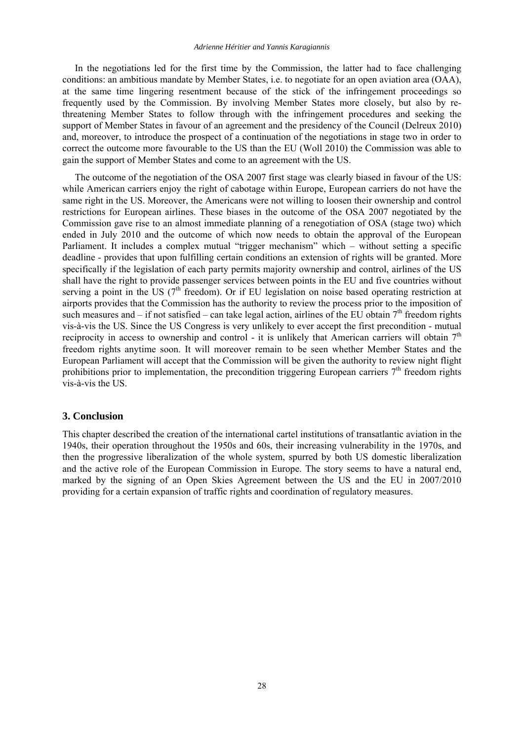In the negotiations led for the first time by the Commission, the latter had to face challenging conditions: an ambitious mandate by Member States, i.e. to negotiate for an open aviation area (OAA), at the same time lingering resentment because of the stick of the infringement proceedings so frequently used by the Commission. By involving Member States more closely, but also by rethreatening Member States to follow through with the infringement procedures and seeking the support of Member States in favour of an agreement and the presidency of the Council (Delreux 2010) and, moreover, to introduce the prospect of a continuation of the negotiations in stage two in order to correct the outcome more favourable to the US than the EU (Woll 2010) the Commission was able to gain the support of Member States and come to an agreement with the US.

The outcome of the negotiation of the OSA 2007 first stage was clearly biased in favour of the US: while American carriers enjoy the right of cabotage within Europe, European carriers do not have the same right in the US. Moreover, the Americans were not willing to loosen their ownership and control restrictions for European airlines. These biases in the outcome of the OSA 2007 negotiated by the Commission gave rise to an almost immediate planning of a renegotiation of OSA (stage two) which ended in July 2010 and the outcome of which now needs to obtain the approval of the European Parliament. It includes a complex mutual "trigger mechanism" which – without setting a specific deadline - provides that upon fulfilling certain conditions an extension of rights will be granted. More specifically if the legislation of each party permits majority ownership and control, airlines of the US shall have the right to provide passenger services between points in the EU and five countries without serving a point in the US  $(7<sup>th</sup> freedom)$ . Or if EU legislation on noise based operating restriction at airports provides that the Commission has the authority to review the process prior to the imposition of such measures and – if not satisfied – can take legal action, airlines of the EU obtain  $7<sup>th</sup>$  freedom rights vis-à-vis the US. Since the US Congress is very unlikely to ever accept the first precondition - mutual reciprocity in access to ownership and control - it is unlikely that American carriers will obtain  $7<sup>th</sup>$ freedom rights anytime soon. It will moreover remain to be seen whether Member States and the European Parliament will accept that the Commission will be given the authority to review night flight prohibitions prior to implementation, the precondition triggering European carriers  $7<sup>th</sup>$  freedom rights vis-à-vis the US.

#### **3. Conclusion**

This chapter described the creation of the international cartel institutions of transatlantic aviation in the 1940s, their operation throughout the 1950s and 60s, their increasing vulnerability in the 1970s, and then the progressive liberalization of the whole system, spurred by both US domestic liberalization and the active role of the European Commission in Europe. The story seems to have a natural end, marked by the signing of an Open Skies Agreement between the US and the EU in 2007/2010 providing for a certain expansion of traffic rights and coordination of regulatory measures.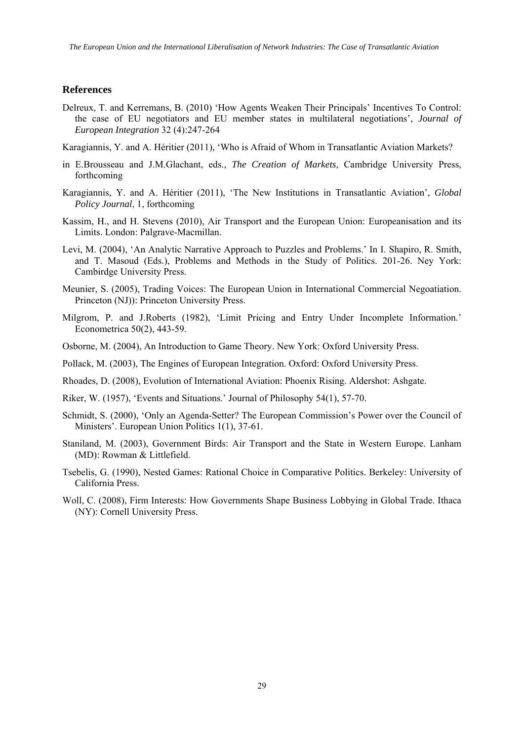#### **References**

- Delreux, T. and Kerremans, B. (2010) 'How Agents Weaken Their Principals' Incentives To Control: the case of EU negotiators and EU member states in multilateral negotiations', *Journal of European Integration* 32 (4):247-264
- Karagiannis, Y. and A. Héritier (2011), 'Who is Afraid of Whom in Transatlantic Aviation Markets?
- in E.Brousseau and J.M.Glachant, eds., *The Creation of Markets*, Cambridge University Press, forthcoming
- Karagiannis, Y. and A. Héritier (2011), 'The New Institutions in Transatlantic Aviation', *Global Policy Journal*, 1, forthcoming
- Kassim, H., and H. Stevens (2010), Air Transport and the European Union: Europeanisation and its Limits. London: Palgrave-Macmillan.
- Levi, M. (2004), 'An Analytic Narrative Approach to Puzzles and Problems.' In I. Shapiro, R. Smith, and T. Masoud (Eds.), Problems and Methods in the Study of Politics. 201-26. Ney York: Cambirdge University Press.
- Meunier, S. (2005), Trading Voices: The European Union in International Commercial Negoatiation. Princeton (NJ)): Princeton University Press.
- Milgrom, P. and J.Roberts (1982), 'Limit Pricing and Entry Under Incomplete Information.' Econometrica 50(2), 443-59.
- Osborne, M. (2004), An Introduction to Game Theory. New York: Oxford University Press.
- Pollack, M. (2003), The Engines of European Integration. Oxford: Oxford University Press.
- Rhoades, D. (2008), Evolution of International Aviation: Phoenix Rising. Aldershot: Ashgate.
- Riker, W. (1957), 'Events and Situations.' Journal of Philosophy 54(1), 57-70.
- Schmidt, S. (2000), 'Only an Agenda-Setter? The European Commission's Power over the Council of Ministers'. European Union Politics 1(1), 37-61.
- Staniland, M. (2003), Government Birds: Air Transport and the State in Western Europe. Lanham (MD): Rowman & Littlefield.
- Tsebelis, G. (1990), Nested Games: Rational Choice in Comparative Politics. Berkeley: University of California Press.
- Woll, C. (2008), Firm Interests: How Governments Shape Business Lobbying in Global Trade. Ithaca (NY): Cornell University Press.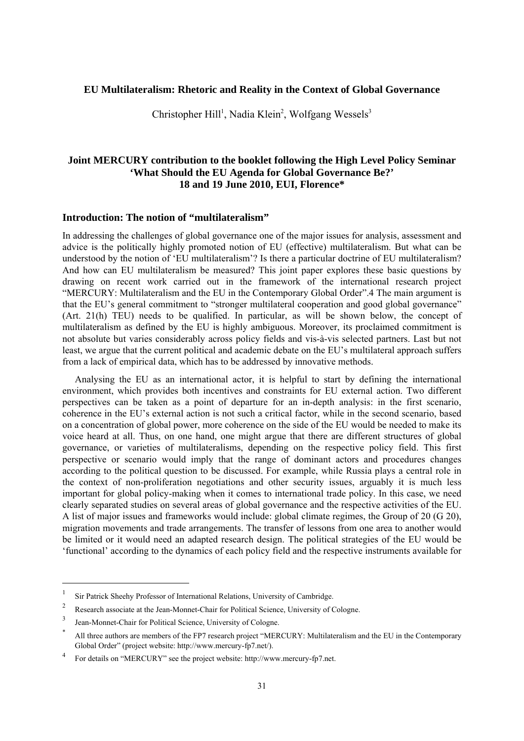## **EU Multilateralism: Rhetoric and Reality in the Context of Global Governance**

Christopher Hill<sup>1</sup>, Nadia Klein<sup>2</sup>, Wolfgang Wessels<sup>3</sup>

# **Joint MERCURY contribution to the booklet following the High Level Policy Seminar 'What Should the EU Agenda for Global Governance Be?' 18 and 19 June 2010, EUI, Florence\***

## **Introduction: The notion of "multilateralism"**

In addressing the challenges of global governance one of the major issues for analysis, assessment and advice is the politically highly promoted notion of EU (effective) multilateralism. But what can be understood by the notion of 'EU multilateralism'? Is there a particular doctrine of EU multilateralism? And how can EU multilateralism be measured? This joint paper explores these basic questions by drawing on recent work carried out in the framework of the international research project "MERCURY: Multilateralism and the EU in the Contemporary Global Order".4 The main argument is that the EU's general commitment to "stronger multilateral cooperation and good global governance" (Art. 21(h) TEU) needs to be qualified. In particular, as will be shown below, the concept of multilateralism as defined by the EU is highly ambiguous. Moreover, its proclaimed commitment is not absolute but varies considerably across policy fields and vis-à-vis selected partners. Last but not least, we argue that the current political and academic debate on the EU's multilateral approach suffers from a lack of empirical data, which has to be addressed by innovative methods.

Analysing the EU as an international actor, it is helpful to start by defining the international environment, which provides both incentives and constraints for EU external action. Two different perspectives can be taken as a point of departure for an in-depth analysis: in the first scenario, coherence in the EU's external action is not such a critical factor, while in the second scenario, based on a concentration of global power, more coherence on the side of the EU would be needed to make its voice heard at all. Thus, on one hand, one might argue that there are different structures of global governance, or varieties of multilateralisms, depending on the respective policy field. This first perspective or scenario would imply that the range of dominant actors and procedures changes according to the political question to be discussed. For example, while Russia plays a central role in the context of non-proliferation negotiations and other security issues, arguably it is much less important for global policy-making when it comes to international trade policy. In this case, we need clearly separated studies on several areas of global governance and the respective activities of the EU. A list of major issues and frameworks would include: global climate regimes, the Group of 20 (G 20), migration movements and trade arrangements. The transfer of lessons from one area to another would be limited or it would need an adapted research design. The political strategies of the EU would be 'functional' according to the dynamics of each policy field and the respective instruments available for

-

<sup>1</sup> Sir Patrick Sheehy Professor of International Relations, University of Cambridge.

 $\overline{\phantom{a}}$ Research associate at the Jean-Monnet-Chair for Political Science, University of Cologne.

<sup>3</sup> Jean-Monnet-Chair for Political Science, University of Cologne.

<sup>\*</sup> All three authors are members of the FP7 research project "MERCURY: Multilateralism and the EU in the Contemporary Global Order" (project website: [http://www.mercury-fp7.net/\).](http://www.mercury-fp7.net/) 

<sup>4</sup> For details on "MERCURY" see the project website: [http://www.mercury-fp7.net.](http://www.mercury-fp7.net)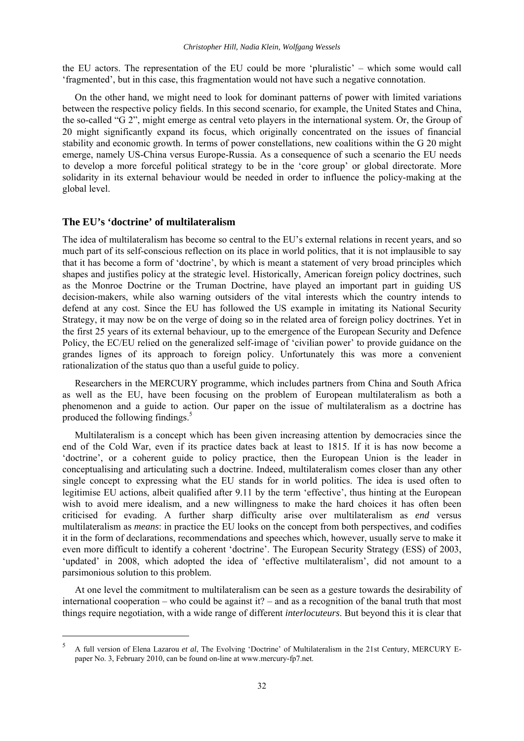the EU actors. The representation of the EU could be more 'pluralistic' – which some would call 'fragmented', but in this case, this fragmentation would not have such a negative connotation.

On the other hand, we might need to look for dominant patterns of power with limited variations between the respective policy fields. In this second scenario, for example, the United States and China, the so-called "G 2", might emerge as central veto players in the international system. Or, the Group of 20 might significantly expand its focus, which originally concentrated on the issues of financial stability and economic growth. In terms of power constellations, new coalitions within the G 20 might emerge, namely US-China versus Europe-Russia. As a consequence of such a scenario the EU needs to develop a more forceful political strategy to be in the 'core group' or global directorate. More solidarity in its external behaviour would be needed in order to influence the policy-making at the global level.

### **The EU's 'doctrine' of multilateralism**

-

The idea of multilateralism has become so central to the EU's external relations in recent years, and so much part of its self-conscious reflection on its place in world politics, that it is not implausible to say that it has become a form of 'doctrine', by which is meant a statement of very broad principles which shapes and justifies policy at the strategic level. Historically, American foreign policy doctrines, such as the Monroe Doctrine or the Truman Doctrine, have played an important part in guiding US decision-makers, while also warning outsiders of the vital interests which the country intends to defend at any cost. Since the EU has followed the US example in imitating its National Security Strategy, it may now be on the verge of doing so in the related area of foreign policy doctrines. Yet in the first 25 years of its external behaviour, up to the emergence of the European Security and Defence Policy, the EC/EU relied on the generalized self-image of 'civilian power' to provide guidance on the grandes lignes of its approach to foreign policy. Unfortunately this was more a convenient rationalization of the status quo than a useful guide to policy.

Researchers in the MERCURY programme, which includes partners from China and South Africa as well as the EU, have been focusing on the problem of European multilateralism as both a phenomenon and a guide to action. Our paper on the issue of multilateralism as a doctrine has produced the following findings.<sup>5</sup>

Multilateralism is a concept which has been given increasing attention by democracies since the end of the Cold War, even if its practice dates back at least to 1815. If it is has now become a 'doctrine', or a coherent guide to policy practice, then the European Union is the leader in conceptualising and articulating such a doctrine. Indeed, multilateralism comes closer than any other single concept to expressing what the EU stands for in world politics. The idea is used often to legitimise EU actions, albeit qualified after 9.11 by the term 'effective', thus hinting at the European wish to avoid mere idealism, and a new willingness to make the hard choices it has often been criticised for evading. A further sharp difficulty arise over multilateralism as *end* versus multilateralism as *means*: in practice the EU looks on the concept from both perspectives, and codifies it in the form of declarations, recommendations and speeches which, however, usually serve to make it even more difficult to identify a coherent 'doctrine'. The European Security Strategy (ESS) of 2003, 'updated' in 2008, which adopted the idea of 'effective multilateralism', did not amount to a parsimonious solution to this problem.

At one level the commitment to multilateralism can be seen as a gesture towards the desirability of international cooperation – who could be against it? – and as a recognition of the banal truth that most things require negotiation, with a wide range of different *interlocuteurs*. But beyond this it is clear that

<sup>5</sup> A full version of Elena Lazarou *et al*, The Evolving 'Doctrine' of Multilateralism in the 21st Century, MERCURY Epaper No. 3, February 2010, can be found on-line at [www.mercury-fp7.net.](http://www.mercury-fp7.net)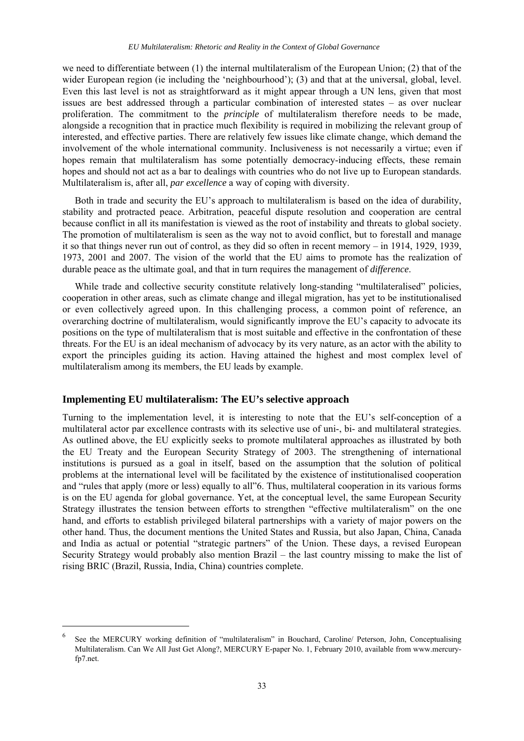we need to differentiate between (1) the internal multilateralism of the European Union; (2) that of the wider European region (ie including the 'neighbourhood'); (3) and that at the universal, global, level. Even this last level is not as straightforward as it might appear through a UN lens, given that most issues are best addressed through a particular combination of interested states – as over nuclear proliferation. The commitment to the *principle* of multilateralism therefore needs to be made, alongside a recognition that in practice much flexibility is required in mobilizing the relevant group of interested, and effective parties. There are relatively few issues like climate change, which demand the involvement of the whole international community. Inclusiveness is not necessarily a virtue; even if hopes remain that multilateralism has some potentially democracy-inducing effects, these remain hopes and should not act as a bar to dealings with countries who do not live up to European standards. Multilateralism is, after all, *par excellence* a way of coping with diversity.

Both in trade and security the EU's approach to multilateralism is based on the idea of durability, stability and protracted peace. Arbitration, peaceful dispute resolution and cooperation are central because conflict in all its manifestation is viewed as the root of instability and threats to global society. The promotion of multilateralism is seen as the way not to avoid conflict, but to forestall and manage it so that things never run out of control, as they did so often in recent memory – in 1914, 1929, 1939, 1973, 2001 and 2007. The vision of the world that the EU aims to promote has the realization of durable peace as the ultimate goal, and that in turn requires the management of *difference*.

While trade and collective security constitute relatively long-standing "multilateralised" policies, cooperation in other areas, such as climate change and illegal migration, has yet to be institutionalised or even collectively agreed upon. In this challenging process, a common point of reference, an overarching doctrine of multilateralism, would significantly improve the EU's capacity to advocate its positions on the type of multilateralism that is most suitable and effective in the confrontation of these threats. For the EU is an ideal mechanism of advocacy by its very nature, as an actor with the ability to export the principles guiding its action. Having attained the highest and most complex level of multilateralism among its members, the EU leads by example.

### **Implementing EU multilateralism: The EU's selective approach**

1

Turning to the implementation level, it is interesting to note that the EU's self-conception of a multilateral actor par excellence contrasts with its selective use of uni-, bi- and multilateral strategies. As outlined above, the EU explicitly seeks to promote multilateral approaches as illustrated by both the EU Treaty and the European Security Strategy of 2003. The strengthening of international institutions is pursued as a goal in itself, based on the assumption that the solution of political problems at the international level will be facilitated by the existence of institutionalised cooperation and "rules that apply (more or less) equally to all"6. Thus, multilateral cooperation in its various forms is on the EU agenda for global governance. Yet, at the conceptual level, the same European Security Strategy illustrates the tension between efforts to strengthen "effective multilateralism" on the one hand, and efforts to establish privileged bilateral partnerships with a variety of major powers on the other hand. Thus, the document mentions the United States and Russia, but also Japan, China, Canada and India as actual or potential "strategic partners" of the Union. These days, a revised European Security Strategy would probably also mention Brazil – the last country missing to make the list of rising BRIC (Brazil, Russia, India, China) countries complete.

<sup>6</sup> See the MERCURY working definition of "multilateralism" in Bouchard, Caroline/ Peterson, John, Conceptualising [Multilateralism. Can We All Just Get Along?, MERCURY E-paper No. 1, February 2010, available from www.mercury](http://www.mercury-fp7.33)fp7.net.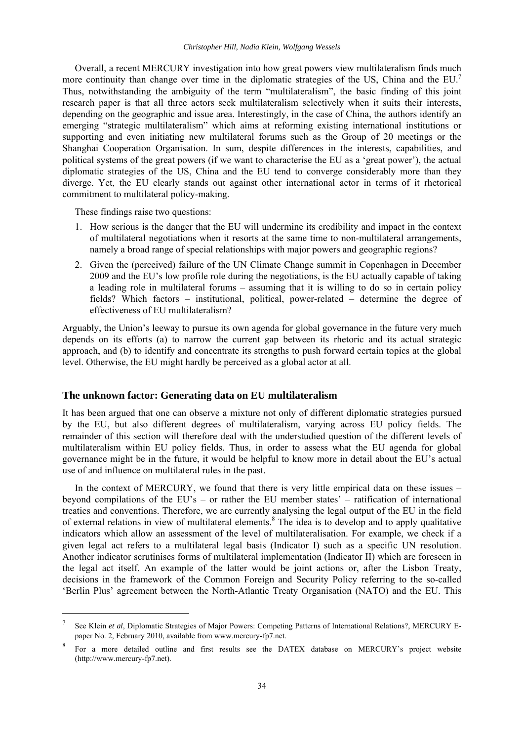Overall, a recent MERCURY investigation into how great powers view multilateralism finds much more continuity than change over time in the diplomatic strategies of the US, China and the EU.<sup>7</sup> Thus, notwithstanding the ambiguity of the term "multilateralism", the basic finding of this joint research paper is that all three actors seek multilateralism selectively when it suits their interests, depending on the geographic and issue area. Interestingly, in the case of China, the authors identify an emerging "strategic multilateralism" which aims at reforming existing international institutions or supporting and even initiating new multilateral forums such as the Group of 20 meetings or the Shanghai Cooperation Organisation. In sum, despite differences in the interests, capabilities, and political systems of the great powers (if we want to characterise the EU as a 'great power'), the actual diplomatic strategies of the US, China and the EU tend to converge considerably more than they diverge. Yet, the EU clearly stands out against other international actor in terms of it rhetorical commitment to multilateral policy-making.

These findings raise two questions:

1

- 1. How serious is the danger that the EU will undermine its credibility and impact in the context of multilateral negotiations when it resorts at the same time to non-multilateral arrangements, namely a broad range of special relationships with major powers and geographic regions?
- 2. Given the (perceived) failure of the UN Climate Change summit in Copenhagen in December 2009 and the EU's low profile role during the negotiations, is the EU actually capable of taking a leading role in multilateral forums – assuming that it is willing to do so in certain policy fields? Which factors – institutional, political, power-related – determine the degree of effectiveness of EU multilateralism?

Arguably, the Union's leeway to pursue its own agenda for global governance in the future very much depends on its efforts (a) to narrow the current gap between its rhetoric and its actual strategic approach, and (b) to identify and concentrate its strengths to push forward certain topics at the global level. Otherwise, the EU might hardly be perceived as a global actor at all.

### **The unknown factor: Generating data on EU multilateralism**

It has been argued that one can observe a mixture not only of different diplomatic strategies pursued by the EU, but also different degrees of multilateralism, varying across EU policy fields. The remainder of this section will therefore deal with the understudied question of the different levels of multilateralism within EU policy fields. Thus, in order to assess what the EU agenda for global governance might be in the future, it would be helpful to know more in detail about the EU's actual use of and influence on multilateral rules in the past.

In the context of MERCURY, we found that there is very little empirical data on these issues  $$ beyond compilations of the EU's – or rather the EU member states' – ratification of international treaties and conventions. Therefore, we are currently analysing the legal output of the EU in the field of external relations in view of multilateral elements.<sup>8</sup> The idea is to develop and to apply qualitative indicators which allow an assessment of the level of multilateralisation. For example, we check if a given legal act refers to a multilateral legal basis (Indicator I) such as a specific UN resolution. Another indicator scrutinises forms of multilateral implementation (Indicator II) which are foreseen in the legal act itself. An example of the latter would be joint actions or, after the Lisbon Treaty, decisions in the framework of the Common Foreign and Security Policy referring to the so-called 'Berlin Plus' agreement between the North-Atlantic Treaty Organisation (NATO) and the EU. This

<sup>7</sup> See Klein *et al*, Diplomatic Strategies of Major Powers: Competing Patterns of International Relations?, MERCURY Epaper No. 2, February 2010, available from [www.mercury-fp7.net.](http://www.mercury-fp7.net) 

<sup>8</sup> For a more detailed outline and first results see the DATEX database on MERCURY's project website [\(http://www.mercury-fp7.ne](http://www.mercury-fp7.net)t).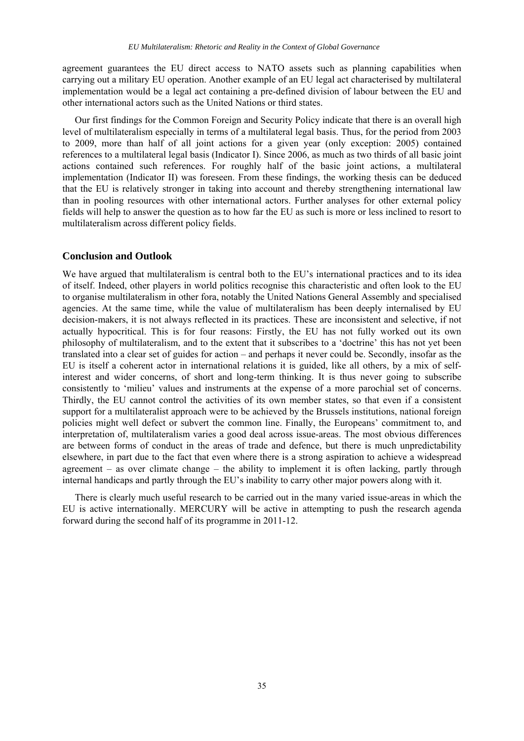agreement guarantees the EU direct access to NATO assets such as planning capabilities when carrying out a military EU operation. Another example of an EU legal act characterised by multilateral implementation would be a legal act containing a pre-defined division of labour between the EU and other international actors such as the United Nations or third states.

Our first findings for the Common Foreign and Security Policy indicate that there is an overall high level of multilateralism especially in terms of a multilateral legal basis. Thus, for the period from 2003 to 2009, more than half of all joint actions for a given year (only exception: 2005) contained references to a multilateral legal basis (Indicator I). Since 2006, as much as two thirds of all basic joint actions contained such references. For roughly half of the basic joint actions, a multilateral implementation (Indicator II) was foreseen. From these findings, the working thesis can be deduced that the EU is relatively stronger in taking into account and thereby strengthening international law than in pooling resources with other international actors. Further analyses for other external policy fields will help to answer the question as to how far the EU as such is more or less inclined to resort to multilateralism across different policy fields.

### **Conclusion and Outlook**

We have argued that multilateralism is central both to the EU's international practices and to its idea of itself. Indeed, other players in world politics recognise this characteristic and often look to the EU to organise multilateralism in other fora, notably the United Nations General Assembly and specialised agencies. At the same time, while the value of multilateralism has been deeply internalised by EU decision-makers, it is not always reflected in its practices. These are inconsistent and selective, if not actually hypocritical. This is for four reasons: Firstly, the EU has not fully worked out its own philosophy of multilateralism, and to the extent that it subscribes to a 'doctrine' this has not yet been translated into a clear set of guides for action – and perhaps it never could be. Secondly, insofar as the EU is itself a coherent actor in international relations it is guided, like all others, by a mix of selfinterest and wider concerns, of short and long-term thinking. It is thus never going to subscribe consistently to 'milieu' values and instruments at the expense of a more parochial set of concerns. Thirdly, the EU cannot control the activities of its own member states, so that even if a consistent support for a multilateralist approach were to be achieved by the Brussels institutions, national foreign policies might well defect or subvert the common line. Finally, the Europeans' commitment to, and interpretation of, multilateralism varies a good deal across issue-areas. The most obvious differences are between forms of conduct in the areas of trade and defence, but there is much unpredictability elsewhere, in part due to the fact that even where there is a strong aspiration to achieve a widespread agreement – as over climate change – the ability to implement it is often lacking, partly through internal handicaps and partly through the EU's inability to carry other major powers along with it.

There is clearly much useful research to be carried out in the many varied issue-areas in which the EU is active internationally. MERCURY will be active in attempting to push the research agenda forward during the second half of its programme in 2011-12.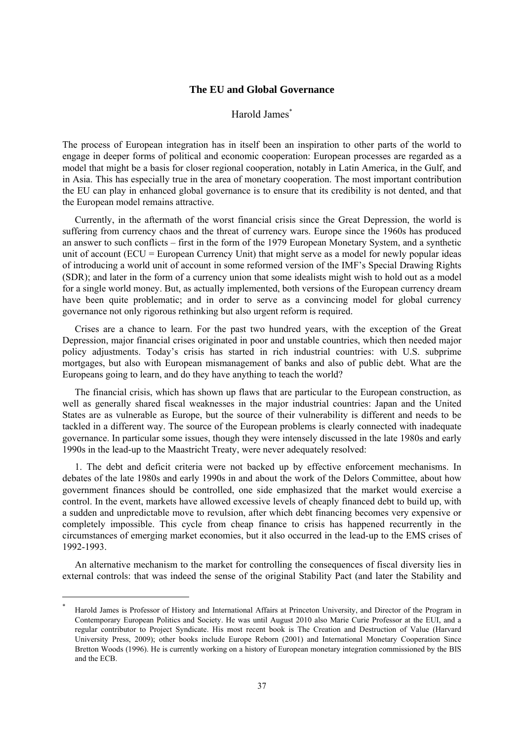## **The EU and Global Governance**

# Harold James\*

The process of European integration has in itself been an inspiration to other parts of the world to engage in deeper forms of political and economic cooperation: European processes are regarded as a model that might be a basis for closer regional cooperation, notably in Latin America, in the Gulf, and in Asia. This has especially true in the area of monetary cooperation. The most important contribution the EU can play in enhanced global governance is to ensure that its credibility is not dented, and that the European model remains attractive.

Currently, in the aftermath of the worst financial crisis since the Great Depression, the world is suffering from currency chaos and the threat of currency wars. Europe since the 1960s has produced an answer to such conflicts – first in the form of the 1979 European Monetary System, and a synthetic unit of account ( $ECU = European$  Currency Unit) that might serve as a model for newly popular ideas of introducing a world unit of account in some reformed version of the IMF's Special Drawing Rights (SDR); and later in the form of a currency union that some idealists might wish to hold out as a model for a single world money. But, as actually implemented, both versions of the European currency dream have been quite problematic; and in order to serve as a convincing model for global currency governance not only rigorous rethinking but also urgent reform is required.

Crises are a chance to learn. For the past two hundred years, with the exception of the Great Depression, major financial crises originated in poor and unstable countries, which then needed major policy adjustments. Today's crisis has started in rich industrial countries: with U.S. subprime mortgages, but also with European mismanagement of banks and also of public debt. What are the Europeans going to learn, and do they have anything to teach the world?

The financial crisis, which has shown up flaws that are particular to the European construction, as well as generally shared fiscal weaknesses in the major industrial countries: Japan and the United States are as vulnerable as Europe, but the source of their vulnerability is different and needs to be tackled in a different way. The source of the European problems is clearly connected with inadequate governance. In particular some issues, though they were intensely discussed in the late 1980s and early 1990s in the lead-up to the Maastricht Treaty, were never adequately resolved:

1. The debt and deficit criteria were not backed up by effective enforcement mechanisms. In debates of the late 1980s and early 1990s in and about the work of the Delors Committee, about how government finances should be controlled, one side emphasized that the market would exercise a control. In the event, markets have allowed excessive levels of cheaply financed debt to build up, with a sudden and unpredictable move to revulsion, after which debt financing becomes very expensive or completely impossible. This cycle from cheap finance to crisis has happened recurrently in the circumstances of emerging market economies, but it also occurred in the lead-up to the EMS crises of 1992-1993.

An alternative mechanism to the market for controlling the consequences of fiscal diversity lies in external controls: that was indeed the sense of the original Stability Pact (and later the Stability and

1

<sup>\*</sup> Harold James is Professor of History and International Affairs at Princeton University, and Director of the Program in Contemporary European Politics and Society. He was until August 2010 also Marie Curie Professor at the EUI, and a regular contributor to Project Syndicate. His most recent book is The Creation and Destruction of Value (Harvard University Press, 2009); other books include Europe Reborn (2001) and International Monetary Cooperation Since Bretton Woods (1996). He is currently working on a history of European monetary integration commissioned by the BIS and the ECB.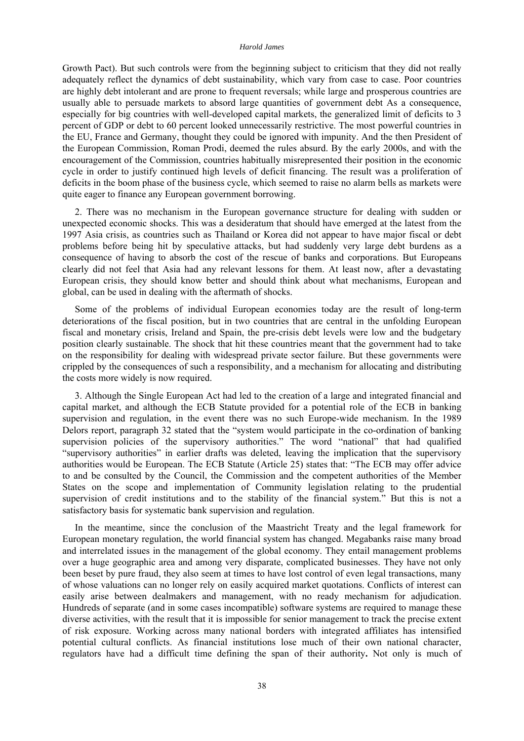#### *Harold James*

Growth Pact). But such controls were from the beginning subject to criticism that they did not really adequately reflect the dynamics of debt sustainability, which vary from case to case. Poor countries are highly debt intolerant and are prone to frequent reversals; while large and prosperous countries are usually able to persuade markets to absord large quantities of government debt As a consequence, especially for big countries with well-developed capital markets, the generalized limit of deficits to 3 percent of GDP or debt to 60 percent looked unnecessarily restrictive. The most powerful countries in the EU, France and Germany, thought they could be ignored with impunity. And the then President of the European Commission, Roman Prodi, deemed the rules absurd. By the early 2000s, and with the encouragement of the Commission, countries habitually misrepresented their position in the economic cycle in order to justify continued high levels of deficit financing. The result was a proliferation of deficits in the boom phase of the business cycle, which seemed to raise no alarm bells as markets were quite eager to finance any European government borrowing.

2. There was no mechanism in the European governance structure for dealing with sudden or unexpected economic shocks. This was a desideratum that should have emerged at the latest from the 1997 Asia crisis, as countries such as Thailand or Korea did not appear to have major fiscal or debt problems before being hit by speculative attacks, but had suddenly very large debt burdens as a consequence of having to absorb the cost of the rescue of banks and corporations. But Europeans clearly did not feel that Asia had any relevant lessons for them. At least now, after a devastating European crisis, they should know better and should think about what mechanisms, European and global, can be used in dealing with the aftermath of shocks.

Some of the problems of individual European economies today are the result of long-term deteriorations of the fiscal position, but in two countries that are central in the unfolding European fiscal and monetary crisis, Ireland and Spain, the pre-crisis debt levels were low and the budgetary position clearly sustainable. The shock that hit these countries meant that the government had to take on the responsibility for dealing with widespread private sector failure. But these governments were crippled by the consequences of such a responsibility, and a mechanism for allocating and distributing the costs more widely is now required.

3. Although the Single European Act had led to the creation of a large and integrated financial and capital market, and although the ECB Statute provided for a potential role of the ECB in banking supervision and regulation, in the event there was no such Europe-wide mechanism. In the 1989 Delors report, paragraph 32 stated that the "system would participate in the co-ordination of banking supervision policies of the supervisory authorities." The word "national" that had qualified "supervisory authorities" in earlier drafts was deleted, leaving the implication that the supervisory authorities would be European. The ECB Statute (Article 25) states that: "The ECB may offer advice to and be consulted by the Council, the Commission and the competent authorities of the Member States on the scope and implementation of Community legislation relating to the prudential supervision of credit institutions and to the stability of the financial system." But this is not a satisfactory basis for systematic bank supervision and regulation.

In the meantime, since the conclusion of the Maastricht Treaty and the legal framework for European monetary regulation, the world financial system has changed. Megabanks raise many broad and interrelated issues in the management of the global economy. They entail management problems over a huge geographic area and among very disparate, complicated businesses. They have not only been beset by pure fraud, they also seem at times to have lost control of even legal transactions, many of whose valuations can no longer rely on easily acquired market quotations. Conflicts of interest can easily arise between dealmakers and management, with no ready mechanism for adjudication. Hundreds of separate (and in some cases incompatible) software systems are required to manage these diverse activities, with the result that it is impossible for senior management to track the precise extent of risk exposure. Working across many national borders with integrated affiliates has intensified potential cultural conflicts. As financial institutions lose much of their own national character, regulators have had a difficult time defining the span of their authority**.** Not only is much of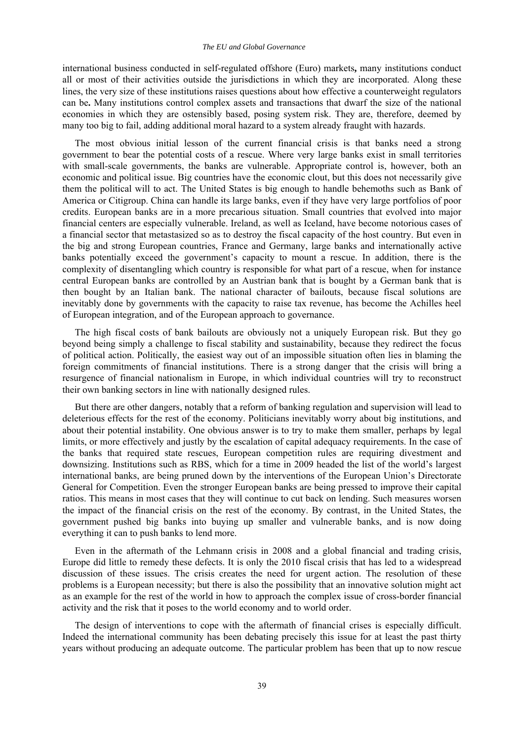international business conducted in self-regulated offshore (Euro) markets**,** many institutions conduct all or most of their activities outside the jurisdictions in which they are incorporated. Along these lines, the very size of these institutions raises questions about how effective a counterweight regulators can be**.** Many institutions control complex assets and transactions that dwarf the size of the national economies in which they are ostensibly based, posing system risk. They are, therefore, deemed by many too big to fail, adding additional moral hazard to a system already fraught with hazards.

The most obvious initial lesson of the current financial crisis is that banks need a strong government to bear the potential costs of a rescue. Where very large banks exist in small territories with small-scale governments, the banks are vulnerable. Appropriate control is, however, both an economic and political issue. Big countries have the economic clout, but this does not necessarily give them the political will to act. The United States is big enough to handle behemoths such as Bank of America or Citigroup. China can handle its large banks, even if they have very large portfolios of poor credits. European banks are in a more precarious situation. Small countries that evolved into major financial centers are especially vulnerable. Ireland, as well as Iceland, have become notorious cases of a financial sector that metastasized so as to destroy the fiscal capacity of the host country. But even in the big and strong European countries, France and Germany, large banks and internationally active banks potentially exceed the government's capacity to mount a rescue. In addition, there is the complexity of disentangling which country is responsible for what part of a rescue, when for instance central European banks are controlled by an Austrian bank that is bought by a German bank that is then bought by an Italian bank. The national character of bailouts, because fiscal solutions are inevitably done by governments with the capacity to raise tax revenue, has become the Achilles heel of European integration, and of the European approach to governance.

The high fiscal costs of bank bailouts are obviously not a uniquely European risk. But they go beyond being simply a challenge to fiscal stability and sustainability, because they redirect the focus of political action. Politically, the easiest way out of an impossible situation often lies in blaming the foreign commitments of financial institutions. There is a strong danger that the crisis will bring a resurgence of financial nationalism in Europe, in which individual countries will try to reconstruct their own banking sectors in line with nationally designed rules.

But there are other dangers, notably that a reform of banking regulation and supervision will lead to deleterious effects for the rest of the economy. Politicians inevitably worry about big institutions, and about their potential instability. One obvious answer is to try to make them smaller, perhaps by legal limits, or more effectively and justly by the escalation of capital adequacy requirements. In the case of the banks that required state rescues, European competition rules are requiring divestment and downsizing. Institutions such as RBS, which for a time in 2009 headed the list of the world's largest international banks, are being pruned down by the interventions of the European Union's Directorate General for Competition. Even the stronger European banks are being pressed to improve their capital ratios. This means in most cases that they will continue to cut back on lending. Such measures worsen the impact of the financial crisis on the rest of the economy. By contrast, in the United States, the government pushed big banks into buying up smaller and vulnerable banks, and is now doing everything it can to push banks to lend more.

Even in the aftermath of the Lehmann crisis in 2008 and a global financial and trading crisis, Europe did little to remedy these defects. It is only the 2010 fiscal crisis that has led to a widespread discussion of these issues. The crisis creates the need for urgent action. The resolution of these problems is a European necessity; but there is also the possibility that an innovative solution might act as an example for the rest of the world in how to approach the complex issue of cross-border financial activity and the risk that it poses to the world economy and to world order.

The design of interventions to cope with the aftermath of financial crises is especially difficult. Indeed the international community has been debating precisely this issue for at least the past thirty years without producing an adequate outcome. The particular problem has been that up to now rescue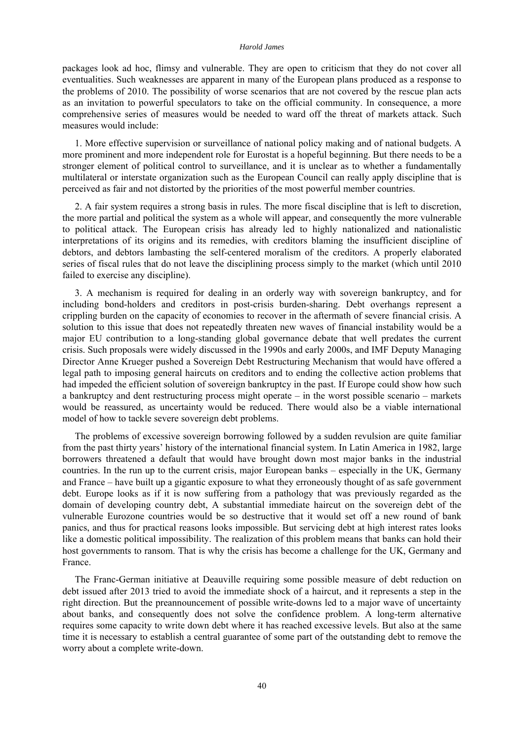#### *Harold James*

packages look ad hoc, flimsy and vulnerable. They are open to criticism that they do not cover all eventualities. Such weaknesses are apparent in many of the European plans produced as a response to the problems of 2010. The possibility of worse scenarios that are not covered by the rescue plan acts as an invitation to powerful speculators to take on the official community. In consequence, a more comprehensive series of measures would be needed to ward off the threat of markets attack. Such measures would include:

1. More effective supervision or surveillance of national policy making and of national budgets. A more prominent and more independent role for Eurostat is a hopeful beginning. But there needs to be a stronger element of political control to surveillance, and it is unclear as to whether a fundamentally multilateral or interstate organization such as the European Council can really apply discipline that is perceived as fair and not distorted by the priorities of the most powerful member countries.

2. A fair system requires a strong basis in rules. The more fiscal discipline that is left to discretion, the more partial and political the system as a whole will appear, and consequently the more vulnerable to political attack. The European crisis has already led to highly nationalized and nationalistic interpretations of its origins and its remedies, with creditors blaming the insufficient discipline of debtors, and debtors lambasting the self-centered moralism of the creditors. A properly elaborated series of fiscal rules that do not leave the disciplining process simply to the market (which until 2010 failed to exercise any discipline).

3. A mechanism is required for dealing in an orderly way with sovereign bankruptcy, and for including bond-holders and creditors in post-crisis burden-sharing. Debt overhangs represent a crippling burden on the capacity of economies to recover in the aftermath of severe financial crisis. A solution to this issue that does not repeatedly threaten new waves of financial instability would be a major EU contribution to a long-standing global governance debate that well predates the current crisis. Such proposals were widely discussed in the 1990s and early 2000s, and IMF Deputy Managing Director Anne Krueger pushed a Sovereign Debt Restructuring Mechanism that would have offered a legal path to imposing general haircuts on creditors and to ending the collective action problems that had impeded the efficient solution of sovereign bankruptcy in the past. If Europe could show how such a bankruptcy and dent restructuring process might operate – in the worst possible scenario – markets would be reassured, as uncertainty would be reduced. There would also be a viable international model of how to tackle severe sovereign debt problems.

The problems of excessive sovereign borrowing followed by a sudden revulsion are quite familiar from the past thirty years' history of the international financial system. In Latin America in 1982, large borrowers threatened a default that would have brought down most major banks in the industrial countries. In the run up to the current crisis, major European banks – especially in the UK, Germany and France – have built up a gigantic exposure to what they erroneously thought of as safe government debt. Europe looks as if it is now suffering from a pathology that was previously regarded as the domain of developing country debt, A substantial immediate haircut on the sovereign debt of the vulnerable Eurozone countries would be so destructive that it would set off a new round of bank panics, and thus for practical reasons looks impossible. But servicing debt at high interest rates looks like a domestic political impossibility. The realization of this problem means that banks can hold their host governments to ransom. That is why the crisis has become a challenge for the UK, Germany and France.

The Franc-German initiative at Deauville requiring some possible measure of debt reduction on debt issued after 2013 tried to avoid the immediate shock of a haircut, and it represents a step in the right direction. But the preannouncement of possible write-downs led to a major wave of uncertainty about banks, and consequently does not solve the confidence problem. A long-term alternative requires some capacity to write down debt where it has reached excessive levels. But also at the same time it is necessary to establish a central guarantee of some part of the outstanding debt to remove the worry about a complete write-down.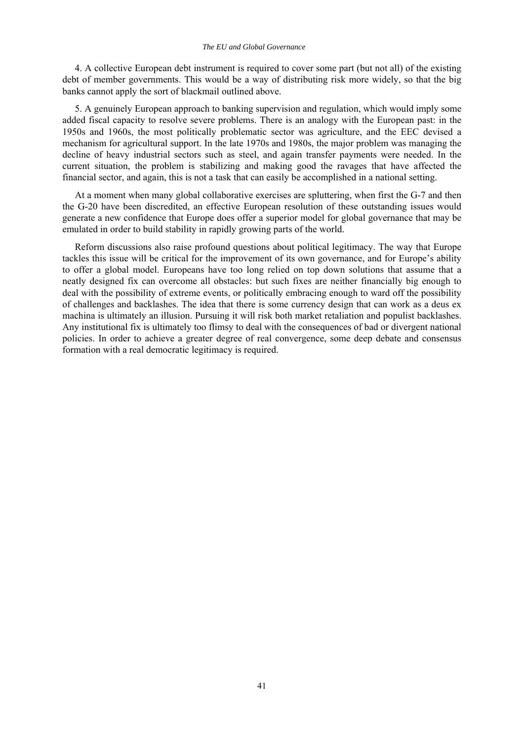4. A collective European debt instrument is required to cover some part (but not all) of the existing debt of member governments. This would be a way of distributing risk more widely, so that the big banks cannot apply the sort of blackmail outlined above.

5. A genuinely European approach to banking supervision and regulation, which would imply some added fiscal capacity to resolve severe problems. There is an analogy with the European past: in the 1950s and 1960s, the most politically problematic sector was agriculture, and the EEC devised a mechanism for agricultural support. In the late 1970s and 1980s, the major problem was managing the decline of heavy industrial sectors such as steel, and again transfer payments were needed. In the current situation, the problem is stabilizing and making good the ravages that have affected the financial sector, and again, this is not a task that can easily be accomplished in a national setting.

At a moment when many global collaborative exercises are spluttering, when first the G-7 and then the G-20 have been discredited, an effective European resolution of these outstanding issues would generate a new confidence that Europe does offer a superior model for global governance that may be emulated in order to build stability in rapidly growing parts of the world.

Reform discussions also raise profound questions about political legitimacy. The way that Europe tackles this issue will be critical for the improvement of its own governance, and for Europe's ability to offer a global model. Europeans have too long relied on top down solutions that assume that a neatly designed fix can overcome all obstacles: but such fixes are neither financially big enough to deal with the possibility of extreme events, or politically embracing enough to ward off the possibility of challenges and backlashes. The idea that there is some currency design that can work as a deus ex machina is ultimately an illusion. Pursuing it will risk both market retaliation and populist backlashes. Any institutional fix is ultimately too flimsy to deal with the consequences of bad or divergent national policies. In order to achieve a greater degree of real convergence, some deep debate and consensus formation with a real democratic legitimacy is required.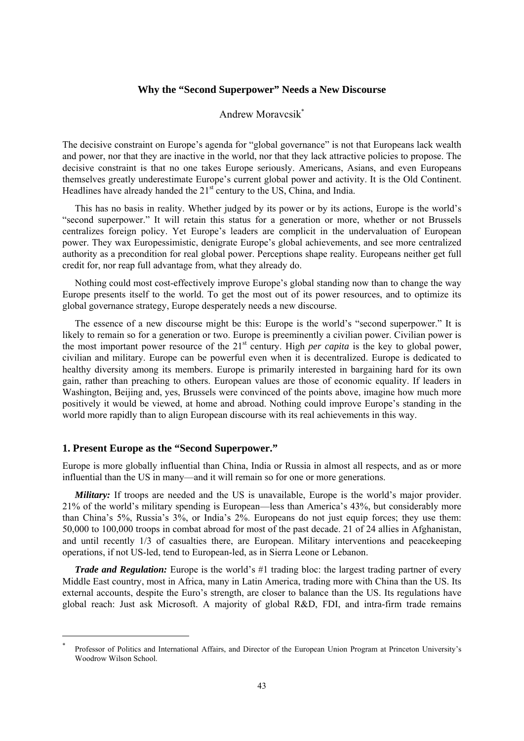## **Why the "Second Superpower" Needs a New Discourse**

# Andrew Moravcsik\*

The decisive constraint on Europe's agenda for "global governance" is not that Europeans lack wealth and power, nor that they are inactive in the world, nor that they lack attractive policies to propose. The decisive constraint is that no one takes Europe seriously. Americans, Asians, and even Europeans themselves greatly underestimate Europe's current global power and activity. It is the Old Continent. Headlines have already handed the 21<sup>st</sup> century to the US, China, and India.

This has no basis in reality. Whether judged by its power or by its actions, Europe is the world's "second superpower." It will retain this status for a generation or more, whether or not Brussels centralizes foreign policy. Yet Europe's leaders are complicit in the undervaluation of European power. They wax Europessimistic, denigrate Europe's global achievements, and see more centralized authority as a precondition for real global power. Perceptions shape reality. Europeans neither get full credit for, nor reap full advantage from, what they already do.

Nothing could most cost-effectively improve Europe's global standing now than to change the way Europe presents itself to the world. To get the most out of its power resources, and to optimize its global governance strategy, Europe desperately needs a new discourse.

The essence of a new discourse might be this: Europe is the world's "second superpower." It is likely to remain so for a generation or two. Europe is preeminently a civilian power. Civilian power is the most important power resource of the 21<sup>st</sup> century. High *per capita* is the key to global power, civilian and military. Europe can be powerful even when it is decentralized. Europe is dedicated to healthy diversity among its members. Europe is primarily interested in bargaining hard for its own gain, rather than preaching to others. European values are those of economic equality. If leaders in Washington, Beijing and, yes, Brussels were convinced of the points above, imagine how much more positively it would be viewed, at home and abroad. Nothing could improve Europe's standing in the world more rapidly than to align European discourse with its real achievements in this way.

## **1. Present Europe as the "Second Superpower."**

-

Europe is more globally influential than China, India or Russia in almost all respects, and as or more influential than the US in many—and it will remain so for one or more generations.

*Military:* If troops are needed and the US is unavailable, Europe is the world's major provider. 21% of the world's military spending is European—less than America's 43%, but considerably more than China's 5%, Russia's 3%, or India's 2%. Europeans do not just equip forces; they use them: 50,000 to 100,000 troops in combat abroad for most of the past decade. 21 of 24 allies in Afghanistan, and until recently 1/3 of casualties there, are European. Military interventions and peacekeeping operations, if not US-led, tend to European-led, as in Sierra Leone or Lebanon.

*Trade and Regulation:* Europe is the world's #1 trading bloc: the largest trading partner of every Middle East country, most in Africa, many in Latin America, trading more with China than the US. Its external accounts, despite the Euro's strength, are closer to balance than the US. Its regulations have global reach: Just ask Microsoft. A majority of global R&D, FDI, and intra-firm trade remains

<sup>\*</sup> Professor of Politics and International Affairs, and Director of the European Union Program at Princeton University's Woodrow Wilson School.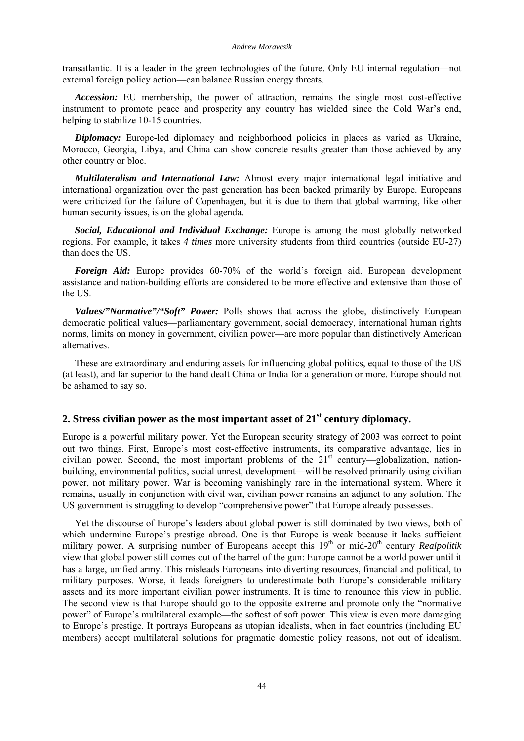#### *Andrew Moravcsik*

transatlantic. It is a leader in the green technologies of the future. Only EU internal regulation—not external foreign policy action—can balance Russian energy threats.

*Accession:* EU membership, the power of attraction, remains the single most cost-effective instrument to promote peace and prosperity any country has wielded since the Cold War's end, helping to stabilize 10-15 countries.

*Diplomacy:* Europe-led diplomacy and neighborhood policies in places as varied as Ukraine, Morocco, Georgia, Libya, and China can show concrete results greater than those achieved by any other country or bloc.

*Multilateralism and International Law:* Almost every major international legal initiative and international organization over the past generation has been backed primarily by Europe. Europeans were criticized for the failure of Copenhagen, but it is due to them that global warming, like other human security issues, is on the global agenda.

*Social, Educational and Individual Exchange:* Europe is among the most globally networked regions. For example, it takes *4 times* more university students from third countries (outside EU-27) than does the US.

*Foreign Aid:* Europe provides 60-70% of the world's foreign aid. European development assistance and nation-building efforts are considered to be more effective and extensive than those of the US.

*Values/"Normative"/"Soft" Power:* Polls shows that across the globe, distinctively European democratic political values—parliamentary government, social democracy, international human rights norms, limits on money in government, civilian power—are more popular than distinctively American alternatives.

These are extraordinary and enduring assets for influencing global politics, equal to those of the US (at least), and far superior to the hand dealt China or India for a generation or more. Europe should not be ashamed to say so.

# **2. Stress civilian power as the most important asset of 21st century diplomacy.**

Europe is a powerful military power. Yet the European security strategy of 2003 was correct to point out two things. First, Europe's most cost-effective instruments, its comparative advantage, lies in civilian power. Second, the most important problems of the  $21<sup>st</sup>$  century—globalization, nationbuilding, environmental politics, social unrest, development—will be resolved primarily using civilian power, not military power. War is becoming vanishingly rare in the international system. Where it remains, usually in conjunction with civil war, civilian power remains an adjunct to any solution. The US government is struggling to develop "comprehensive power" that Europe already possesses.

Yet the discourse of Europe's leaders about global power is still dominated by two views, both of which undermine Europe's prestige abroad. One is that Europe is weak because it lacks sufficient military power. A surprising number of Europeans accept this 19<sup>th</sup> or mid-20<sup>th</sup> century *Realpolitik* view that global power still comes out of the barrel of the gun: Europe cannot be a world power until it has a large, unified army. This misleads Europeans into diverting resources, financial and political, to military purposes. Worse, it leads foreigners to underestimate both Europe's considerable military assets and its more important civilian power instruments. It is time to renounce this view in public. The second view is that Europe should go to the opposite extreme and promote only the "normative power" of Europe's multilateral example—the softest of soft power. This view is even more damaging to Europe's prestige. It portrays Europeans as utopian idealists, when in fact countries (including EU members) accept multilateral solutions for pragmatic domestic policy reasons, not out of idealism.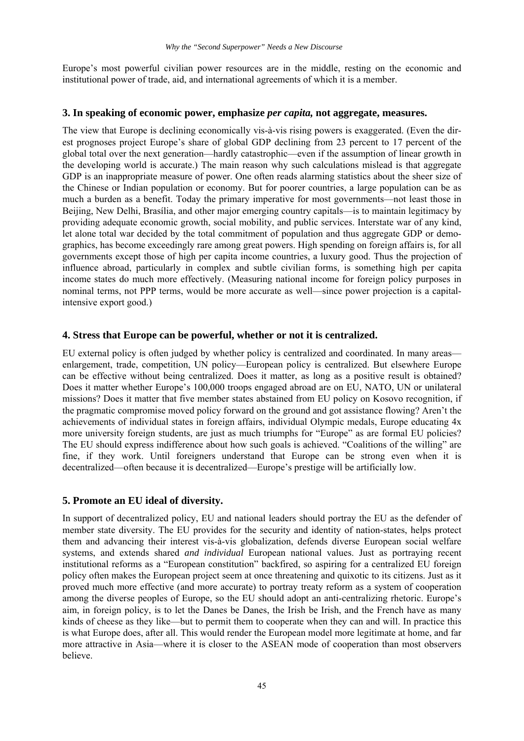Europe's most powerful civilian power resources are in the middle, resting on the economic and institutional power of trade, aid, and international agreements of which it is a member.

## **3. In speaking of economic power, emphasize** *per capita,* **not aggregate, measures.**

The view that Europe is declining economically vis-à-vis rising powers is exaggerated. (Even the direst prognoses project Europe's share of global GDP declining from 23 percent to 17 percent of the global total over the next generation—hardly catastrophic—even if the assumption of linear growth in the developing world is accurate.) The main reason why such calculations mislead is that aggregate GDP is an inappropriate measure of power. One often reads alarming statistics about the sheer size of the Chinese or Indian population or economy. But for poorer countries, a large population can be as much a burden as a benefit. Today the primary imperative for most governments—not least those in Beijing, New Delhi, Brasília, and other major emerging country capitals—is to maintain legitimacy by providing adequate economic growth, social mobility, and public services. Interstate war of any kind, let alone total war decided by the total commitment of population and thus aggregate GDP or demographics, has become exceedingly rare among great powers. High spending on foreign affairs is, for all governments except those of high per capita income countries, a luxury good. Thus the projection of influence abroad, particularly in complex and subtle civilian forms, is something high per capita income states do much more effectively. (Measuring national income for foreign policy purposes in nominal terms, not PPP terms, would be more accurate as well—since power projection is a capitalintensive export good.)

# **4. Stress that Europe can be powerful, whether or not it is centralized.**

EU external policy is often judged by whether policy is centralized and coordinated. In many areas enlargement, trade, competition, UN policy—European policy is centralized. But elsewhere Europe can be effective without being centralized. Does it matter, as long as a positive result is obtained? Does it matter whether Europe's 100,000 troops engaged abroad are on EU, NATO, UN or unilateral missions? Does it matter that five member states abstained from EU policy on Kosovo recognition, if the pragmatic compromise moved policy forward on the ground and got assistance flowing? Aren't the achievements of individual states in foreign affairs, individual Olympic medals, Europe educating 4x more university foreign students, are just as much triumphs for "Europe" as are formal EU policies? The EU should express indifference about how such goals is achieved. "Coalitions of the willing" are fine, if they work. Until foreigners understand that Europe can be strong even when it is decentralized—often because it is decentralized—Europe's prestige will be artificially low.

# **5. Promote an EU ideal of diversity.**

In support of decentralized policy, EU and national leaders should portray the EU as the defender of member state diversity. The EU provides for the security and identity of nation-states, helps protect them and advancing their interest vis-à-vis globalization, defends diverse European social welfare systems, and extends shared *and individual* European national values. Just as portraying recent institutional reforms as a "European constitution" backfired, so aspiring for a centralized EU foreign policy often makes the European project seem at once threatening and quixotic to its citizens. Just as it proved much more effective (and more accurate) to portray treaty reform as a system of cooperation among the diverse peoples of Europe, so the EU should adopt an anti-centralizing rhetoric. Europe's aim, in foreign policy, is to let the Danes be Danes, the Irish be Irish, and the French have as many kinds of cheese as they like—but to permit them to cooperate when they can and will. In practice this is what Europe does, after all. This would render the European model more legitimate at home, and far more attractive in Asia—where it is closer to the ASEAN mode of cooperation than most observers believe.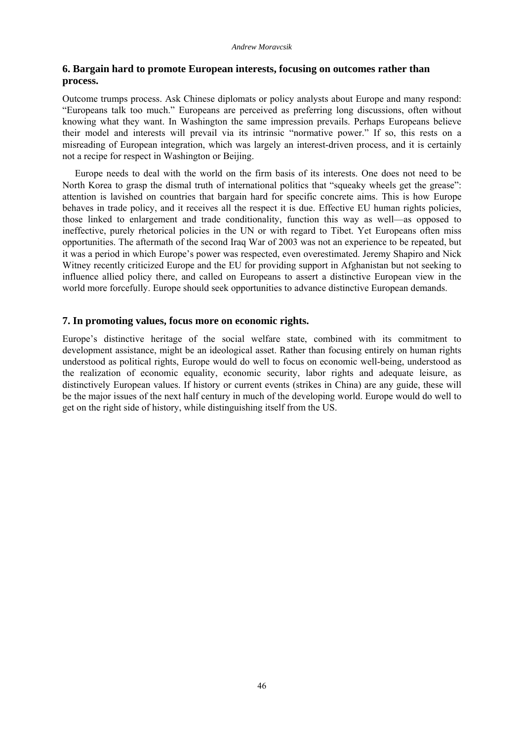# **6. Bargain hard to promote European interests, focusing on outcomes rather than process.**

Outcome trumps process. Ask Chinese diplomats or policy analysts about Europe and many respond: "Europeans talk too much." Europeans are perceived as preferring long discussions, often without knowing what they want. In Washington the same impression prevails. Perhaps Europeans believe their model and interests will prevail via its intrinsic "normative power." If so, this rests on a misreading of European integration, which was largely an interest-driven process, and it is certainly not a recipe for respect in Washington or Beijing.

Europe needs to deal with the world on the firm basis of its interests. One does not need to be North Korea to grasp the dismal truth of international politics that "squeaky wheels get the grease": attention is lavished on countries that bargain hard for specific concrete aims. This is how Europe behaves in trade policy, and it receives all the respect it is due. Effective EU human rights policies, those linked to enlargement and trade conditionality, function this way as well—as opposed to ineffective, purely rhetorical policies in the UN or with regard to Tibet. Yet Europeans often miss opportunities. The aftermath of the second Iraq War of 2003 was not an experience to be repeated, but it was a period in which Europe's power was respected, even overestimated. Jeremy Shapiro and Nick Witney recently criticized Europe and the EU for providing support in Afghanistan but not seeking to influence allied policy there, and called on Europeans to assert a distinctive European view in the world more forcefully. Europe should seek opportunities to advance distinctive European demands.

## **7. In promoting values, focus more on economic rights.**

Europe's distinctive heritage of the social welfare state, combined with its commitment to development assistance, might be an ideological asset. Rather than focusing entirely on human rights understood as political rights, Europe would do well to focus on economic well-being, understood as the realization of economic equality, economic security, labor rights and adequate leisure, as distinctively European values. If history or current events (strikes in China) are any guide, these will be the major issues of the next half century in much of the developing world. Europe would do well to get on the right side of history, while distinguishing itself from the US.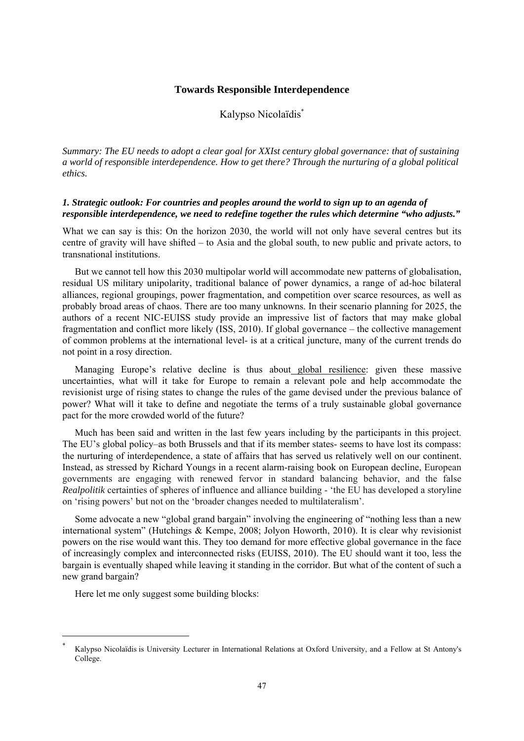## **Towards Responsible Interdependence**

Kalypso Nicolaïdis\*

*Summary: The EU needs to adopt a clear goal for XXIst century global governance: that of sustaining a world of responsible interdependence. How to get there? Through the nurturing of a global political ethics.* 

### *1. Strategic outlook: For countries and peoples around the world to sign up to an agenda of responsible interdependence, we need to redefine together the rules which determine "who adjusts."*

What we can say is this: On the horizon 2030, the world will not only have several centres but its centre of gravity will have shifted – to Asia and the global south, to new public and private actors, to transnational institutions.

But we cannot tell how this 2030 multipolar world will accommodate new patterns of globalisation, residual US military unipolarity, traditional balance of power dynamics, a range of ad-hoc bilateral alliances, regional groupings, power fragmentation, and competition over scarce resources, as well as probably broad areas of chaos. There are too many unknowns. In their scenario planning for 2025, the authors of a recent NIC-EUISS study provide an impressive list of factors that may make global fragmentation and conflict more likely (ISS, 2010). If global governance – the collective management of common problems at the international level- is at a critical juncture, many of the current trends do not point in a rosy direction.

Managing Europe's relative decline is thus about global resilience: given these massive uncertainties, what will it take for Europe to remain a relevant pole and help accommodate the revisionist urge of rising states to change the rules of the game devised under the previous balance of power? What will it take to define and negotiate the terms of a truly sustainable global governance pact for the more crowded world of the future?

Much has been said and written in the last few years including by the participants in this project. The EU's global policy–as both Brussels and that if its member states- seems to have lost its compass: the nurturing of interdependence, a state of affairs that has served us relatively well on our continent. Instead, as stressed by Richard Youngs in a recent alarm-raising book on European decline, European governments are engaging with renewed fervor in standard balancing behavior, and the false *Realpolitik* certainties of spheres of influence and alliance building - 'the EU has developed a storyline on 'rising powers' but not on the 'broader changes needed to multilateralism'.

Some advocate a new "global grand bargain" involving the engineering of "nothing less than a new international system" (Hutchings & Kempe, 2008; Jolyon Howorth, 2010). It is clear why revisionist powers on the rise would want this. They too demand for more effective global governance in the face of increasingly complex and interconnected risks (EUISS, 2010). The EU should want it too, less the bargain is eventually shaped while leaving it standing in the corridor. But what of the content of such a new grand bargain?

Here let me only suggest some building blocks:

-

<sup>\*</sup> Kalypso Nicolaïdis is University Lecturer in International Relations at Oxford University, and a Fellow at St Antony's College.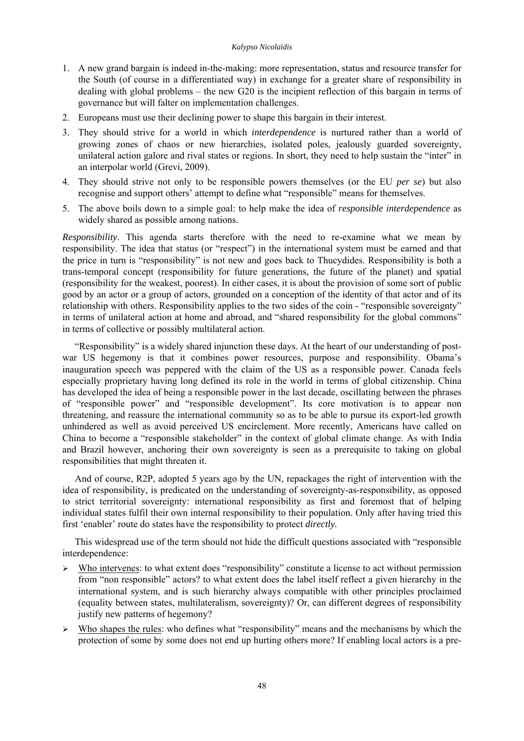#### *Kalypso Nicolaïdis*

- 1. A new grand bargain is indeed in-the-making: more representation, status and resource transfer for the South (of course in a differentiated way) in exchange for a greater share of responsibility in dealing with global problems – the new G20 is the incipient reflection of this bargain in terms of governance but will falter on implementation challenges.
- 2. Europeans must use their declining power to shape this bargain in their interest.
- 3. They should strive for a world in which *interdependence* is nurtured rather than a world of growing zones of chaos or new hierarchies, isolated poles, jealously guarded sovereignty, unilateral action galore and rival states or regions. In short, they need to help sustain the "inter" in an interpolar world (Grevi, 2009).
- 4. They should strive not only to be responsible powers themselves (or the EU *per se*) but also recognise and support others' attempt to define what "responsible" means for themselves.
- 5. The above boils down to a simple goal: to help make the idea of *responsible interdependence* as widely shared as possible among nations.

*Responsibility*. This agenda starts therefore with the need to re-examine what we mean by responsibility. The idea that status (or "respect") in the international system must be earned and that the price in turn is "responsibility" is not new and goes back to Thucydides. Responsibility is both a trans-temporal concept (responsibility for future generations, the future of the planet) and spatial (responsibility for the weakest, poorest). In either cases, it is about the provision of some sort of public good by an actor or a group of actors, grounded on a conception of the identity of that actor and of its relationship with others. Responsibility applies to the two sides of the coin - "responsible sovereignty" in terms of unilateral action at home and abroad, and "shared responsibility for the global commons" in terms of collective or possibly multilateral action.

"Responsibility" is a widely shared injunction these days. At the heart of our understanding of postwar US hegemony is that it combines power resources, purpose and responsibility. Obama's inauguration speech was peppered with the claim of the US as a responsible power. Canada feels especially proprietary having long defined its role in the world in terms of global citizenship. China has developed the idea of being a responsible power in the last decade, oscillating between the phrases of "responsible power" and "responsible development". Its core motivation is to appear non threatening, and reassure the international community so as to be able to pursue its export-led growth unhindered as well as avoid perceived US encirclement. More recently, Americans have called on China to become a "responsible stakeholder" in the context of global climate change. As with India and Brazil however, anchoring their own sovereignty is seen as a prerequisite to taking on global responsibilities that might threaten it.

And of course, R2P, adopted 5 years ago by the UN, repackages the right of intervention with the idea of responsibility, is predicated on the understanding of sovereignty-as-responsibility, as opposed to strict territorial sovereignty: international responsibility as first and foremost that of helping individual states fulfil their own internal responsibility to their population. Only after having tried this first 'enabler' route do states have the responsibility to protect *directly.*

This widespread use of the term should not hide the difficult questions associated with "responsible interdependence:

- $\triangleright$  Who intervenes: to what extent does "responsibility" constitute a license to act without permission from "non responsible" actors? to what extent does the label itself reflect a given hierarchy in the international system, and is such hierarchy always compatible with other principles proclaimed (equality between states, multilateralism, sovereignty)? Or, can different degrees of responsibility justify new patterns of hegemony?
- $\triangleright$  Who shapes the rules: who defines what "responsibility" means and the mechanisms by which the protection of some by some does not end up hurting others more? If enabling local actors is a pre-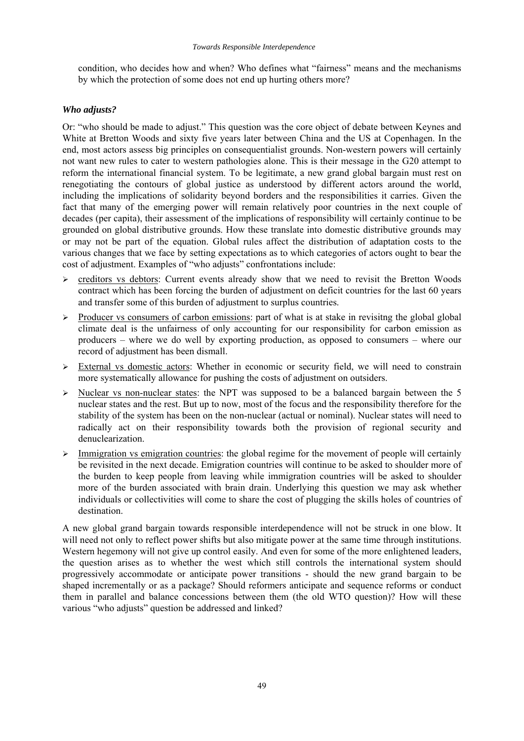condition, who decides how and when? Who defines what "fairness" means and the mechanisms by which the protection of some does not end up hurting others more?

# *Who adjusts?*

Or: "who should be made to adjust." This question was the core object of debate between Keynes and White at Bretton Woods and sixty five years later between China and the US at Copenhagen. In the end, most actors assess big principles on consequentialist grounds. Non-western powers will certainly not want new rules to cater to western pathologies alone. This is their message in the G20 attempt to reform the international financial system. To be legitimate, a new grand global bargain must rest on renegotiating the contours of global justice as understood by different actors around the world, including the implications of solidarity beyond borders and the responsibilities it carries. Given the fact that many of the emerging power will remain relatively poor countries in the next couple of decades (per capita), their assessment of the implications of responsibility will certainly continue to be grounded on global distributive grounds. How these translate into domestic distributive grounds may or may not be part of the equation. Global rules affect the distribution of adaptation costs to the various changes that we face by setting expectations as to which categories of actors ought to bear the cost of adjustment. Examples of "who adjusts" confrontations include:

- $\ge$  creditors vs debtors: Current events already show that we need to revisit the Bretton Woods contract which has been forcing the burden of adjustment on deficit countries for the last 60 years and transfer some of this burden of adjustment to surplus countries.
- $\triangleright$  Producer vs consumers of carbon emissions: part of what is at stake in revisitng the global global climate deal is the unfairness of only accounting for our responsibility for carbon emission as producers – where we do well by exporting production, as opposed to consumers – where our record of adjustment has been dismall.
- ¾ External vs domestic actors: Whether in economic or security field, we will need to constrain more systematically allowance for pushing the costs of adjustment on outsiders.
- $\triangleright$  Nuclear vs non-nuclear states: the NPT was supposed to be a balanced bargain between the 5 nuclear states and the rest. But up to now, most of the focus and the responsibility therefore for the stability of the system has been on the non-nuclear (actual or nominal). Nuclear states will need to radically act on their responsibility towards both the provision of regional security and denuclearization.
- $\triangleright$  Immigration vs emigration countries: the global regime for the movement of people will certainly be revisited in the next decade. Emigration countries will continue to be asked to shoulder more of the burden to keep people from leaving while immigration countries will be asked to shoulder more of the burden associated with brain drain. Underlying this question we may ask whether individuals or collectivities will come to share the cost of plugging the skills holes of countries of destination.

A new global grand bargain towards responsible interdependence will not be struck in one blow. It will need not only to reflect power shifts but also mitigate power at the same time through institutions. Western hegemony will not give up control easily. And even for some of the more enlightened leaders, the question arises as to whether the west which still controls the international system should progressively accommodate or anticipate power transitions - should the new grand bargain to be shaped incrementally or as a package? Should reformers anticipate and sequence reforms or conduct them in parallel and balance concessions between them (the old WTO question)? How will these various "who adjusts" question be addressed and linked?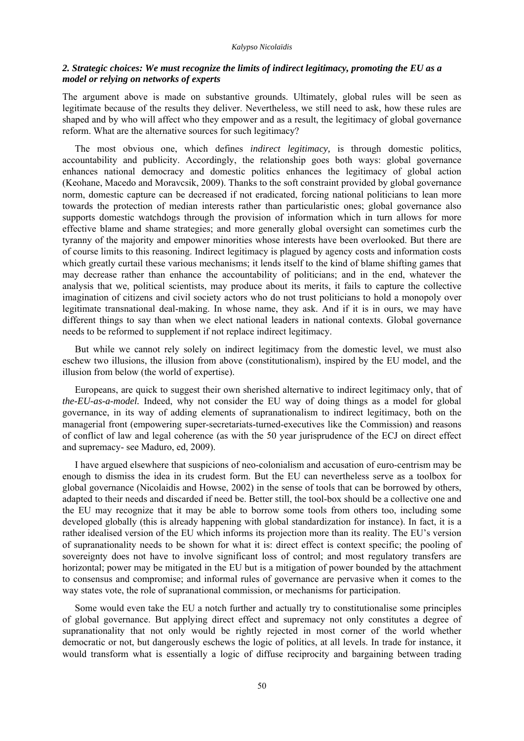#### *Kalypso Nicolaïdis*

## *2. Strategic choices: We must recognize the limits of indirect legitimacy, promoting the EU as a model or relying on networks of experts*

The argument above is made on substantive grounds. Ultimately, global rules will be seen as legitimate because of the results they deliver. Nevertheless, we still need to ask, how these rules are shaped and by who will affect who they empower and as a result, the legitimacy of global governance reform. What are the alternative sources for such legitimacy?

The most obvious one, which defines *indirect legitimacy,* is through domestic politics, accountability and publicity. Accordingly, the relationship goes both ways: global governance enhances national democracy and domestic politics enhances the legitimacy of global action (Keohane, Macedo and Moravcsik, 2009). Thanks to the soft constraint provided by global governance norm, domestic capture can be decreased if not eradicated, forcing national politicians to lean more towards the protection of median interests rather than particularistic ones; global governance also supports domestic watchdogs through the provision of information which in turn allows for more effective blame and shame strategies; and more generally global oversight can sometimes curb the tyranny of the majority and empower minorities whose interests have been overlooked. But there are of course limits to this reasoning. Indirect legitimacy is plagued by agency costs and information costs which greatly curtail these various mechanisms; it lends itself to the kind of blame shifting games that may decrease rather than enhance the accountability of politicians; and in the end, whatever the analysis that we, political scientists, may produce about its merits, it fails to capture the collective imagination of citizens and civil society actors who do not trust politicians to hold a monopoly over legitimate transnational deal-making. In whose name, they ask. And if it is in ours, we may have different things to say than when we elect national leaders in national contexts. Global governance needs to be reformed to supplement if not replace indirect legitimacy.

But while we cannot rely solely on indirect legitimacy from the domestic level, we must also eschew two illusions, the illusion from above (constitutionalism), inspired by the EU model, and the illusion from below (the world of expertise).

Europeans, are quick to suggest their own sherished alternative to indirect legitimacy only, that of *the-EU-as-a-model.* Indeed, why not consider the EU way of doing things as a model for global governance, in its way of adding elements of supranationalism to indirect legitimacy, both on the managerial front (empowering super-secretariats-turned-executives like the Commission) and reasons of conflict of law and legal coherence (as with the 50 year jurisprudence of the ECJ on direct effect and supremacy- see Maduro, ed, 2009).

I have argued elsewhere that suspicions of neo-colonialism and accusation of euro-centrism may be enough to dismiss the idea in its crudest form. But the EU can nevertheless serve as a toolbox for global governance (Nicolaidis and Howse, 2002) in the sense of tools that can be borrowed by others, adapted to their needs and discarded if need be. Better still, the tool-box should be a collective one and the EU may recognize that it may be able to borrow some tools from others too, including some developed globally (this is already happening with global standardization for instance). In fact, it is a rather idealised version of the EU which informs its projection more than its reality. The EU's version of supranationality needs to be shown for what it is: direct effect is context specific; the pooling of sovereignty does not have to involve significant loss of control; and most regulatory transfers are horizontal; power may be mitigated in the EU but is a mitigation of power bounded by the attachment to consensus and compromise; and informal rules of governance are pervasive when it comes to the way states vote, the role of supranational commission, or mechanisms for participation.

Some would even take the EU a notch further and actually try to constitutionalise some principles of global governance. But applying direct effect and supremacy not only constitutes a degree of supranationality that not only would be rightly rejected in most corner of the world whether democratic or not, but dangerously eschews the logic of politics, at all levels. In trade for instance, it would transform what is essentially a logic of diffuse reciprocity and bargaining between trading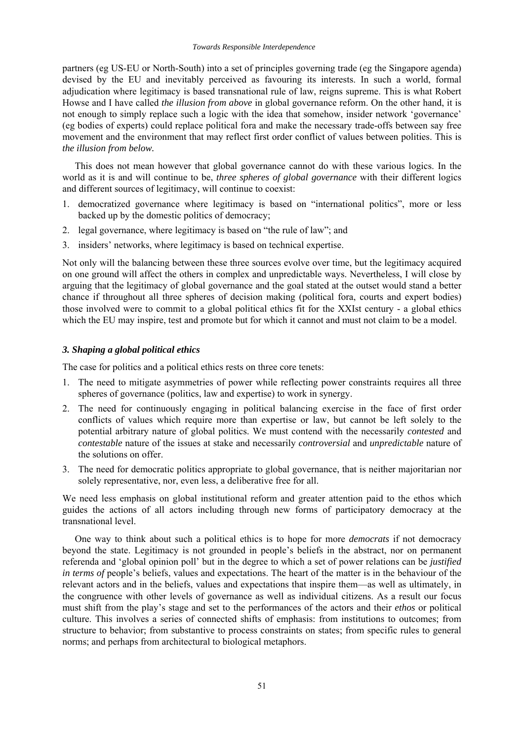partners (eg US-EU or North-South) into a set of principles governing trade (eg the Singapore agenda) devised by the EU and inevitably perceived as favouring its interests. In such a world, formal adjudication where legitimacy is based transnational rule of law, reigns supreme. This is what Robert Howse and I have called *the illusion from above* in global governance reform. On the other hand, it is not enough to simply replace such a logic with the idea that somehow, insider network 'governance' (eg bodies of experts) could replace political fora and make the necessary trade-offs between say free movement and the environment that may reflect first order conflict of values between polities. This is *the illusion from below.* 

This does not mean however that global governance cannot do with these various logics. In the world as it is and will continue to be, *three spheres of global governance* with their different logics and different sources of legitimacy, will continue to coexist:

- 1. democratized governance where legitimacy is based on "international politics", more or less backed up by the domestic politics of democracy;
- 2. legal governance, where legitimacy is based on "the rule of law"; and
- 3. insiders' networks, where legitimacy is based on technical expertise.

Not only will the balancing between these three sources evolve over time, but the legitimacy acquired on one ground will affect the others in complex and unpredictable ways. Nevertheless, I will close by arguing that the legitimacy of global governance and the goal stated at the outset would stand a better chance if throughout all three spheres of decision making (political fora, courts and expert bodies) those involved were to commit to a global political ethics fit for the XXIst century - a global ethics which the EU may inspire, test and promote but for which it cannot and must not claim to be a model.

### *3. Shaping a global political ethics*

The case for politics and a political ethics rests on three core tenets:

- 1. The need to mitigate asymmetries of power while reflecting power constraints requires all three spheres of governance (politics, law and expertise) to work in synergy.
- 2. The need for continuously engaging in political balancing exercise in the face of first order conflicts of values which require more than expertise or law, but cannot be left solely to the potential arbitrary nature of global politics. We must contend with the necessarily *contested* and *contestable* nature of the issues at stake and necessarily *controversial* and *unpredictable* nature of the solutions on offer.
- 3. The need for democratic politics appropriate to global governance, that is neither majoritarian nor solely representative, nor, even less, a deliberative free for all.

We need less emphasis on global institutional reform and greater attention paid to the ethos which guides the actions of all actors including through new forms of participatory democracy at the transnational level.

One way to think about such a political ethics is to hope for more *democrats* if not democracy beyond the state. Legitimacy is not grounded in people's beliefs in the abstract, nor on permanent referenda and 'global opinion poll' but in the degree to which a set of power relations can be *justified in terms of* people's beliefs, values and expectations. The heart of the matter is in the behaviour of the relevant actors and in the beliefs, values and expectations that inspire them—as well as ultimately, in the congruence with other levels of governance as well as individual citizens. As a result our focus must shift from the play's stage and set to the performances of the actors and their *ethos* or political culture. This involves a series of connected shifts of emphasis: from institutions to outcomes; from structure to behavior; from substantive to process constraints on states; from specific rules to general norms; and perhaps from architectural to biological metaphors.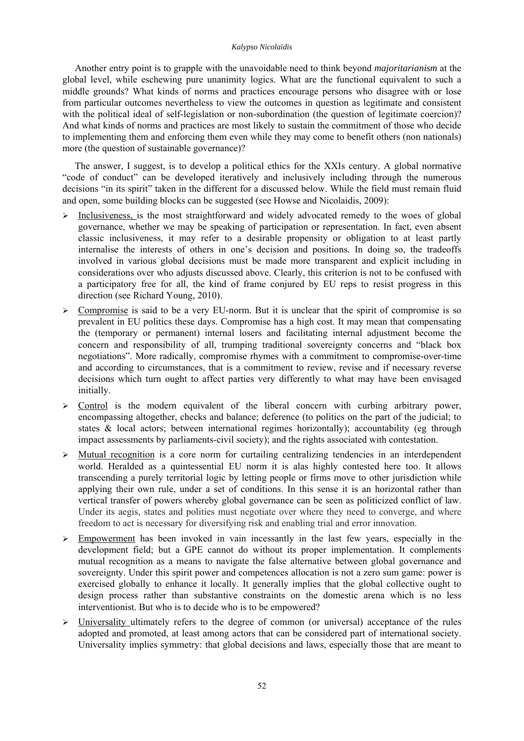#### *Kalypso Nicolaïdis*

Another entry point is to grapple with the unavoidable need to think beyond *majoritarianism* at the global level, while eschewing pure unanimity logics. What are the functional equivalent to such a middle grounds? What kinds of norms and practices encourage persons who disagree with or lose from particular outcomes nevertheless to view the outcomes in question as legitimate and consistent with the political ideal of self-legislation or non-subordination (the question of legitimate coercion)? And what kinds of norms and practices are most likely to sustain the commitment of those who decide to implementing them and enforcing them even while they may come to benefit others (non nationals) more (the question of sustainable governance)?

The answer, I suggest, is to develop a political ethics for the XXIs century. A global normative "code of conduct" can be developed iteratively and inclusively including through the numerous decisions "in its spirit" taken in the different for a discussed below. While the field must remain fluid and open, some building blocks can be suggested (see Howse and Nicolaidis, 2009):

- $\triangleright$  Inclusiveness, is the most straightforward and widely advocated remedy to the woes of global governance, whether we may be speaking of participation or representation. In fact, even absent classic inclusiveness, it may refer to a desirable propensity or obligation to at least partly internalise the interests of others in one's decision and positions. In doing so, the tradeoffs involved in various global decisions must be made more transparent and explicit including in considerations over who adjusts discussed above. Clearly, this criterion is not to be confused with a participatory free for all, the kind of frame conjured by EU reps to resist progress in this direction (see Richard Young, 2010).
- $\triangleright$  Compromise is said to be a very EU-norm. But it is unclear that the spirit of compromise is so prevalent in EU politics these days. Compromise has a high cost. It may mean that compensating the (temporary or permanent) internal losers and facilitating internal adjustment become the concern and responsibility of all, trumping traditional sovereignty concerns and "black box negotiations". More radically, compromise rhymes with a commitment to compromise-over-time and according to circumstances, that is a commitment to review, revise and if necessary reverse decisions which turn ought to affect parties very differently to what may have been envisaged initially.
- ¾ Control is the modern equivalent of the liberal concern with curbing arbitrary power, encompassing altogether, checks and balance; deference (to politics on the part of the judicial; to states & local actors; between international regimes horizontally); accountability (eg through impact assessments by parliaments-civil society); and the rights associated with contestation.
- ¾ Mutual recognition is a core norm for curtailing centralizing tendencies in an interdependent world. Heralded as a quintessential EU norm it is alas highly contested here too. It allows transcending a purely territorial logic by letting people or firms move to other jurisdiction while applying their own rule, under a set of conditions. In this sense it is an horizontal rather than vertical transfer of powers whereby global governance can be seen as politicized conflict of law. Under its aegis, states and polities must negotiate over where they need to converge, and where freedom to act is necessary for diversifying risk and enabling trial and error innovation.
- $\geq$  Empowerment has been invoked in vain incessantly in the last few years, especially in the development field; but a GPE cannot do without its proper implementation. It complements mutual recognition as a means to navigate the false alternative between global governance and sovereignty. Under this spirit power and competences allocation is not a zero sum game: power is exercised globally to enhance it locally. It generally implies that the global collective ought to design process rather than substantive constraints on the domestic arena which is no less interventionist. But who is to decide who is to be empowered?
- $\geq$  Universality ultimately refers to the degree of common (or universal) acceptance of the rules adopted and promoted, at least among actors that can be considered part of international society. Universality implies symmetry: that global decisions and laws, especially those that are meant to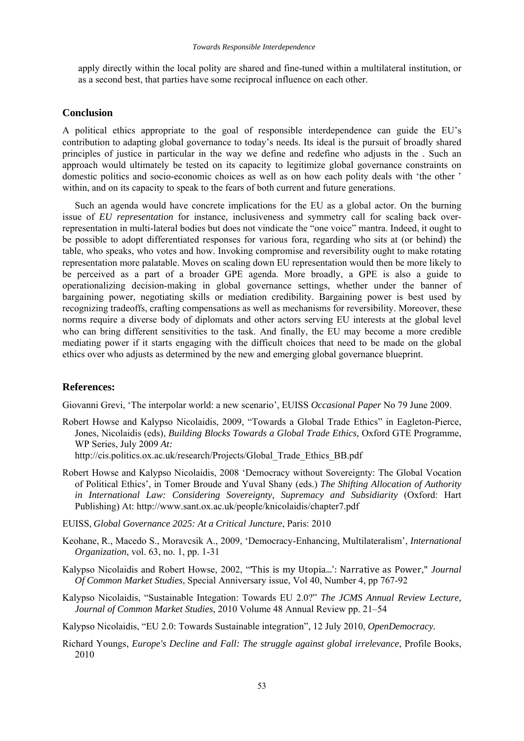apply directly within the local polity are shared and fine-tuned within a multilateral institution, or as a second best, that parties have some reciprocal influence on each other.

## **Conclusion**

A political ethics appropriate to the goal of responsible interdependence can guide the EU's contribution to adapting global governance to today's needs. Its ideal is the pursuit of broadly shared principles of justice in particular in the way we define and redefine who adjusts in the . Such an approach would ultimately be tested on its capacity to legitimize global governance constraints on domestic politics and socio-economic choices as well as on how each polity deals with 'the other ' within, and on its capacity to speak to the fears of both current and future generations.

Such an agenda would have concrete implications for the EU as a global actor. On the burning issue of *EU representation* for instance*,* inclusiveness and symmetry call for scaling back overrepresentation in multi-lateral bodies but does not vindicate the "one voice" mantra. Indeed, it ought to be possible to adopt differentiated responses for various fora, regarding who sits at (or behind) the table, who speaks, who votes and how. Invoking compromise and reversibility ought to make rotating representation more palatable. Moves on scaling down EU representation would then be more likely to be perceived as a part of a broader GPE agenda. More broadly, a GPE is also a guide to operationalizing decision-making in global governance settings, whether under the banner of bargaining power, negotiating skills or mediation credibility. Bargaining power is best used by recognizing tradeoffs, crafting compensations as well as mechanisms for reversibility. Moreover, these norms require a diverse body of diplomats and other actors serving EU interests at the global level who can bring different sensitivities to the task. And finally, the EU may become a more credible mediating power if it starts engaging with the difficult choices that need to be made on the global ethics over who adjusts as determined by the new and emerging global governance blueprint.

### **References:**

Giovanni Grevi, 'The interpolar world: a new scenario', EUISS *Occasional Paper* No 79 June 2009.

- Robert Howse and Kalypso Nicolaidis, 2009, "Towards a Global Trade Ethics" in Eagleton-Pierce, Jones, Nicolaidis (eds), *Building Blocks Towards a Global Trade Ethics,* Oxford GTE Programme, WP Series, July 2009 *At:* 
	- [http://cis.politics.ox.ac.uk/research/Projects/Global\\_Trade\\_Ethics\\_BB.pdf](http://cis.politics.ox.ac.uk/research/Projects/Global_Trade_Ethics_BB.pdf)
- Robert Howse and Kalypso Nicolaidis, 2008 'Democracy without Sovereignty: The Global Vocation of Political Ethics', in Tomer Broude and Yuval Shany (eds.) *The Shifting Allocation of Authority in International Law: Considering Sovereignty, Supremacy and Subsidiarity* (Oxford: Hart Publishing) At:<http://www.sant.ox.ac.uk/people/knicolaidis/chapter7.pdf>
- EUISS, *Global Governance 2025: At a Critical Juncture*, Paris: 2010
- Keohane, R., Macedo S., Moravcsik A., 2009, 'Democracy-Enhancing, Multilateralism', *International Organization*, vol. 63, no. 1, pp. 1-31
- Kalypso Nicolaidis and Robert Howse, 2002, "'This is my Utopia...': Narrative as Power," *Journal Of Common Market Studies*, Special Anniversary issue, Vol 40, Number 4, pp 767-92
- Kalypso Nicolaidis, "Sustainable Integation: Towards EU 2.0?" *The JCMS Annual Review Lecture, Journal of Common Market Studies,* 2010 Volume 48 Annual Review pp. 21–54
- Kalypso Nicolaidis, "EU 2.0: Towards Sustainable integration", 12 July 2010, *OpenDemocracy.*
- Richard Youngs, *Europe's Decline and Fall: The struggle against global irrelevance*, Profile Books, 2010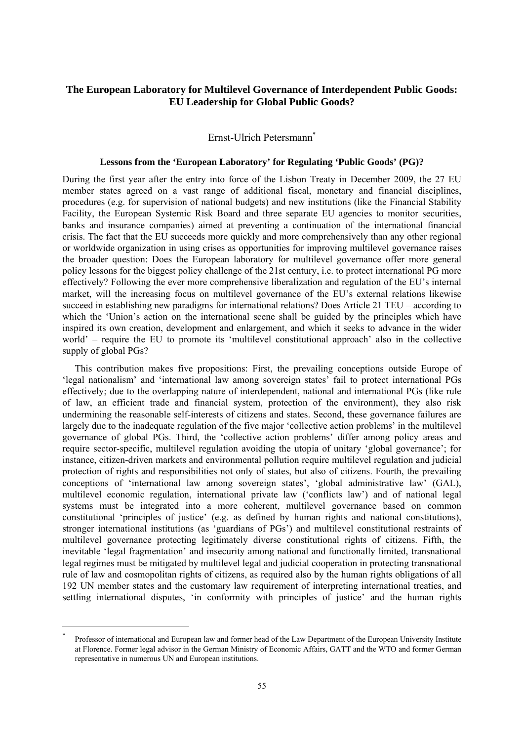# **The European Laboratory for Multilevel Governance of Interdependent Public Goods: EU Leadership for Global Public Goods?**

## Ernst-Ulrich Petersmann\*

### **Lessons from the 'European Laboratory' for Regulating 'Public Goods' (PG)?**

During the first year after the entry into force of the Lisbon Treaty in December 2009, the 27 EU member states agreed on a vast range of additional fiscal, monetary and financial disciplines, procedures (e.g. for supervision of national budgets) and new institutions (like the Financial Stability Facility, the European Systemic Risk Board and three separate EU agencies to monitor securities, banks and insurance companies) aimed at preventing a continuation of the international financial crisis. The fact that the EU succeeds more quickly and more comprehensively than any other regional or worldwide organization in using crises as opportunities for improving multilevel governance raises the broader question: Does the European laboratory for multilevel governance offer more general policy lessons for the biggest policy challenge of the 21st century, i.e. to protect international PG more effectively? Following the ever more comprehensive liberalization and regulation of the EU's internal market, will the increasing focus on multilevel governance of the EU's external relations likewise succeed in establishing new paradigms for international relations? Does Article 21 TEU – according to which the 'Union's action on the international scene shall be guided by the principles which have inspired its own creation, development and enlargement, and which it seeks to advance in the wider world' – require the EU to promote its 'multilevel constitutional approach' also in the collective supply of global PGs?

This contribution makes five propositions: First, the prevailing conceptions outside Europe of 'legal nationalism' and 'international law among sovereign states' fail to protect international PGs effectively; due to the overlapping nature of interdependent, national and international PGs (like rule of law, an efficient trade and financial system, protection of the environment), they also risk undermining the reasonable self-interests of citizens and states. Second, these governance failures are largely due to the inadequate regulation of the five major 'collective action problems' in the multilevel governance of global PGs. Third, the 'collective action problems' differ among policy areas and require sector-specific, multilevel regulation avoiding the utopia of unitary 'global governance'; for instance, citizen-driven markets and environmental pollution require multilevel regulation and judicial protection of rights and responsibilities not only of states, but also of citizens. Fourth, the prevailing conceptions of 'international law among sovereign states', 'global administrative law' (GAL), multilevel economic regulation, international private law ('conflicts law') and of national legal systems must be integrated into a more coherent, multilevel governance based on common constitutional 'principles of justice' (e.g. as defined by human rights and national constitutions), stronger international institutions (as 'guardians of PGs') and multilevel constitutional restraints of multilevel governance protecting legitimately diverse constitutional rights of citizens. Fifth, the inevitable 'legal fragmentation' and insecurity among national and functionally limited, transnational legal regimes must be mitigated by multilevel legal and judicial cooperation in protecting transnational rule of law and cosmopolitan rights of citizens, as required also by the human rights obligations of all 192 UN member states and the customary law requirement of interpreting international treaties, and settling international disputes, 'in conformity with principles of justice' and the human rights

1

<sup>\*</sup> Professor of international and European law and former head of the Law Department of the European University Institute at Florence. Former legal advisor in the German Ministry of Economic Affairs, GATT and the WTO and former German representative in numerous UN and European institutions.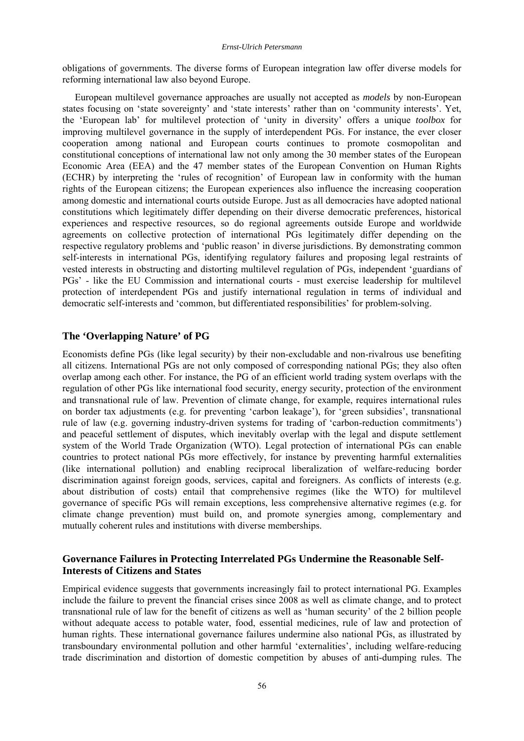obligations of governments. The diverse forms of European integration law offer diverse models for reforming international law also beyond Europe.

European multilevel governance approaches are usually not accepted as *models* by non-European states focusing on 'state sovereignty' and 'state interests' rather than on 'community interests'. Yet, the 'European lab' for multilevel protection of 'unity in diversity' offers a unique *toolbox* for improving multilevel governance in the supply of interdependent PGs. For instance, the ever closer cooperation among national and European courts continues to promote cosmopolitan and constitutional conceptions of international law not only among the 30 member states of the European Economic Area (EEA) and the 47 member states of the European Convention on Human Rights (ECHR) by interpreting the 'rules of recognition' of European law in conformity with the human rights of the European citizens; the European experiences also influence the increasing cooperation among domestic and international courts outside Europe. Just as all democracies have adopted national constitutions which legitimately differ depending on their diverse democratic preferences, historical experiences and respective resources, so do regional agreements outside Europe and worldwide agreements on collective protection of international PGs legitimately differ depending on the respective regulatory problems and 'public reason' in diverse jurisdictions. By demonstrating common self-interests in international PGs, identifying regulatory failures and proposing legal restraints of vested interests in obstructing and distorting multilevel regulation of PGs, independent 'guardians of PGs' - like the EU Commission and international courts - must exercise leadership for multilevel protection of interdependent PGs and justify international regulation in terms of individual and democratic self-interests and 'common, but differentiated responsibilities' for problem-solving.

## **The 'Overlapping Nature' of PG**

Economists define PGs (like legal security) by their non-excludable and non-rivalrous use benefiting all citizens. International PGs are not only composed of corresponding national PGs; they also often overlap among each other. For instance, the PG of an efficient world trading system overlaps with the regulation of other PGs like international food security, energy security, protection of the environment and transnational rule of law. Prevention of climate change, for example, requires international rules on border tax adjustments (e.g. for preventing 'carbon leakage'), for 'green subsidies', transnational rule of law (e.g. governing industry-driven systems for trading of 'carbon-reduction commitments') and peaceful settlement of disputes, which inevitably overlap with the legal and dispute settlement system of the World Trade Organization (WTO). Legal protection of international PGs can enable countries to protect national PGs more effectively, for instance by preventing harmful externalities (like international pollution) and enabling reciprocal liberalization of welfare-reducing border discrimination against foreign goods, services, capital and foreigners. As conflicts of interests (e.g. about distribution of costs) entail that comprehensive regimes (like the WTO) for multilevel governance of specific PGs will remain exceptions, less comprehensive alternative regimes (e.g. for climate change prevention) must build on, and promote synergies among, complementary and mutually coherent rules and institutions with diverse memberships.

## **Governance Failures in Protecting Interrelated PGs Undermine the Reasonable Self-Interests of Citizens and States**

Empirical evidence suggests that governments increasingly fail to protect international PG. Examples include the failure to prevent the financial crises since 2008 as well as climate change, and to protect transnational rule of law for the benefit of citizens as well as 'human security' of the 2 billion people without adequate access to potable water, food, essential medicines, rule of law and protection of human rights. These international governance failures undermine also national PGs, as illustrated by transboundary environmental pollution and other harmful 'externalities', including welfare-reducing trade discrimination and distortion of domestic competition by abuses of anti-dumping rules. The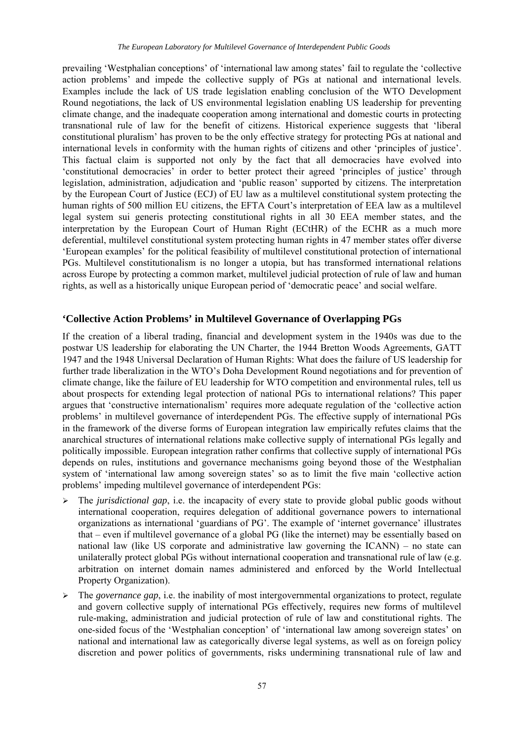prevailing 'Westphalian conceptions' of 'international law among states' fail to regulate the 'collective action problems' and impede the collective supply of PGs at national and international levels. Examples include the lack of US trade legislation enabling conclusion of the WTO Development Round negotiations, the lack of US environmental legislation enabling US leadership for preventing climate change, and the inadequate cooperation among international and domestic courts in protecting transnational rule of law for the benefit of citizens. Historical experience suggests that 'liberal constitutional pluralism' has proven to be the only effective strategy for protecting PGs at national and international levels in conformity with the human rights of citizens and other 'principles of justice'. This factual claim is supported not only by the fact that all democracies have evolved into 'constitutional democracies' in order to better protect their agreed 'principles of justice' through legislation, administration, adjudication and 'public reason' supported by citizens. The interpretation by the European Court of Justice (ECJ) of EU law as a multilevel constitutional system protecting the human rights of 500 million EU citizens, the EFTA Court's interpretation of EEA law as a multilevel legal system sui generis protecting constitutional rights in all 30 EEA member states, and the interpretation by the European Court of Human Right (ECtHR) of the ECHR as a much more deferential, multilevel constitutional system protecting human rights in 47 member states offer diverse 'European examples' for the political feasibility of multilevel constitutional protection of international PGs. Multilevel constitutionalism is no longer a utopia, but has transformed international relations across Europe by protecting a common market, multilevel judicial protection of rule of law and human rights, as well as a historically unique European period of 'democratic peace' and social welfare.

## **'Collective Action Problems' in Multilevel Governance of Overlapping PGs**

If the creation of a liberal trading, financial and development system in the 1940s was due to the postwar US leadership for elaborating the UN Charter, the 1944 Bretton Woods Agreements, GATT 1947 and the 1948 Universal Declaration of Human Rights: What does the failure of US leadership for further trade liberalization in the WTO's Doha Development Round negotiations and for prevention of climate change, like the failure of EU leadership for WTO competition and environmental rules, tell us about prospects for extending legal protection of national PGs to international relations? This paper argues that 'constructive internationalism' requires more adequate regulation of the 'collective action problems' in multilevel governance of interdependent PGs. The effective supply of international PGs in the framework of the diverse forms of European integration law empirically refutes claims that the anarchical structures of international relations make collective supply of international PGs legally and politically impossible. European integration rather confirms that collective supply of international PGs depends on rules, institutions and governance mechanisms going beyond those of the Westphalian system of 'international law among sovereign states' so as to limit the five main 'collective action problems' impeding multilevel governance of interdependent PGs:

- ¾ The *jurisdictional gap*, i.e. the incapacity of every state to provide global public goods without international cooperation, requires delegation of additional governance powers to international organizations as international 'guardians of PG'. The example of 'internet governance' illustrates that – even if multilevel governance of a global PG (like the internet) may be essentially based on national law (like US corporate and administrative law governing the ICANN) – no state can unilaterally protect global PGs without international cooperation and transnational rule of law (e.g. arbitration on internet domain names administered and enforced by the World Intellectual Property Organization).
- ¾ The *governance gap*, i.e. the inability of most intergovernmental organizations to protect, regulate and govern collective supply of international PGs effectively, requires new forms of multilevel rule-making, administration and judicial protection of rule of law and constitutional rights. The one-sided focus of the 'Westphalian conception' of 'international law among sovereign states' on national and international law as categorically diverse legal systems, as well as on foreign policy discretion and power politics of governments, risks undermining transnational rule of law and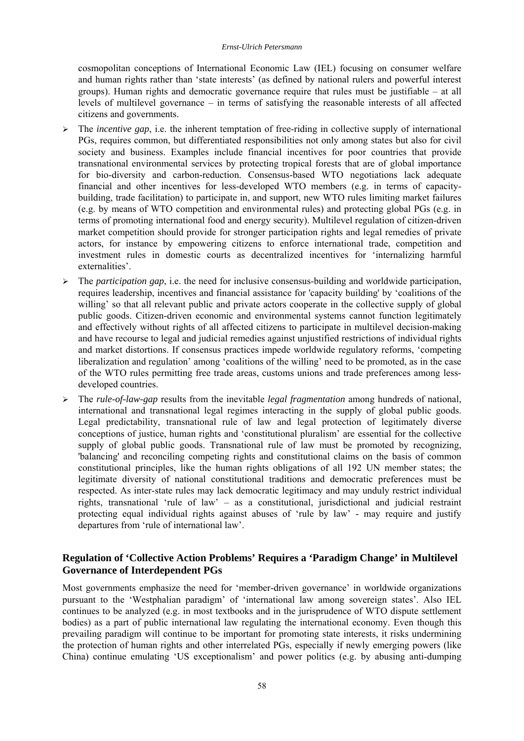#### *Ernst-Ulrich Petersmann*

cosmopolitan conceptions of International Economic Law (IEL) focusing on consumer welfare and human rights rather than 'state interests' (as defined by national rulers and powerful interest groups). Human rights and democratic governance require that rules must be justifiable – at all levels of multilevel governance – in terms of satisfying the reasonable interests of all affected citizens and governments.

- $\triangleright$  The *incentive gap*, i.e. the inherent temptation of free-riding in collective supply of international PGs, requires common, but differentiated responsibilities not only among states but also for civil society and business. Examples include financial incentives for poor countries that provide transnational environmental services by protecting tropical forests that are of global importance for bio-diversity and carbon-reduction. Consensus-based WTO negotiations lack adequate financial and other incentives for less-developed WTO members (e.g. in terms of capacitybuilding, trade facilitation) to participate in, and support, new WTO rules limiting market failures (e.g. by means of WTO competition and environmental rules) and protecting global PGs (e.g. in terms of promoting international food and energy security). Multilevel regulation of citizen-driven market competition should provide for stronger participation rights and legal remedies of private actors, for instance by empowering citizens to enforce international trade, competition and investment rules in domestic courts as decentralized incentives for 'internalizing harmful externalities'.
- $\triangleright$  The *participation gap*, i.e. the need for inclusive consensus-building and worldwide participation, requires leadership, incentives and financial assistance for 'capacity building' by 'coalitions of the willing' so that all relevant public and private actors cooperate in the collective supply of global public goods. Citizen-driven economic and environmental systems cannot function legitimately and effectively without rights of all affected citizens to participate in multilevel decision-making and have recourse to legal and judicial remedies against unjustified restrictions of individual rights and market distortions. If consensus practices impede worldwide regulatory reforms, 'competing liberalization and regulation' among 'coalitions of the willing' need to be promoted, as in the case of the WTO rules permitting free trade areas, customs unions and trade preferences among lessdeveloped countries.
- ¾ The *rule-of-law-gap* results from the inevitable *legal fragmentation* among hundreds of national, international and transnational legal regimes interacting in the supply of global public goods. Legal predictability, transnational rule of law and legal protection of legitimately diverse conceptions of justice, human rights and 'constitutional pluralism' are essential for the collective supply of global public goods. Transnational rule of law must be promoted by recognizing, 'balancing' and reconciling competing rights and constitutional claims on the basis of common constitutional principles, like the human rights obligations of all 192 UN member states; the legitimate diversity of national constitutional traditions and democratic preferences must be respected. As inter-state rules may lack democratic legitimacy and may unduly restrict individual rights, transnational 'rule of law' – as a constitutional, jurisdictional and judicial restraint protecting equal individual rights against abuses of 'rule by law' - may require and justify departures from 'rule of international law'.

# **Regulation of 'Collective Action Problems' Requires a 'Paradigm Change' in Multilevel Governance of Interdependent PGs**

Most governments emphasize the need for 'member-driven governance' in worldwide organizations pursuant to the 'Westphalian paradigm' of 'international law among sovereign states'. Also IEL continues to be analyzed (e.g. in most textbooks and in the jurisprudence of WTO dispute settlement bodies) as a part of public international law regulating the international economy. Even though this prevailing paradigm will continue to be important for promoting state interests, it risks undermining the protection of human rights and other interrelated PGs, especially if newly emerging powers (like China) continue emulating 'US exceptionalism' and power politics (e.g. by abusing anti-dumping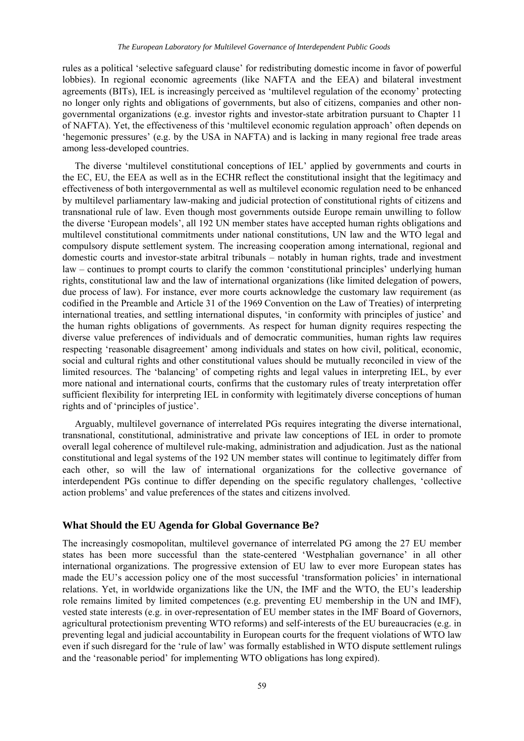rules as a political 'selective safeguard clause' for redistributing domestic income in favor of powerful lobbies). In regional economic agreements (like NAFTA and the EEA) and bilateral investment agreements (BITs), IEL is increasingly perceived as 'multilevel regulation of the economy' protecting no longer only rights and obligations of governments, but also of citizens, companies and other nongovernmental organizations (e.g. investor rights and investor-state arbitration pursuant to Chapter 11 of NAFTA). Yet, the effectiveness of this 'multilevel economic regulation approach' often depends on 'hegemonic pressures' (e.g. by the USA in NAFTA) and is lacking in many regional free trade areas among less-developed countries.

The diverse 'multilevel constitutional conceptions of IEL' applied by governments and courts in the EC, EU, the EEA as well as in the ECHR reflect the constitutional insight that the legitimacy and effectiveness of both intergovernmental as well as multilevel economic regulation need to be enhanced by multilevel parliamentary law-making and judicial protection of constitutional rights of citizens and transnational rule of law. Even though most governments outside Europe remain unwilling to follow the diverse 'European models', all 192 UN member states have accepted human rights obligations and multilevel constitutional commitments under national constitutions, UN law and the WTO legal and compulsory dispute settlement system. The increasing cooperation among international, regional and domestic courts and investor-state arbitral tribunals – notably in human rights, trade and investment law – continues to prompt courts to clarify the common 'constitutional principles' underlying human rights, constitutional law and the law of international organizations (like limited delegation of powers, due process of law). For instance, ever more courts acknowledge the customary law requirement (as codified in the Preamble and Article 31 of the 1969 Convention on the Law of Treaties) of interpreting international treaties, and settling international disputes, 'in conformity with principles of justice' and the human rights obligations of governments. As respect for human dignity requires respecting the diverse value preferences of individuals and of democratic communities, human rights law requires respecting 'reasonable disagreement' among individuals and states on how civil, political, economic, social and cultural rights and other constitutional values should be mutually reconciled in view of the limited resources. The 'balancing' of competing rights and legal values in interpreting IEL, by ever more national and international courts, confirms that the customary rules of treaty interpretation offer sufficient flexibility for interpreting IEL in conformity with legitimately diverse conceptions of human rights and of 'principles of justice'.

Arguably, multilevel governance of interrelated PGs requires integrating the diverse international, transnational, constitutional, administrative and private law conceptions of IEL in order to promote overall legal coherence of multilevel rule-making, administration and adjudication. Just as the national constitutional and legal systems of the 192 UN member states will continue to legitimately differ from each other, so will the law of international organizations for the collective governance of interdependent PGs continue to differ depending on the specific regulatory challenges, 'collective action problems' and value preferences of the states and citizens involved.

### **What Should the EU Agenda for Global Governance Be?**

The increasingly cosmopolitan, multilevel governance of interrelated PG among the 27 EU member states has been more successful than the state-centered 'Westphalian governance' in all other international organizations. The progressive extension of EU law to ever more European states has made the EU's accession policy one of the most successful 'transformation policies' in international relations. Yet, in worldwide organizations like the UN, the IMF and the WTO, the EU's leadership role remains limited by limited competences (e.g. preventing EU membership in the UN and IMF), vested state interests (e.g. in over-representation of EU member states in the IMF Board of Governors, agricultural protectionism preventing WTO reforms) and self-interests of the EU bureaucracies (e.g. in preventing legal and judicial accountability in European courts for the frequent violations of WTO law even if such disregard for the 'rule of law' was formally established in WTO dispute settlement rulings and the 'reasonable period' for implementing WTO obligations has long expired).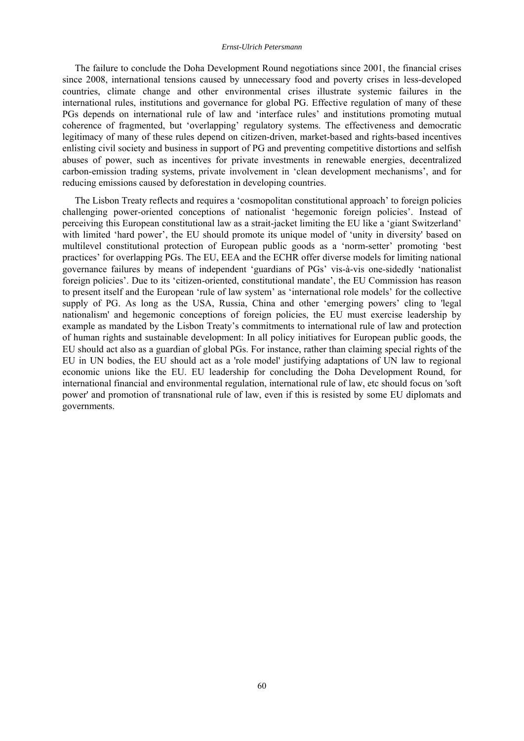#### *Ernst-Ulrich Petersmann*

The failure to conclude the Doha Development Round negotiations since 2001, the financial crises since 2008, international tensions caused by unnecessary food and poverty crises in less-developed countries, climate change and other environmental crises illustrate systemic failures in the international rules, institutions and governance for global PG. Effective regulation of many of these PGs depends on international rule of law and 'interface rules' and institutions promoting mutual coherence of fragmented, but 'overlapping' regulatory systems. The effectiveness and democratic legitimacy of many of these rules depend on citizen-driven, market-based and rights-based incentives enlisting civil society and business in support of PG and preventing competitive distortions and selfish abuses of power, such as incentives for private investments in renewable energies, decentralized carbon-emission trading systems, private involvement in 'clean development mechanisms', and for reducing emissions caused by deforestation in developing countries.

The Lisbon Treaty reflects and requires a 'cosmopolitan constitutional approach' to foreign policies challenging power-oriented conceptions of nationalist 'hegemonic foreign policies'. Instead of perceiving this European constitutional law as a strait-jacket limiting the EU like a 'giant Switzerland' with limited 'hard power', the EU should promote its unique model of 'unity in diversity' based on multilevel constitutional protection of European public goods as a 'norm-setter' promoting 'best practices' for overlapping PGs. The EU, EEA and the ECHR offer diverse models for limiting national governance failures by means of independent 'guardians of PGs' vis-à-vis one-sidedly 'nationalist foreign policies'. Due to its 'citizen-oriented, constitutional mandate', the EU Commission has reason to present itself and the European 'rule of law system' as 'international role models' for the collective supply of PG. As long as the USA, Russia, China and other 'emerging powers' cling to 'legal nationalism' and hegemonic conceptions of foreign policies, the EU must exercise leadership by example as mandated by the Lisbon Treaty's commitments to international rule of law and protection of human rights and sustainable development: In all policy initiatives for European public goods, the EU should act also as a guardian of global PGs. For instance, rather than claiming special rights of the EU in UN bodies, the EU should act as a 'role model' justifying adaptations of UN law to regional economic unions like the EU. EU leadership for concluding the Doha Development Round, for international financial and environmental regulation, international rule of law, etc should focus on 'soft power' and promotion of transnational rule of law, even if this is resisted by some EU diplomats and governments.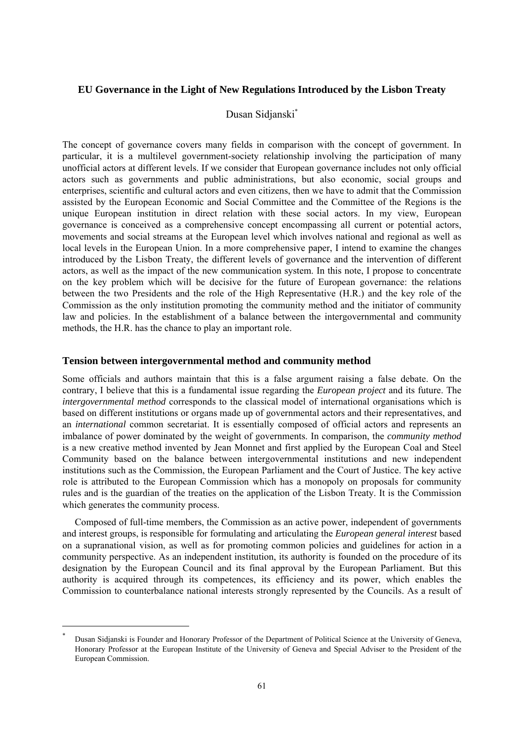## **EU Governance in the Light of New Regulations Introduced by the Lisbon Treaty**

## Dusan Sidjanski\*

The concept of governance covers many fields in comparison with the concept of government. In particular, it is a multilevel government-society relationship involving the participation of many unofficial actors at different levels. If we consider that European governance includes not only official actors such as governments and public administrations, but also economic, social groups and enterprises, scientific and cultural actors and even citizens, then we have to admit that the Commission assisted by the European Economic and Social Committee and the Committee of the Regions is the unique European institution in direct relation with these social actors. In my view, European governance is conceived as a comprehensive concept encompassing all current or potential actors, movements and social streams at the European level which involves national and regional as well as local levels in the European Union. In a more comprehensive paper, I intend to examine the changes introduced by the Lisbon Treaty, the different levels of governance and the intervention of different actors, as well as the impact of the new communication system. In this note, I propose to concentrate on the key problem which will be decisive for the future of European governance: the relations between the two Presidents and the role of the High Representative (H.R.) and the key role of the Commission as the only institution promoting the community method and the initiator of community law and policies. In the establishment of a balance between the intergovernmental and community methods, the H.R. has the chance to play an important role.

### **Tension between intergovernmental method and community method**

Some officials and authors maintain that this is a false argument raising a false debate. On the contrary, I believe that this is a fundamental issue regarding the *European project* and its future. The *intergovernmental method* corresponds to the classical model of international organisations which is based on different institutions or organs made up of governmental actors and their representatives, and an *international* common secretariat. It is essentially composed of official actors and represents an imbalance of power dominated by the weight of governments. In comparison, the *community method*  is a new creative method invented by Jean Monnet and first applied by the European Coal and Steel Community based on the balance between intergovernmental institutions and new independent institutions such as the Commission, the European Parliament and the Court of Justice. The key active role is attributed to the European Commission which has a monopoly on proposals for community rules and is the guardian of the treaties on the application of the Lisbon Treaty. It is the Commission which generates the community process.

Composed of full-time members, the Commission as an active power, independent of governments and interest groups, is responsible for formulating and articulating the *European general interest* based on a supranational vision, as well as for promoting common policies and guidelines for action in a community perspective. As an independent institution, its authority is founded on the procedure of its designation by the European Council and its final approval by the European Parliament. But this authority is acquired through its competences, its efficiency and its power, which enables the Commission to counterbalance national interests strongly represented by the Councils. As a result of

1

<sup>\*</sup> Dusan Sidjanski is Founder and Honorary Professor of the Department of Political Science at the University of Geneva, Honorary Professor at the European Institute of the University of Geneva and Special Adviser to the President of the European Commission.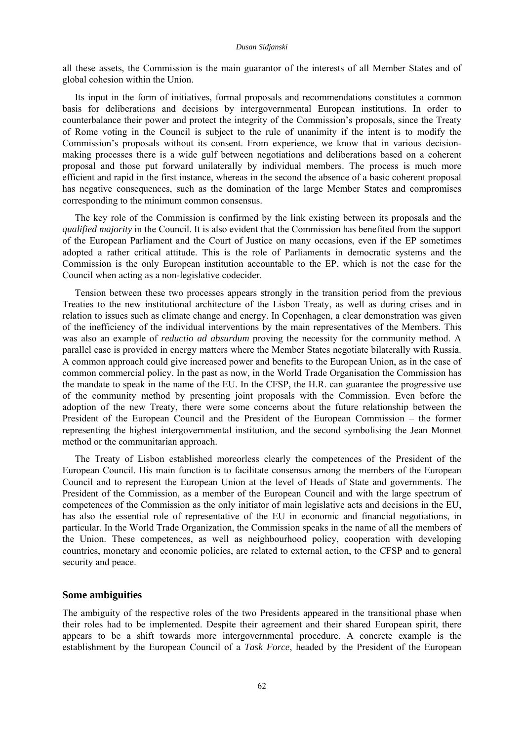all these assets, the Commission is the main guarantor of the interests of all Member States and of global cohesion within the Union.

Its input in the form of initiatives, formal proposals and recommendations constitutes a common basis for deliberations and decisions by intergovernmental European institutions. In order to counterbalance their power and protect the integrity of the Commission's proposals, since the Treaty of Rome voting in the Council is subject to the rule of unanimity if the intent is to modify the Commission's proposals without its consent. From experience, we know that in various decisionmaking processes there is a wide gulf between negotiations and deliberations based on a coherent proposal and those put forward unilaterally by individual members. The process is much more efficient and rapid in the first instance, whereas in the second the absence of a basic coherent proposal has negative consequences, such as the domination of the large Member States and compromises corresponding to the minimum common consensus.

The key role of the Commission is confirmed by the link existing between its proposals and the *qualified majority* in the Council. It is also evident that the Commission has benefited from the support of the European Parliament and the Court of Justice on many occasions, even if the EP sometimes adopted a rather critical attitude. This is the role of Parliaments in democratic systems and the Commission is the only European institution accountable to the EP, which is not the case for the Council when acting as a non-legislative codecider.

Tension between these two processes appears strongly in the transition period from the previous Treaties to the new institutional architecture of the Lisbon Treaty, as well as during crises and in relation to issues such as climate change and energy. In Copenhagen, a clear demonstration was given of the inefficiency of the individual interventions by the main representatives of the Members. This was also an example of *reductio ad absurdum* proving the necessity for the community method. A parallel case is provided in energy matters where the Member States negotiate bilaterally with Russia. A common approach could give increased power and benefits to the European Union, as in the case of common commercial policy. In the past as now, in the World Trade Organisation the Commission has the mandate to speak in the name of the EU. In the CFSP, the H.R. can guarantee the progressive use of the community method by presenting joint proposals with the Commission. Even before the adoption of the new Treaty, there were some concerns about the future relationship between the President of the European Council and the President of the European Commission – the former representing the highest intergovernmental institution, and the second symbolising the Jean Monnet method or the communitarian approach.

The Treaty of Lisbon established moreorless clearly the competences of the President of the European Council. His main function is to facilitate consensus among the members of the European Council and to represent the European Union at the level of Heads of State and governments. The President of the Commission, as a member of the European Council and with the large spectrum of competences of the Commission as the only initiator of main legislative acts and decisions in the EU, has also the essential role of representative of the EU in economic and financial negotiations, in particular. In the World Trade Organization, the Commission speaks in the name of all the members of the Union. These competences, as well as neighbourhood policy, cooperation with developing countries, monetary and economic policies, are related to external action, to the CFSP and to general security and peace.

### **Some ambiguities**

The ambiguity of the respective roles of the two Presidents appeared in the transitional phase when their roles had to be implemented. Despite their agreement and their shared European spirit, there appears to be a shift towards more intergovernmental procedure. A concrete example is the establishment by the European Council of a *Task Force*, headed by the President of the European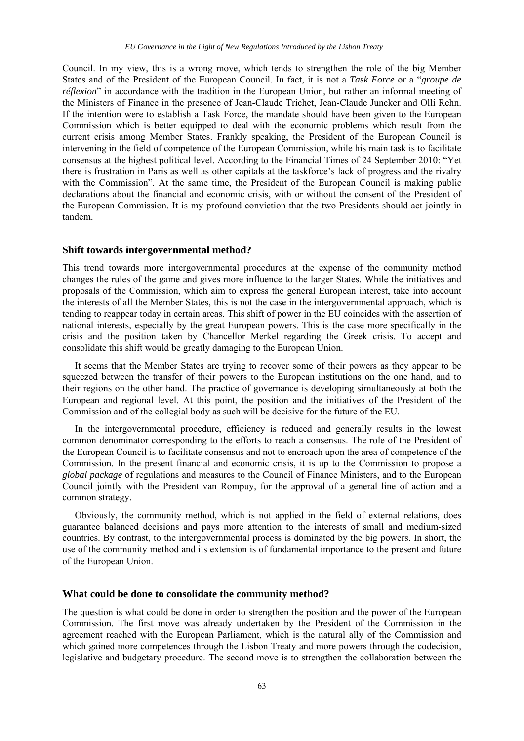Council. In my view, this is a wrong move, which tends to strengthen the role of the big Member States and of the President of the European Council. In fact, it is not a *Task Force* or a "*groupe de réflexion*" in accordance with the tradition in the European Union, but rather an informal meeting of the Ministers of Finance in the presence of Jean-Claude Trichet, Jean-Claude Juncker and Olli Rehn. If the intention were to establish a Task Force, the mandate should have been given to the European Commission which is better equipped to deal with the economic problems which result from the current crisis among Member States. Frankly speaking, the President of the European Council is intervening in the field of competence of the European Commission, while his main task is to facilitate consensus at the highest political level. According to the Financial Times of 24 September 2010: "Yet there is frustration in Paris as well as other capitals at the taskforce's lack of progress and the rivalry with the Commission". At the same time, the President of the European Council is making public declarations about the financial and economic crisis, with or without the consent of the President of the European Commission. It is my profound conviction that the two Presidents should act jointly in tandem.

### **Shift towards intergovernmental method?**

This trend towards more intergovernmental procedures at the expense of the community method changes the rules of the game and gives more influence to the larger States. While the initiatives and proposals of the Commission, which aim to express the general European interest, take into account the interests of all the Member States, this is not the case in the intergovernmental approach, which is tending to reappear today in certain areas. This shift of power in the EU coincides with the assertion of national interests, especially by the great European powers. This is the case more specifically in the crisis and the position taken by Chancellor Merkel regarding the Greek crisis. To accept and consolidate this shift would be greatly damaging to the European Union.

It seems that the Member States are trying to recover some of their powers as they appear to be squeezed between the transfer of their powers to the European institutions on the one hand, and to their regions on the other hand. The practice of governance is developing simultaneously at both the European and regional level. At this point, the position and the initiatives of the President of the Commission and of the collegial body as such will be decisive for the future of the EU.

In the intergovernmental procedure, efficiency is reduced and generally results in the lowest common denominator corresponding to the efforts to reach a consensus. The role of the President of the European Council is to facilitate consensus and not to encroach upon the area of competence of the Commission. In the present financial and economic crisis, it is up to the Commission to propose a *global package* of regulations and measures to the Council of Finance Ministers, and to the European Council jointly with the President van Rompuy, for the approval of a general line of action and a common strategy.

Obviously, the community method, which is not applied in the field of external relations, does guarantee balanced decisions and pays more attention to the interests of small and medium-sized countries. By contrast, to the intergovernmental process is dominated by the big powers. In short, the use of the community method and its extension is of fundamental importance to the present and future of the European Union.

### **What could be done to consolidate the community method?**

The question is what could be done in order to strengthen the position and the power of the European Commission. The first move was already undertaken by the President of the Commission in the agreement reached with the European Parliament, which is the natural ally of the Commission and which gained more competences through the Lisbon Treaty and more powers through the codecision, legislative and budgetary procedure. The second move is to strengthen the collaboration between the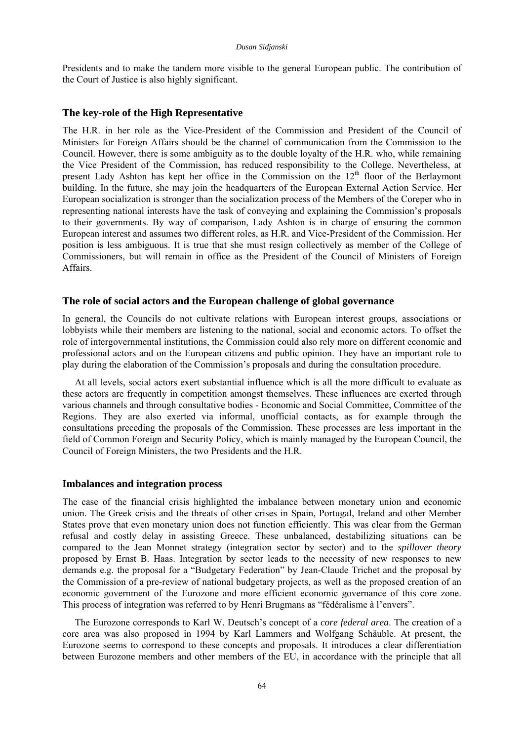Presidents and to make the tandem more visible to the general European public. The contribution of the Court of Justice is also highly significant.

### **The key-role of the High Representative**

The H.R. in her role as the Vice-President of the Commission and President of the Council of Ministers for Foreign Affairs should be the channel of communication from the Commission to the Council. However, there is some ambiguity as to the double loyalty of the H.R. who, while remaining the Vice President of the Commission, has reduced responsibility to the College. Nevertheless, at present Lady Ashton has kept her office in the Commission on the  $12<sup>th</sup>$  floor of the Berlaymont building. In the future, she may join the headquarters of the European External Action Service. Her European socialization is stronger than the socialization process of the Members of the Coreper who in representing national interests have the task of conveying and explaining the Commission's proposals to their governments. By way of comparison, Lady Ashton is in charge of ensuring the common European interest and assumes two different roles, as H.R. and Vice-President of the Commission. Her position is less ambiguous. It is true that she must resign collectively as member of the College of Commissioners, but will remain in office as the President of the Council of Ministers of Foreign Affairs.

#### **The role of social actors and the European challenge of global governance**

In general, the Councils do not cultivate relations with European interest groups, associations or lobbyists while their members are listening to the national, social and economic actors. To offset the role of intergovernmental institutions, the Commission could also rely more on different economic and professional actors and on the European citizens and public opinion. They have an important role to play during the elaboration of the Commission's proposals and during the consultation procedure.

At all levels, social actors exert substantial influence which is all the more difficult to evaluate as these actors are frequently in competition amongst themselves. These influences are exerted through various channels and through consultative bodies - Economic and Social Committee, Committee of the Regions. They are also exerted via informal, unofficial contacts, as for example through the consultations preceding the proposals of the Commission. These processes are less important in the field of Common Foreign and Security Policy, which is mainly managed by the European Council, the Council of Foreign Ministers, the two Presidents and the H.R.

### **Imbalances and integration process**

The case of the financial crisis highlighted the imbalance between monetary union and economic union. The Greek crisis and the threats of other crises in Spain, Portugal, Ireland and other Member States prove that even monetary union does not function efficiently. This was clear from the German refusal and costly delay in assisting Greece. These unbalanced, destabilizing situations can be compared to the Jean Monnet strategy (integration sector by sector) and to the *spillover theory* proposed by Ernst B. Haas. Integration by sector leads to the necessity of new responses to new demands e.g. the proposal for a "Budgetary Federation" by Jean-Claude Trichet and the proposal by the Commission of a pre-review of national budgetary projects, as well as the proposed creation of an economic government of the Eurozone and more efficient economic governance of this core zone. This process of integration was referred to by Henri Brugmans as "fédéralisme à l'envers".

The Eurozone corresponds to Karl W. Deutsch's concept of a *core federal area*. The creation of a core area was also proposed in 1994 by Karl Lammers and Wolfgang Schäuble. At present, the Eurozone seems to correspond to these concepts and proposals. It introduces a clear differentiation between Eurozone members and other members of the EU, in accordance with the principle that all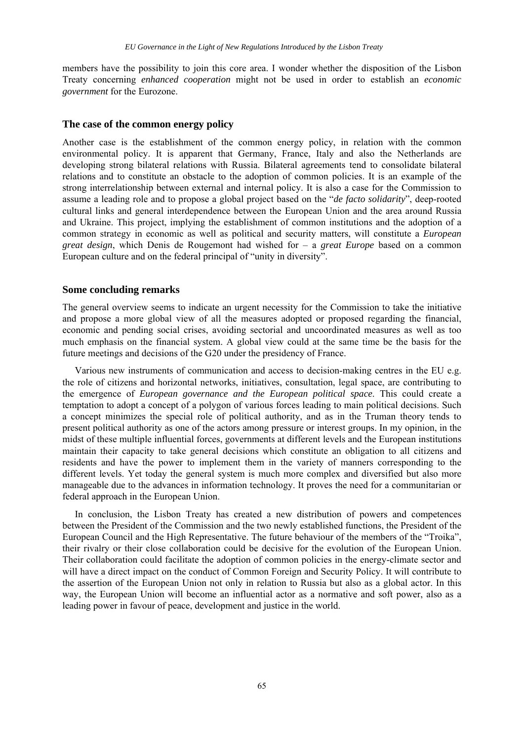members have the possibility to join this core area. I wonder whether the disposition of the Lisbon Treaty concerning *enhanced cooperation* might not be used in order to establish an *economic government* for the Eurozone.

### **The case of the common energy policy**

Another case is the establishment of the common energy policy, in relation with the common environmental policy. It is apparent that Germany, France, Italy and also the Netherlands are developing strong bilateral relations with Russia. Bilateral agreements tend to consolidate bilateral relations and to constitute an obstacle to the adoption of common policies. It is an example of the strong interrelationship between external and internal policy. It is also a case for the Commission to assume a leading role and to propose a global project based on the "*de facto solidarity*", deep-rooted cultural links and general interdependence between the European Union and the area around Russia and Ukraine. This project, implying the establishment of common institutions and the adoption of a common strategy in economic as well as political and security matters, will constitute a *European great design*, which Denis de Rougemont had wished for – a *great Europe* based on a common European culture and on the federal principal of "unity in diversity".

### **Some concluding remarks**

The general overview seems to indicate an urgent necessity for the Commission to take the initiative and propose a more global view of all the measures adopted or proposed regarding the financial, economic and pending social crises, avoiding sectorial and uncoordinated measures as well as too much emphasis on the financial system. A global view could at the same time be the basis for the future meetings and decisions of the G20 under the presidency of France.

Various new instruments of communication and access to decision-making centres in the EU e.g. the role of citizens and horizontal networks, initiatives, consultation, legal space, are contributing to the emergence of *European governance and the European political space*. This could create a temptation to adopt a concept of a polygon of various forces leading to main political decisions. Such a concept minimizes the special role of political authority, and as in the Truman theory tends to present political authority as one of the actors among pressure or interest groups. In my opinion, in the midst of these multiple influential forces, governments at different levels and the European institutions maintain their capacity to take general decisions which constitute an obligation to all citizens and residents and have the power to implement them in the variety of manners corresponding to the different levels. Yet today the general system is much more complex and diversified but also more manageable due to the advances in information technology. It proves the need for a communitarian or federal approach in the European Union.

In conclusion, the Lisbon Treaty has created a new distribution of powers and competences between the President of the Commission and the two newly established functions, the President of the European Council and the High Representative. The future behaviour of the members of the "Troika", their rivalry or their close collaboration could be decisive for the evolution of the European Union. Their collaboration could facilitate the adoption of common policies in the energy-climate sector and will have a direct impact on the conduct of Common Foreign and Security Policy. It will contribute to the assertion of the European Union not only in relation to Russia but also as a global actor. In this way, the European Union will become an influential actor as a normative and soft power, also as a leading power in favour of peace, development and justice in the world.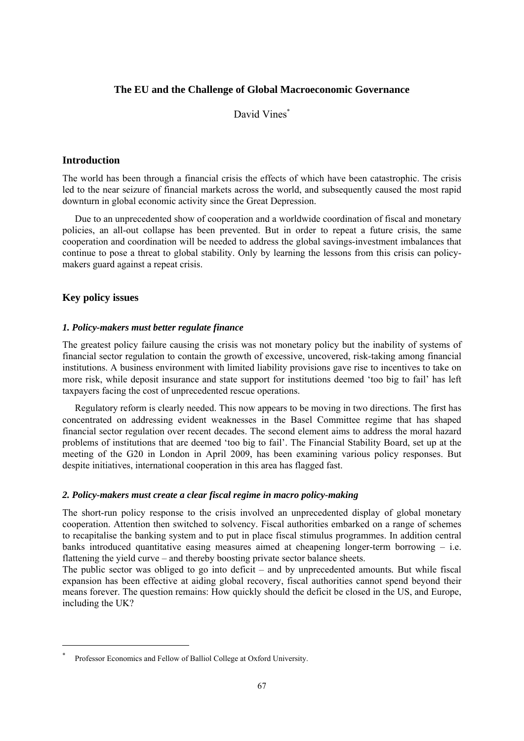# **The EU and the Challenge of Global Macroeconomic Governance**

David Vines\*

## **Introduction**

The world has been through a financial crisis the effects of which have been catastrophic. The crisis led to the near seizure of financial markets across the world, and subsequently caused the most rapid downturn in global economic activity since the Great Depression.

Due to an unprecedented show of cooperation and a worldwide coordination of fiscal and monetary policies, an all-out collapse has been prevented. But in order to repeat a future crisis, the same cooperation and coordination will be needed to address the global savings-investment imbalances that continue to pose a threat to global stability. Only by learning the lessons from this crisis can policymakers guard against a repeat crisis.

## **Key policy issues**

1

### *1. Policy-makers must better regulate finance*

The greatest policy failure causing the crisis was not monetary policy but the inability of systems of financial sector regulation to contain the growth of excessive, uncovered, risk-taking among financial institutions. A business environment with limited liability provisions gave rise to incentives to take on more risk, while deposit insurance and state support for institutions deemed 'too big to fail' has left taxpayers facing the cost of unprecedented rescue operations.

Regulatory reform is clearly needed. This now appears to be moving in two directions. The first has concentrated on addressing evident weaknesses in the Basel Committee regime that has shaped financial sector regulation over recent decades. The second element aims to address the moral hazard problems of institutions that are deemed 'too big to fail'. The Financial Stability Board, set up at the meeting of the G20 in London in April 2009, has been examining various policy responses. But despite initiatives, international cooperation in this area has flagged fast.

## *2. Policy-makers must create a clear fiscal regime in macro policy-making*

The short-run policy response to the crisis involved an unprecedented display of global monetary cooperation. Attention then switched to solvency. Fiscal authorities embarked on a range of schemes to recapitalise the banking system and to put in place fiscal stimulus programmes. In addition central banks introduced quantitative easing measures aimed at cheapening longer-term borrowing – i.e. flattening the yield curve – and thereby boosting private sector balance sheets.

The public sector was obliged to go into deficit – and by unprecedented amounts*.* But while fiscal expansion has been effective at aiding global recovery, fiscal authorities cannot spend beyond their means forever. The question remains: How quickly should the deficit be closed in the US, and Europe, including the UK?

<sup>\*</sup> Professor Economics and Fellow of Balliol College at Oxford University.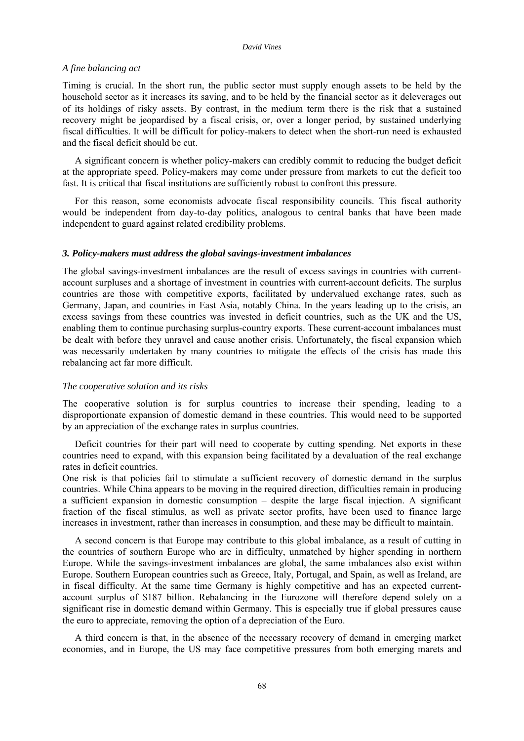#### *A fine balancing act*

Timing is crucial. In the short run, the public sector must supply enough assets to be held by the household sector as it increases its saving, and to be held by the financial sector as it deleverages out of its holdings of risky assets. By contrast, in the medium term there is the risk that a sustained recovery might be jeopardised by a fiscal crisis, or, over a longer period, by sustained underlying fiscal difficulties. It will be difficult for policy-makers to detect when the short-run need is exhausted and the fiscal deficit should be cut.

A significant concern is whether policy-makers can credibly commit to reducing the budget deficit at the appropriate speed. Policy-makers may come under pressure from markets to cut the deficit too fast. It is critical that fiscal institutions are sufficiently robust to confront this pressure.

For this reason, some economists advocate fiscal responsibility councils. This fiscal authority would be independent from day-to-day politics, analogous to central banks that have been made independent to guard against related credibility problems.

#### *3. Policy-makers must address the global savings-investment imbalances*

The global savings-investment imbalances are the result of excess savings in countries with currentaccount surpluses and a shortage of investment in countries with current-account deficits. The surplus countries are those with competitive exports, facilitated by undervalued exchange rates, such as Germany, Japan, and countries in East Asia, notably China. In the years leading up to the crisis, an excess savings from these countries was invested in deficit countries, such as the UK and the US, enabling them to continue purchasing surplus-country exports. These current-account imbalances must be dealt with before they unravel and cause another crisis. Unfortunately, the fiscal expansion which was necessarily undertaken by many countries to mitigate the effects of the crisis has made this rebalancing act far more difficult.

#### *The cooperative solution and its risks*

The cooperative solution is for surplus countries to increase their spending, leading to a disproportionate expansion of domestic demand in these countries. This would need to be supported by an appreciation of the exchange rates in surplus countries.

Deficit countries for their part will need to cooperate by cutting spending. Net exports in these countries need to expand, with this expansion being facilitated by a devaluation of the real exchange rates in deficit countries.

One risk is that policies fail to stimulate a sufficient recovery of domestic demand in the surplus countries. While China appears to be moving in the required direction, difficulties remain in producing a sufficient expansion in domestic consumption – despite the large fiscal injection. A significant fraction of the fiscal stimulus, as well as private sector profits, have been used to finance large increases in investment, rather than increases in consumption, and these may be difficult to maintain.

A second concern is that Europe may contribute to this global imbalance, as a result of cutting in the countries of southern Europe who are in difficulty, unmatched by higher spending in northern Europe. While the savings-investment imbalances are global, the same imbalances also exist within Europe. Southern European countries such as Greece, Italy, Portugal, and Spain, as well as Ireland, are in fiscal difficulty. At the same time Germany is highly competitive and has an expected currentaccount surplus of \$187 billion. Rebalancing in the Eurozone will therefore depend solely on a significant rise in domestic demand within Germany. This is especially true if global pressures cause the euro to appreciate, removing the option of a depreciation of the Euro.

A third concern is that, in the absence of the necessary recovery of demand in emerging market economies, and in Europe, the US may face competitive pressures from both emerging marets and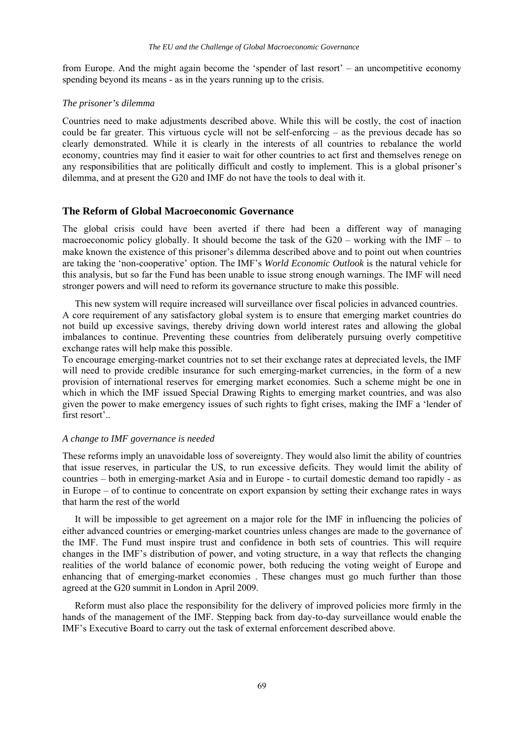from Europe. And the might again become the 'spender of last resort' – an uncompetitive economy spending beyond its means - as in the years running up to the crisis.

#### *The prisoner's dilemma*

Countries need to make adjustments described above. While this will be costly, the cost of inaction could be far greater. This virtuous cycle will not be self-enforcing – as the previous decade has so clearly demonstrated. While it is clearly in the interests of all countries to rebalance the world economy, countries may find it easier to wait for other countries to act first and themselves renege on any responsibilities that are politically difficult and costly to implement. This is a global prisoner's dilemma, and at present the G20 and IMF do not have the tools to deal with it.

### **The Reform of Global Macroeconomic Governance**

The global crisis could have been averted if there had been a different way of managing macroeconomic policy globally. It should become the task of the G20 – working with the IMF – to make known the existence of this prisoner's dilemma described above and to point out when countries are taking the 'non-cooperative' option. The IMF's *World Economic Outlook* is the natural vehicle for this analysis, but so far the Fund has been unable to issue strong enough warnings. The IMF will need stronger powers and will need to reform its governance structure to make this possible.

This new system will require increased will surveillance over fiscal policies in advanced countries. A core requirement of any satisfactory global system is to ensure that emerging market countries do not build up excessive savings, thereby driving down world interest rates and allowing the global imbalances to continue. Preventing these countries from deliberately pursuing overly competitive exchange rates will help make this possible.

To encourage emerging-market countries not to set their exchange rates at depreciated levels, the IMF will need to provide credible insurance for such emerging-market currencies, in the form of a new provision of international reserves for emerging market economies. Such a scheme might be one in which in which the IMF issued Special Drawing Rights to emerging market countries, and was also given the power to make emergency issues of such rights to fight crises, making the IMF a 'lender of first resort'..

#### *A change to IMF governance is needed*

These reforms imply an unavoidable loss of sovereignty. They would also limit the ability of countries that issue reserves, in particular the US, to run excessive deficits. They would limit the ability of countries – both in emerging-market Asia and in Europe - to curtail domestic demand too rapidly - as in Europe – of to continue to concentrate on export expansion by setting their exchange rates in ways that harm the rest of the world

It will be impossible to get agreement on a major role for the IMF in influencing the policies of either advanced countries or emerging-market countries unless changes are made to the governance of the IMF. The Fund must inspire trust and confidence in both sets of countries. This will require changes in the IMF's distribution of power, and voting structure, in a way that reflects the changing realities of the world balance of economic power, both reducing the voting weight of Europe and enhancing that of emerging-market economies . These changes must go much further than those agreed at the G20 summit in London in April 2009.

Reform must also place the responsibility for the delivery of improved policies more firmly in the hands of the management of the IMF. Stepping back from day-to-day surveillance would enable the IMF's Executive Board to carry out the task of external enforcement described above.